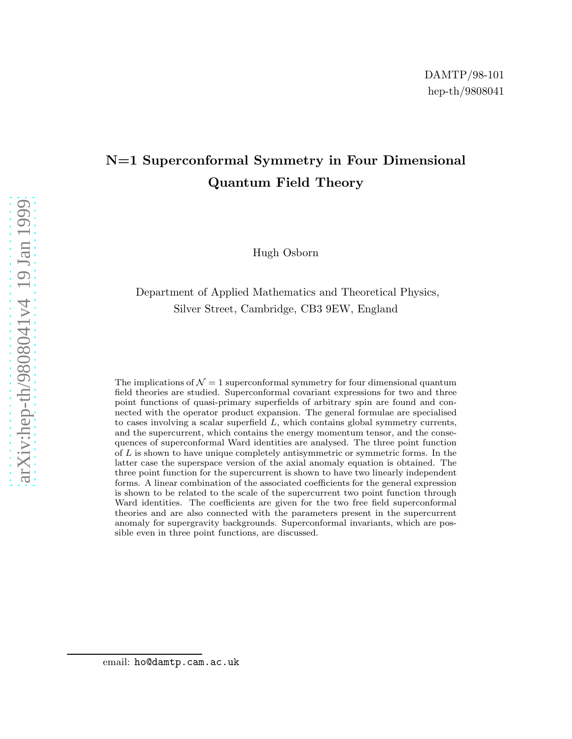# N=1 Superconformal Symmetry in Four Dimensional Quantum Field Theory

Hugh Osborn

## Department of Applied Mathematics and Theoretical Physics , Silver Street, Cambridge, CB3 9EW, England

The implications of  $\mathcal{N}=1$  superconformal symmetry for four dimensional quantum field theories are studied. Superconformal covariant expressions for two and three point functions of quasi-primary superfields of arbitrary spin are found and connected with the operator product expansion. The general formulae are specialised to cases involving a scalar superfield  $L$ , which contains global symmetry currents, and the supercurrent, which contains the energy momentum tensor, and the consequences of superconformal Ward identities are analysed. The three point function of  $L$  is shown to have unique completely antisymmetric or symmetric forms. In the latter case the superspace version of the axial anomaly equation is obtained. The three point function for the supercurrent is shown to have two linearly independent forms. A linear combination of the associated coefficients for the general expression is shown to be related to the scale of the supercurrent two point function through Ward identities. The coefficients are given for the two free field superconformal theories and are also connected with the parameters present in the supercurrent anomaly for supergravity backgrounds. Superconformal invariants, which are possible even in three point functions, are discussed.

email: ho@damtp.cam.ac.uk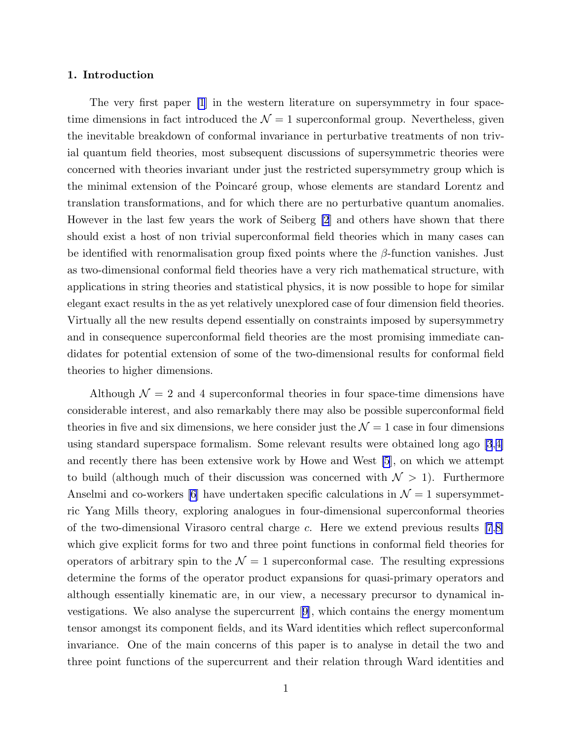## 1. Introduction

The very first paper [\[1](#page-51-0)] in the western literature on supersymmetry in four spacetime dimensions in fact introduced the  $\mathcal{N}=1$  superconformal group. Nevertheless, given the inevitable breakdown of conformal invariance in perturbative treatments of non trivial quantum field theories, most subsequent discussions of supersymmetric theories were concerned with theories invariant under just the restricted supersymmetry group which is the minimal extension of the Poincaré group, whose elements are standard Lorentz and translation transformations, and for which there are no perturbative quantum anomalies. However in the last few years the work of Seiberg [\[2](#page-51-0)] and others have shown that there should exist a host of non trivial superconformal field theories which in many cases can be identified with renormalisation group fixed points where the  $\beta$ -function vanishes. Just as two-dimensional conformal field theories have a very rich mathematical structure, with applications in string theories and statistical physics, it is now possible to hope for similar elegant exact results in the as yet relatively unexplored case of four dimension field theories. Virtually all the new results depend essentially on constraints imposed by supersymmetry and in consequence superconformal field theories are the most promising immediate candidates for potential extension of some of the two-dimensional results for conformal field theories to higher dimensions.

Although  $\mathcal{N} = 2$  and 4 superconformal theories in four space-time dimensions have considerable interest, and also remarkably there may also be possible superconformal field theories in five and six dimensions, we here consider just the  $\mathcal{N}=1$  case in four dimensions using standard superspace formalism. Some relevant results were obtained long ago [\[3](#page-51-0),[4\]](#page-51-0) and recently there has been extensive work by Howe and West [\[5](#page-51-0)], on which we attempt to build (although much of their discussion was concerned with  $\mathcal{N} > 1$ ). Furthermore Anselmi and co-workers [\[6](#page-51-0)] have undertaken specific calculations in  $\mathcal{N}=1$  supersymmetric Yang Mills theory, exploring analogues in four-dimensional superconformal theories of the two-dimensional Virasoro central charge  $c$ . Here we extend previous results [\[7](#page-51-0),[8\]](#page-51-0) which give explicit forms for two and three point functions in conformal field theories for operators of arbitrary spin to the  $\mathcal{N} = 1$  superconformal case. The resulting expressions determine the forms of the operator product expansions for quasi-primary operators and although essentially kinematic are, in our view, a necessary precursor to dynamical investigations. We also analyse the supercurrent[[9\]](#page-51-0), which contains the energy momentum tensor amongst its component fields, and its Ward identities which reflect superconformal invariance. One of the main concerns of this paper is to analyse in detail the two and three point functions of the supercurrent and their relation through Ward identities and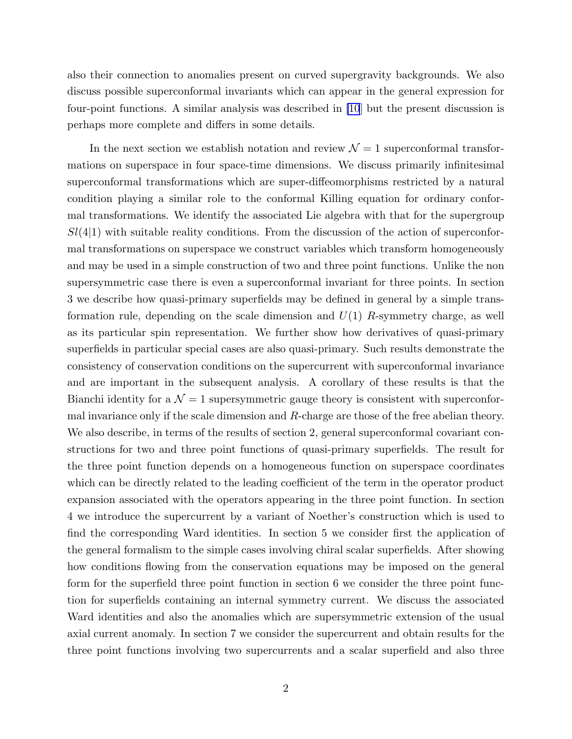also their connection to anomalies present on curved supergravity backgrounds. We also discuss possible superconformal invariants which can appear in the general expression for four-point functions. A similar analysis was described in [\[10](#page-51-0)] but the present discussion is perhaps more complete and differs in some details.

In the next section we establish notation and review  $\mathcal{N}=1$  superconformal transformations on superspace in four space-time dimensions. We discuss primarily infinitesimal superconformal transformations which are super-diffeomorphisms restricted by a natural condition playing a similar role to the conformal Killing equation for ordinary conformal transformations. We identify the associated Lie algebra with that for the supergroup  $Sl(4|1)$  with suitable reality conditions. From the discussion of the action of superconformal transformations on superspace we construct variables which transform homogeneously and may be used in a simple construction of two and three point functions. Unlike the non supersymmetric case there is even a superconformal invariant for three points. In section 3 we describe how quasi-primary superfields may be defined in general by a simple transformation rule, depending on the scale dimension and  $U(1)$  R-symmetry charge, as well as its particular spin representation. We further show how derivatives of quasi-primary superfields in particular special cases are also quasi-primary. Such results demonstrate the consistency of conservation conditions on the supercurrent with superconformal invariance and are important in the subsequent analysis. A corollary of these results is that the Bianchi identity for a  $\mathcal{N} = 1$  supersymmetric gauge theory is consistent with superconformal invariance only if the scale dimension and  $R$ -charge are those of the free abelian theory. We also describe, in terms of the results of section 2, general superconformal covariant constructions for two and three point functions of quasi-primary superfields. The result for the three point function depends on a homogeneous function on superspace coordinates which can be directly related to the leading coefficient of the term in the operator product expansion associated with the operators appearing in the three point function. In section 4 we introduce the supercurrent by a variant of Noether's construction which is used to find the corresponding Ward identities. In section 5 we consider first the application of the general formalism to the simple cases involving chiral scalar superfields. After showing how conditions flowing from the conservation equations may be imposed on the general form for the superfield three point function in section 6 we consider the three point function for superfields containing an internal symmetry current. We discuss the associated Ward identities and also the anomalies which are supersymmetric extension of the usual axial current anomaly. In section 7 we consider the supercurrent and obtain results for the three point functions involving two supercurrents and a scalar superfield and also three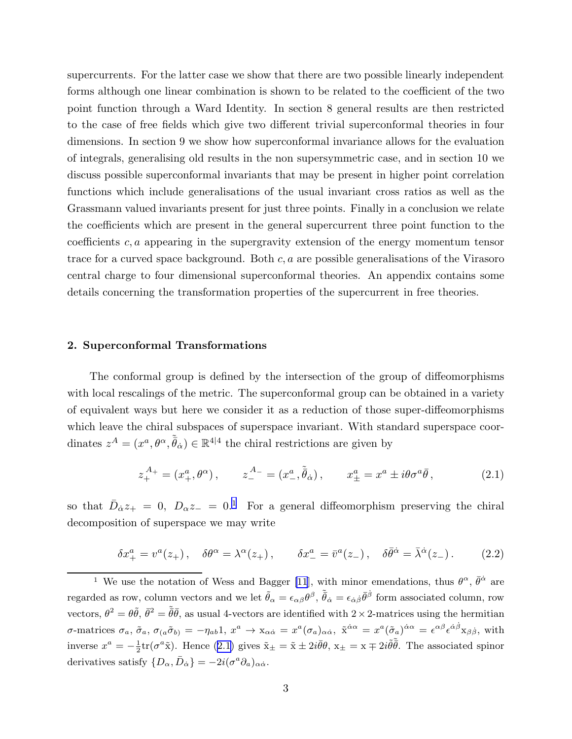<span id="page-3-0"></span>supercurrents. For the latter case we show that there are two possible linearly independent forms although one linear combination is shown to be related to the coefficient of the two point function through a Ward Identity. In section 8 general results are then restricted to the case of free fields which give two different trivial superconformal theories in four dimensions. In section 9 we show how superconformal invariance allows for the evaluation of integrals, generalising old results in the non supersymmetric case, and in section 10 we discuss possible superconformal invariants that may be present in higher point correlation functions which include generalisations of the usual invariant cross ratios as well as the Grassmann valued invariants present for just three points. Finally in a conclusion we relate the coefficients which are present in the general supercurrent three point function to the coefficients  $c, a$  appearing in the supergravity extension of the energy momentum tensor trace for a curved space background. Both  $c, a$  are possible generalisations of the Virasoro central charge to four dimensional superconformal theories. An appendix contains some details concerning the transformation properties of the supercurrent in free theories.

## 2. Superconformal Transformations

The conformal group is defined by the intersection of the group of diffeomorphisms with local rescalings of the metric. The superconformal group can be obtained in a variety of equivalent ways but here we consider it as a reduction of those super-diffeomorphisms which leave the chiral subspaces of superspace invariant. With standard superspace coordinates  $z^A = (x^a, \theta^{\alpha}, \tilde{\bar{\theta}}_{\dot{\alpha}}) \in \mathbb{R}^{4|4}$  the chiral restrictions are given by

$$
z_{+}^{A_{+}} = (x_{+}^{a}, \theta^{\alpha}), \qquad z_{-}^{A_{-}} = (x_{-}^{a}, \tilde{\bar{\theta}}_{\dot{\alpha}}), \qquad x_{\pm}^{a} = x^{a} \pm i\theta\sigma^{a}\bar{\theta}, \tag{2.1}
$$

so that  $\bar{D}_{\dot{\alpha}}z_{+} = 0$ ,  $D_{\alpha}z_{-} = 0$ .<sup>1</sup> For a general diffeomorphism preserving the chiral decomposition of superspace we may write

$$
\delta x_+^a = v^a(z_+), \quad \delta \theta^\alpha = \lambda^\alpha(z_+), \qquad \delta x_-^a = \bar{v}^a(z_-), \quad \delta \bar{\theta}^{\dot{\alpha}} = \bar{\lambda}^{\dot{\alpha}}(z_-). \tag{2.2}
$$

<sup>1</sup> We use the notation of Wess and Bagger [\[11](#page-51-0)], with minor emendations, thus  $\theta^{\alpha}$ ,  $\bar{\theta}^{\dot{\alpha}}$  are regarded as row, column vectors and we let  $\tilde{\theta}_\alpha = \epsilon_{\alpha\beta}\theta^\beta$ ,  $\tilde{\bar{\theta}}_{\dot{\alpha}} = \epsilon_{\dot{\alpha}\dot{\beta}}\bar{\theta}^{\dot{\beta}}$  form associated column, row vectors,  $\theta^2 = \theta \tilde{\theta}$ ,  $\bar{\theta}^2 = \tilde{\theta} \bar{\theta}$ , as usual 4-vectors are identified with  $2 \times 2$ -matrices using the hermitian  $\sigma$ -matrices  $\sigma_a$ ,  $\tilde{\sigma}_a$ ,  $\sigma_{(a}\tilde{\sigma}_{b)} = -\eta_{ab}1$ ,  $x^a \to x_{\alpha\dot{\alpha}} = x^a(\sigma_a)_{\alpha\dot{\alpha}}$ ,  $\tilde{x}^{\dot{\alpha}\alpha} = x^a(\tilde{\sigma}_a)^{\dot{\alpha}\alpha} = \epsilon^{\alpha\beta}\epsilon^{\dot{\alpha}\dot{\beta}}x_{\beta\dot{\beta}}$ , with inverse  $x^a = -\frac{1}{2}$  $\frac{1}{2}$ tr( $\sigma^a$ x̃). Hence (2.1) gives  $\tilde{x}_{\pm} = \tilde{x} \pm 2i\bar{\theta}\theta$ ,  $x_{\pm} = x \mp 2i\tilde{\theta}\tilde{\theta}$ . The associated spinor derivatives satisfy  $\{D_{\alpha}, \bar{D}_{\dot{\alpha}}\} = -2i(\sigma^a \partial_a)_{\alpha \dot{\alpha}}$ .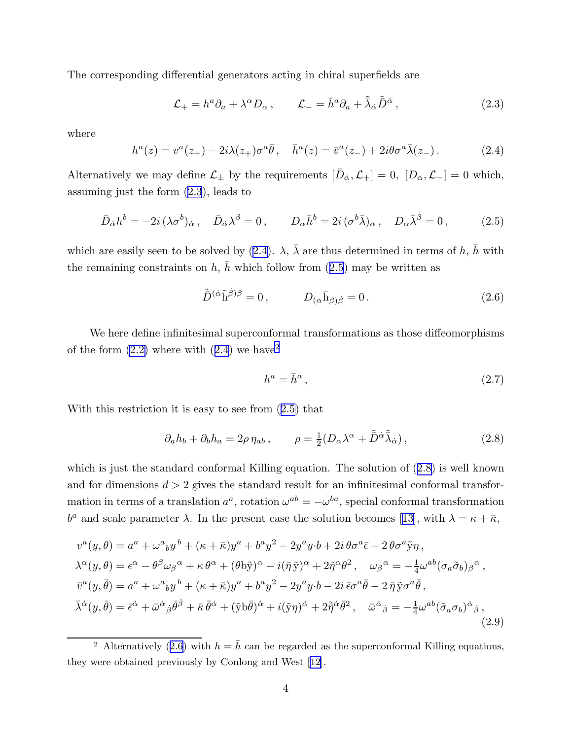<span id="page-4-0"></span>The corresponding differential generators acting in chiral superfields are

$$
\mathcal{L}_{+} = h^{a} \partial_{a} + \lambda^{\alpha} D_{\alpha} , \qquad \mathcal{L}_{-} = \bar{h}^{a} \partial_{a} + \tilde{\bar{\lambda}}_{\dot{\alpha}} \tilde{\bar{D}}^{\dot{\alpha}} , \qquad (2.3)
$$

where

$$
h^{a}(z) = v^{a}(z_{+}) - 2i\lambda(z_{+})\sigma^{a}\bar{\theta}, \quad \bar{h}^{a}(z) = \bar{v}^{a}(z_{-}) + 2i\theta\sigma^{a}\bar{\lambda}(z_{-}). \tag{2.4}
$$

Alternatively we may define  $\mathcal{L}_{\pm}$  by the requirements  $[\bar{D}_{\dot{\alpha}}, \mathcal{L}_{+}] = 0$ ,  $[D_{\alpha}, \mathcal{L}_{-}] = 0$  which, assuming just the form (2.3), leads to

$$
\bar{D}_{\dot{\alpha}}h^{b} = -2i\,(\lambda\sigma^{b})_{\dot{\alpha}}, \quad \bar{D}_{\dot{\alpha}}\lambda^{\beta} = 0, \qquad D_{\alpha}\bar{h}^{b} = 2i\,(\sigma^{b}\bar{\lambda})_{\alpha}, \quad D_{\alpha}\bar{\lambda}^{\dot{\beta}} = 0, \tag{2.5}
$$

which are easily seen to be solved by (2.4).  $\lambda$ ,  $\bar{\lambda}$  are thus determined in terms of h,  $\bar{h}$  with the remaining constraints on h,  $\bar{h}$  which follow from (2.5) may be written as

$$
\tilde{\bar{D}}^{(\dot{\alpha}}\tilde{\mathbf{h}}^{\dot{\beta})\beta} = 0, \qquad D_{(\alpha}\bar{\mathbf{h}}_{\beta)\dot{\beta}} = 0. \tag{2.6}
$$

We here define infinitesimal superconformal transformations as those diffeomorphisms of the form  $(2.2)$  where with  $(2.4)$  we have<sup>2</sup>

$$
h^a = \bar{h}^a \,,\tag{2.7}
$$

With this restriction it is easy to see from (2.5) that

$$
\partial_a h_b + \partial_b h_a = 2\rho \eta_{ab} , \qquad \rho = \frac{1}{2} (D_\alpha \lambda^\alpha + \tilde{\bar{D}}^{\dot{\alpha}} \tilde{\bar{\lambda}}_{\dot{\alpha}}) , \qquad (2.8)
$$

which is just the standard conformal Killing equation. The solution of (2.8) is well known and for dimensions  $d > 2$  gives the standard result for an infinitesimal conformal transformation in terms of a translation  $a^a$ , rotation  $\omega^{ab} = -\omega^{ba}$ , special conformal transformation  $b^a$ and scale parameter λ. In the present case the solution becomes [[13\]](#page-51-0), with  $\lambda = \kappa + \bar{\kappa}$ ,

$$
v^{a}(y,\theta) = a^{a} + \omega^{a}{}_{b}y^{b} + (\kappa + \bar{\kappa})y^{a} + b^{a}y^{2} - 2y^{a}y \cdot b + 2i\theta\sigma^{a}\bar{\epsilon} - 2\theta\sigma^{a}\tilde{y}\eta,
$$
  
\n
$$
\lambda^{\alpha}(y,\theta) = \epsilon^{\alpha} - \theta^{\beta}\omega_{\beta}{}^{\alpha} + \kappa\theta^{\alpha} + (\theta\tilde{b}\tilde{y})^{\alpha} - i(\bar{\eta}\tilde{y})^{\alpha} + 2\tilde{\eta}^{\alpha}\theta^{2}, \quad \omega_{\beta}{}^{\alpha} = -\frac{1}{4}\omega^{ab}(\sigma_{a}\tilde{\sigma}_{b})_{\beta}{}^{\alpha},
$$
  
\n
$$
\bar{v}^{a}(y,\bar{\theta}) = a^{a} + \omega^{a}{}_{b}y^{b} + (\kappa + \bar{\kappa})y^{a} + b^{a}y^{2} - 2y^{a}y \cdot b - 2i\bar{\epsilon}\sigma^{a}\bar{\theta} - 2\bar{\eta}\tilde{y}\sigma^{a}\bar{\theta},
$$
  
\n
$$
\bar{\lambda}^{\dot{\alpha}}(y,\bar{\theta}) = \bar{\epsilon}^{\dot{\alpha}} + \bar{\omega}^{\dot{\alpha}}{}_{\beta}\bar{\theta}^{\dot{\beta}} + \bar{\kappa}\bar{\theta}^{\dot{\alpha}} + (\tilde{y}\bar{b}\bar{\theta})^{\dot{\alpha}} + i(\tilde{y}\eta)^{\dot{\alpha}} + 2\tilde{\eta}^{\dot{\alpha}}\bar{\theta}^{2}, \quad \bar{\omega}^{\dot{\alpha}}{}_{\beta} = -\frac{1}{4}\omega^{ab}(\tilde{\sigma}_{a}\sigma_{b})^{\dot{\alpha}}{}_{\beta},
$$
\n(2.9)

<sup>&</sup>lt;sup>2</sup> Alternatively (2.6) with  $h = \bar{h}$  can be regarded as the superconformal Killing equations, they were obtained previously by Conlong and West [\[12](#page-51-0)].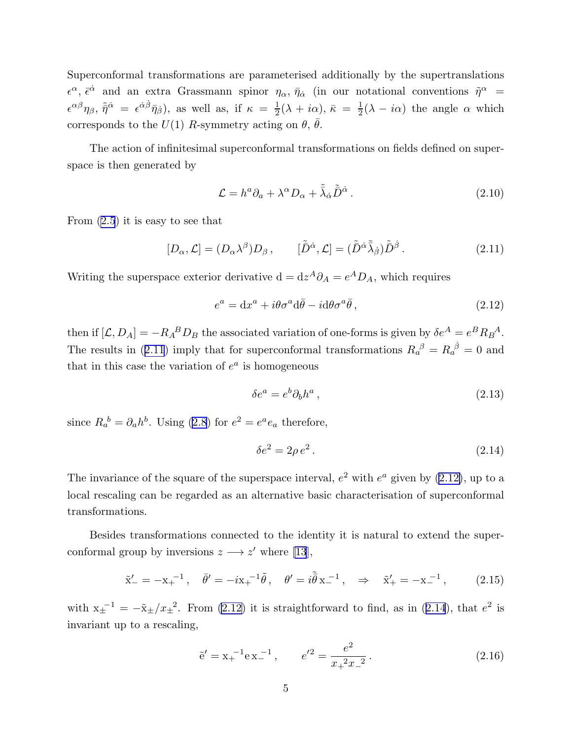<span id="page-5-0"></span>Superconformal transformations are parameterised additionally by the supertranslations  $\epsilon^{\alpha}, \bar{\epsilon}^{\dot{\alpha}}$  and an extra Grassmann spinor  $\eta_{\alpha}, \bar{\eta}_{\dot{\alpha}}$  (in our notational conventions  $\tilde{\eta}^{\alpha}$  =  $\epsilon^{\alpha\beta}\eta_{\beta}, \tilde{\eta}^{\dot{\alpha}} = \epsilon^{\dot{\alpha}\dot{\beta}}\bar{\eta}_{\dot{\beta}}$ , as well as, if  $\kappa = \frac{1}{2}$  $\frac{1}{2}(\lambda + i\alpha), \bar{\kappa} = \frac{1}{2}$  $\frac{1}{2}(\lambda - i\alpha)$  the angle  $\alpha$  which corresponds to the  $U(1)$  R-symmetry acting on  $\theta$ ,  $\theta$ .

The action of infinitesimal superconformal transformations on fields defined on superspace is then generated by

$$
\mathcal{L} = h^a \partial_a + \lambda^\alpha D_\alpha + \tilde{\lambda}_{\dot{\alpha}} \tilde{\bar{D}}^{\dot{\alpha}} \,. \tag{2.10}
$$

From [\(2.5](#page-4-0)) it is easy to see that

$$
[D_{\alpha}, \mathcal{L}] = (D_{\alpha}\lambda^{\beta})D_{\beta}, \qquad [\tilde{\bar{D}}^{\dot{\alpha}}, \mathcal{L}] = (\tilde{\bar{D}}^{\dot{\alpha}}\tilde{\bar{\lambda}}_{\dot{\beta}})\tilde{\bar{D}}^{\dot{\beta}}.
$$
 (2.11)

Writing the superspace exterior derivative  $d = dz^A \partial_A = e^A D_A$ , which requires

$$
e^{a} = dx^{a} + i\theta\sigma^{a}d\bar{\theta} - i d\theta\sigma^{a}\bar{\theta}, \qquad (2.12)
$$

then if  $[\mathcal{L}, D_A] = -R_A{}^B D_B$  the associated variation of one-forms is given by  $\delta e^A = e^B R_B{}^A$ . The results in (2.11) imply that for superconformal transformations  $R_a^{\beta} = R_a^{\dot{\beta}} = 0$  and that in this case the variation of  $e^a$  is homogeneous

$$
\delta e^a = e^b \partial_b h^a \,, \tag{2.13}
$$

since $R_a^b = \partial_a h^b$ . Using ([2.8](#page-4-0)) for  $e^2 = e^a e_a$  therefore,

$$
\delta e^2 = 2\rho e^2. \tag{2.14}
$$

The invariance of the square of the superspace interval,  $e^2$  with  $e^a$  given by (2.12), up to a local rescaling can be regarded as an alternative basic characterisation of superconformal transformations.

Besides transformations connected to the identity it is natural to extend the superconformal group by inversions  $z \rightarrow z'$  where [\[13](#page-51-0)],

$$
\tilde{x}'_{-} = -x_{+}^{-1}, \quad \bar{\theta}' = -ix_{+}^{-1}\tilde{\theta}, \quad \theta' = i\tilde{\bar{\theta}}x_{-}^{-1}, \quad \Rightarrow \quad \tilde{x}'_{+} = -x_{-}^{-1}, \quad (2.15)
$$

with  $x_{\pm}^{-1} = -\tilde{x}_{\pm}/x_{\pm}^{2}$ . From (2.12) it is straightforward to find, as in (2.14), that  $e^{2}$  is invariant up to a rescaling,

$$
\tilde{e}' = x_{+}^{-1} e x_{-}^{-1}, \qquad e'^{2} = \frac{e^{2}}{x_{+}^{2} x_{-}^{2}}.
$$
\n(2.16)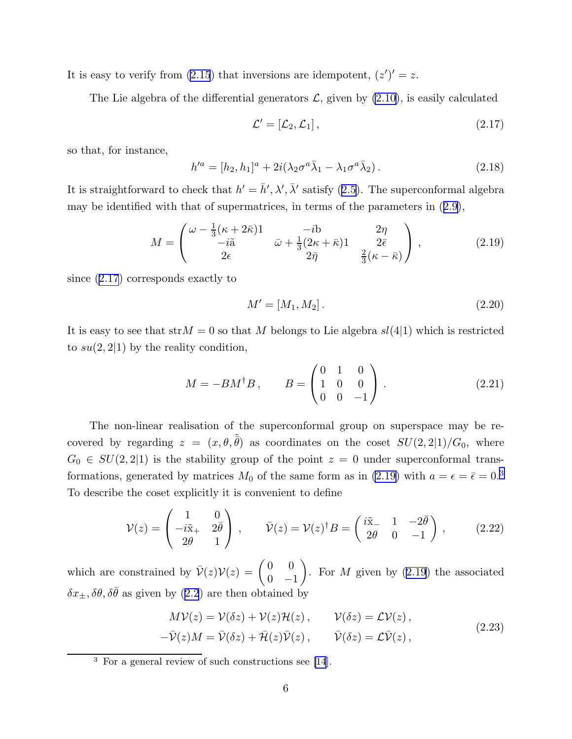<span id="page-6-0"></span>It is easy to verify from [\(2.15](#page-5-0)) that inversions are idempotent,  $(z')' = z$ .

The Lie algebra of the differential generators  $\mathcal{L}$ , given by  $(2.10)$ , is easily calculated

$$
\mathcal{L}' = [\mathcal{L}_2, \mathcal{L}_1], \tag{2.17}
$$

so that, for instance,

$$
h'^a = [h_2, h_1]^a + 2i(\lambda_2 \sigma^a \bar{\lambda}_1 - \lambda_1 \sigma^a \bar{\lambda}_2).
$$
 (2.18)

Itis straightforward to check that  $h' = \bar{h}', \lambda', \bar{\lambda}'$  satisfy ([2.5](#page-4-0)). The superconformal algebra may be identified with that of supermatrices, in terms of the parameters in([2.9\)](#page-4-0),

$$
M = \begin{pmatrix} \omega - \frac{1}{3}(\kappa + 2\bar{\kappa}) & -ib & 2\eta \\ -i\tilde{a} & \bar{\omega} + \frac{1}{3}(2\kappa + \bar{\kappa}) & 2\bar{\epsilon} \\ 2\epsilon & 2\bar{\eta} & \frac{2}{3}(\kappa - \bar{\kappa}) \end{pmatrix},
$$
(2.19)

since (2.17) corresponds exactly to

$$
M' = [M_1, M_2]. \t\t(2.20)
$$

It is easy to see that str $M = 0$  so that M belongs to Lie algebra  $sl(4|1)$  which is restricted to  $su(2, 2|1)$  by the reality condition,

$$
M = -BM^{\dagger}B, \qquad B = \begin{pmatrix} 0 & 1 & 0 \\ 1 & 0 & 0 \\ 0 & 0 & -1 \end{pmatrix}.
$$
 (2.21)

The non-linear realisation of the superconformal group on superspace may be recovered by regarding  $z = (x, \theta, \tilde{\bar{\theta}})$  as coordinates on the coset  $SU(2, 2|1)/G_0$ , where  $G_0 \in SU(2, 2|1)$  is the stability group of the point  $z = 0$  under superconformal transformations, generated by matrices  $M_0$  of the same form as in (2.19) with  $a = \epsilon = \bar{\epsilon} = 0.3$ To describe the coset explicitly it is convenient to define

$$
\mathcal{V}(z) = \begin{pmatrix} 1 & 0 \\ -i\tilde{x}_+ & 2\bar{\theta} \\ 2\theta & 1 \end{pmatrix}, \qquad \bar{\mathcal{V}}(z) = \mathcal{V}(z)^{\dagger} B = \begin{pmatrix} i\tilde{x}_- & 1 & -2\bar{\theta} \\ 2\theta & 0 & -1 \end{pmatrix}, \qquad (2.22)
$$

which are constrained by  $\bar{\mathcal{V}}(z)\mathcal{V}(z) = \begin{pmatrix} 0 & 0 \\ 0 & 0 \end{pmatrix}$  $0 -1$  $\setminus$ . For  $M$  given by  $(2.19)$  the associated  $\delta x_{\pm}, \delta \theta, \delta \bar{\theta}$  $\delta x_{\pm}, \delta \theta, \delta \bar{\theta}$  $\delta x_{\pm}, \delta \theta, \delta \bar{\theta}$  as given by ([2.2](#page-3-0)) are then obtained by

$$
M\mathcal{V}(z) = \mathcal{V}(\delta z) + \mathcal{V}(z)\mathcal{H}(z), \qquad \mathcal{V}(\delta z) = \mathcal{L}\mathcal{V}(z),
$$
  

$$
-\bar{\mathcal{V}}(z)M = \bar{\mathcal{V}}(\delta z) + \bar{\mathcal{H}}(z)\bar{\mathcal{V}}(z), \qquad \bar{\mathcal{V}}(\delta z) = \mathcal{L}\bar{\mathcal{V}}(z),
$$
 (2.23)

<sup>3</sup> For a general review of such constructions see [\[14](#page-52-0)].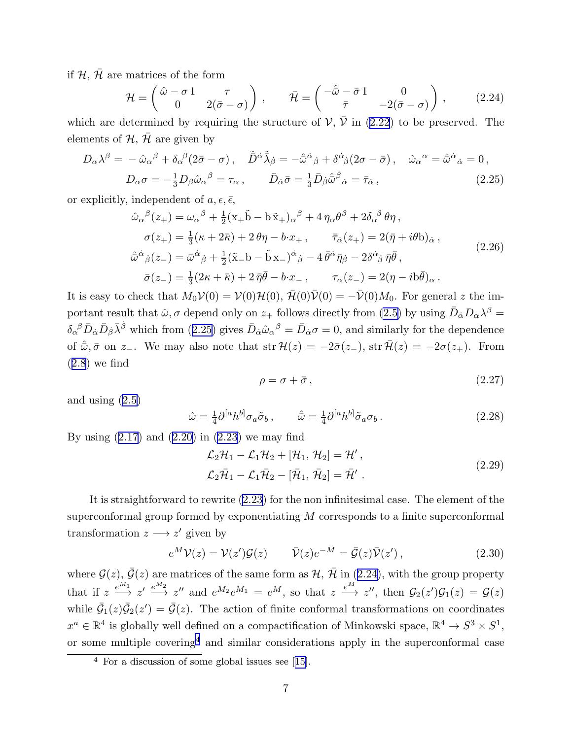<span id="page-7-0"></span>if  $\mathcal{H}, \bar{\mathcal{H}}$  are matrices of the form

$$
\mathcal{H} = \begin{pmatrix} \hat{\omega} - \sigma \mathbf{1} & \tau \\ 0 & 2(\bar{\sigma} - \sigma) \end{pmatrix}, \qquad \bar{\mathcal{H}} = \begin{pmatrix} -\hat{\bar{\omega}} - \bar{\sigma} \mathbf{1} & 0 \\ \bar{\tau} & -2(\bar{\sigma} - \sigma) \end{pmatrix}, \tag{2.24}
$$

whichare determined by requiring the structure of  $V, V$  in ([2.22](#page-6-0)) to be preserved. The elements of  $H$ ,  $\bar{H}$  are given by

$$
D_{\alpha}\lambda^{\beta} = -\hat{\omega}_{\alpha}{}^{\beta} + \delta_{\alpha}{}^{\beta}(2\bar{\sigma} - \sigma), \quad \tilde{\bar{D}}^{\dot{\alpha}}\tilde{\lambda}_{\dot{\beta}} = -\hat{\bar{\omega}}^{\dot{\alpha}}{}_{\dot{\beta}} + \delta^{\dot{\alpha}}{}_{\dot{\beta}}(2\sigma - \bar{\sigma}), \quad \hat{\omega}_{\alpha}{}^{\alpha} = \hat{\bar{\omega}}^{\dot{\alpha}}{}_{\dot{\alpha}} = 0,
$$
  

$$
D_{\alpha}\sigma = -\frac{1}{3}D_{\beta}\hat{\omega}_{\alpha}{}^{\beta} = \tau_{\alpha}, \qquad \bar{D}_{\dot{\alpha}}\bar{\sigma} = \frac{1}{3}\bar{D}_{\dot{\beta}}\hat{\bar{\omega}}^{\dot{\beta}}{}_{\dot{\alpha}} = \bar{\tau}_{\dot{\alpha}}, \qquad (2.25)
$$

or explicitly, independent of  $a, \epsilon, \bar{\epsilon}$ ,

$$
\hat{\omega}_{\alpha}{}^{\beta}(z_{+}) = \omega_{\alpha}{}^{\beta} + \frac{1}{2}(\mathbf{x}_{+}\tilde{\mathbf{b}} - \mathbf{b}\tilde{\mathbf{x}}_{+})_{\alpha}{}^{\beta} + 4\eta_{\alpha}\theta^{\beta} + 2\delta_{\alpha}{}^{\beta}\theta\eta, \n\sigma(z_{+}) = \frac{1}{3}(\kappa + 2\bar{\kappa}) + 2\theta\eta - b\cdot x_{+}, \qquad \bar{\tau}_{\dot{\alpha}}(z_{+}) = 2(\bar{\eta} + i\theta b)_{\dot{\alpha}}, \n\hat{\omega}^{\dot{\alpha}}{}_{\dot{\beta}}(z_{-}) = \bar{\omega}^{\dot{\alpha}}{}_{\dot{\beta}} + \frac{1}{2}(\tilde{\mathbf{x}}_{-}\mathbf{b} - \tilde{\mathbf{b}}\mathbf{x}_{-})^{\dot{\alpha}}{}_{\dot{\beta}} - 4\bar{\theta}^{\dot{\alpha}}\bar{\eta}{}_{\dot{\beta}} - 2\delta^{\dot{\alpha}}{}_{\dot{\beta}}\bar{\eta}\bar{\theta}, \n\bar{\sigma}(z_{-}) = \frac{1}{3}(2\kappa + \bar{\kappa}) + 2\bar{\eta}\bar{\theta} - b\cdot x_{-}, \qquad \tau_{\alpha}(z_{-}) = 2(\eta - i b\bar{\theta})_{\alpha}.
$$
\n(2.26)

It is easy to check that  $M_0V(0) = V(0)H(0), \overline{H}(0)\overline{V}(0) = -\overline{V}(0)M_0$ . For general z the important result that  $\hat{\omega}$ ,  $\sigma$  depend only on  $z_+$  follows directly from [\(2.5\)](#page-4-0) by using  $\bar{D}_{\dot{\alpha}}D_{\alpha}\lambda^{\beta} =$  $\delta_{\alpha}{}^{\beta} \bar{D}_{\dot{\alpha}} \bar{D}_{\dot{\beta}} \bar{\lambda}^{\dot{\beta}}$  which from (2.25) gives  $\bar{D}_{\dot{\alpha}} \hat{\omega}_{\alpha}{}^{\beta} = \bar{D}_{\dot{\alpha}} \sigma = 0$ , and similarly for the dependence of  $\hat{\omega}, \bar{\sigma}$  on z<sub>−</sub>. We may also note that str  $\mathcal{H}(z) = -2\bar{\sigma}(z_+)$ , str  $\bar{\mathcal{H}}(z) = -2\sigma(z_+)$ . From  $(2.8)$  $(2.8)$  $(2.8)$  we find

$$
\rho = \sigma + \bar{\sigma},\tag{2.27}
$$

and using [\(2.5\)](#page-4-0)

$$
\hat{\omega} = \frac{1}{4} \partial^{[a} h^{b]} \sigma_a \tilde{\sigma}_b , \qquad \hat{\omega} = \frac{1}{4} \partial^{[a} h^{b]} \tilde{\sigma}_a \sigma_b . \tag{2.28}
$$

Byusing  $(2.17)$  $(2.17)$  $(2.17)$  and  $(2.20)$  $(2.20)$  in  $(2.23)$  $(2.23)$  $(2.23)$  we may find

$$
\mathcal{L}_2\mathcal{H}_1 - \mathcal{L}_1\mathcal{H}_2 + [\mathcal{H}_1, \mathcal{H}_2] = \mathcal{H}',\n\mathcal{L}_2\bar{\mathcal{H}}_1 - \mathcal{L}_1\bar{\mathcal{H}}_2 - [\bar{\mathcal{H}}_1, \bar{\mathcal{H}}_2] = \bar{\mathcal{H}}'.
$$
\n(2.29)

It is straightforward to rewrite([2.23](#page-6-0)) for the non infinitesimal case. The element of the superconformal group formed by exponentiating M corresponds to a finite superconformal transformation  $z \longrightarrow z'$  given by

$$
e^M \mathcal{V}(z) = \mathcal{V}(z') \mathcal{G}(z) \qquad \bar{\mathcal{V}}(z) e^{-M} = \bar{\mathcal{G}}(z) \bar{\mathcal{V}}(z'), \qquad (2.30)
$$

where  $\mathcal{G}(z)$ ,  $\bar{\mathcal{G}}(z)$  are matrices of the same form as  $\mathcal{H}$ ,  $\bar{\mathcal{H}}$  in (2.24), with the group property that if  $z \stackrel{e^{M_1}}{\longrightarrow} z' \stackrel{e^{M_2}}{\longrightarrow} z''$  and  $e^{M_2}e^{M_1} = e^M$ , so that  $z \stackrel{e^M}{\longrightarrow} z''$ , then  $\mathcal{G}_2(z')\mathcal{G}_1(z) = \mathcal{G}(z)$ while  $\bar{\mathcal{G}}_1(z)\bar{\mathcal{G}}_2(z')=\bar{\mathcal{G}}(z)$ . The action of finite conformal transformations on coordinates  $x^a \in \mathbb{R}^4$  is globally well defined on a compactification of Minkowski space,  $\mathbb{R}^4 \to S^3 \times S^1$ , or some multiple covering<sup>4</sup> and similar considerations apply in the superconformal case

<sup>4</sup> For a discussion of some global issues see[[15\]](#page-52-0).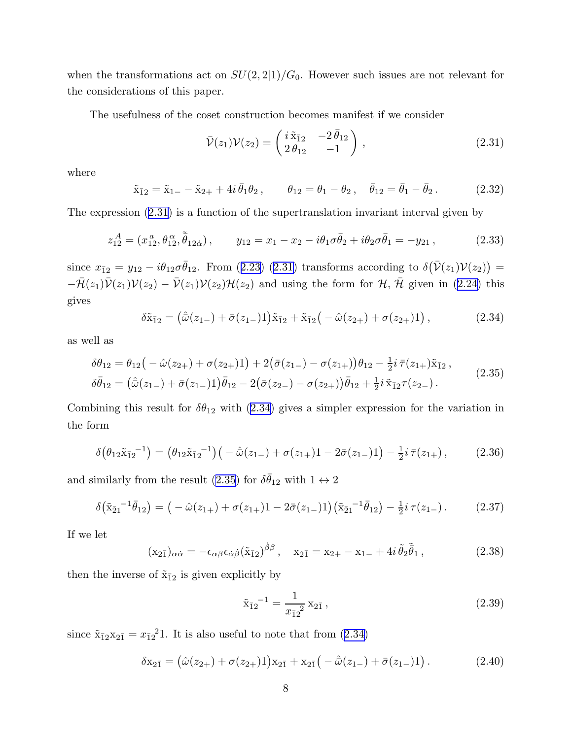<span id="page-8-0"></span>when the transformations act on  $SU(2, 2|1)/G_0$ . However such issues are not relevant for the considerations of this paper.

The usefulness of the coset construction becomes manifest if we consider

$$
\bar{\mathcal{V}}(z_1)\mathcal{V}(z_2) = \begin{pmatrix} i\tilde{\mathbf{x}}_{12} & -2\bar{\theta}_{12} \\ 2\theta_{12} & -1 \end{pmatrix},\tag{2.31}
$$

where

$$
\tilde{x}_{\bar{1}2} = \tilde{x}_{1-} - \tilde{x}_{2+} + 4i \bar{\theta}_1 \theta_2, \qquad \theta_{12} = \theta_1 - \theta_2, \quad \bar{\theta}_{12} = \bar{\theta}_1 - \bar{\theta}_2. \tag{2.32}
$$

The expression (2.31) is a function of the supertranslation invariant interval given by

$$
z_{12}^A = (x_{12}^a, \theta_{12}^\alpha, \tilde{\bar{\theta}}_{12\dot{\alpha}}), \qquad y_{12} = x_1 - x_2 - i\theta_1 \sigma \bar{\theta}_2 + i\theta_2 \sigma \bar{\theta}_1 = -y_{21}, \qquad (2.33)
$$

since $x_{\bar{1}2} = y_{12} - i\theta_{12}\sigma\bar{\theta}_{12}$ . From ([2.23\)](#page-6-0) (2.31) transforms according to  $\delta(\bar{\mathcal{V}}(z_1)\mathcal{V}(z_2)) =$  $-\bar{\mathcal{H}}(z_1)\bar{\mathcal{V}}(z_1)\mathcal{V}(z_2) - \bar{\mathcal{V}}(z_1)\mathcal{V}(z_2)\mathcal{H}(z_2)$  $-\bar{\mathcal{H}}(z_1)\bar{\mathcal{V}}(z_1)\mathcal{V}(z_2) - \bar{\mathcal{V}}(z_1)\mathcal{V}(z_2)\mathcal{H}(z_2)$  $-\bar{\mathcal{H}}(z_1)\bar{\mathcal{V}}(z_1)\mathcal{V}(z_2) - \bar{\mathcal{V}}(z_1)\mathcal{V}(z_2)\mathcal{H}(z_2)$  and using the form for  $\mathcal{H}, \bar{\mathcal{H}}$  given in ([2.24](#page-7-0)) this gives

$$
\delta \tilde{x}_{\bar{1}2} = (\hat{\omega}(z_{1-}) + \bar{\sigma}(z_{1-})1) \tilde{x}_{\bar{1}2} + \tilde{x}_{\bar{1}2}(-\hat{\omega}(z_{2+}) + \sigma(z_{2+})1), \qquad (2.34)
$$

as well as

$$
\delta\theta_{12} = \theta_{12} \left( -\hat{\omega}(z_{2+}) + \sigma(z_{2+})1 \right) + 2\left( \bar{\sigma}(z_{1-}) - \sigma(z_{1+}) \right) \theta_{12} - \frac{1}{2} i \, \bar{\tau}(z_{1+}) \tilde{x}_{\bar{1}2} \,,
$$
\n
$$
\delta\bar{\theta}_{12} = \left( \hat{\bar{\omega}}(z_{1-}) + \bar{\sigma}(z_{1-})1 \right) \bar{\theta}_{12} - 2\left( \bar{\sigma}(z_{2-}) - \sigma(z_{2+}) \right) \bar{\theta}_{12} + \frac{1}{2} i \, \tilde{x}_{\bar{1}2} \tau(z_{2-}) \,. \tag{2.35}
$$

Combining this result for  $\delta\theta_{12}$  with (2.34) gives a simpler expression for the variation in the form

$$
\delta(\theta_{12}\tilde{x}_{12}^{-1}) = (\theta_{12}\tilde{x}_{12}^{-1})(-\hat{\omega}(z_{1-}) + \sigma(z_{1+})1 - 2\bar{\sigma}(z_{1-})1) - \frac{1}{2}i\,\bar{\tau}(z_{1+}),
$$
(2.36)

and similarly from the result (2.35) for  $\delta\bar{\theta}_{12}$  with  $1 \leftrightarrow 2$ 

$$
\delta\big(\tilde{\mathbf{x}}_{\bar{2}1}^{-1}\bar{\theta}_{12}\big) = \big(-\hat{\omega}(z_{1+}) + \sigma(z_{1+})\big) - 2\bar{\sigma}(z_{1-})\big)\big(\tilde{\mathbf{x}}_{\bar{2}1}^{-1}\bar{\theta}_{12}\big) - \frac{1}{2}i\,\tau(z_{1-})\,. \tag{2.37}
$$

If we let

$$
(\mathbf{x}_{2\bar{1}})_{\alpha\dot{\alpha}} = -\epsilon_{\alpha\beta}\epsilon_{\dot{\alpha}\dot{\beta}}(\tilde{\mathbf{x}}_{\bar{1}2})^{\dot{\beta}\beta}, \quad \mathbf{x}_{2\bar{1}} = \mathbf{x}_{2+} - \mathbf{x}_{1-} + 4i\,\tilde{\theta}_2\tilde{\bar{\theta}}_1,
$$
\n(2.38)

then the inverse of  $\tilde{x}_{\bar{1}2}$  is given explicitly by

$$
\tilde{\mathbf{x}}_{\bar{1}2}^{-1} = \frac{1}{x_{\bar{1}2}^2} \mathbf{x}_{2\bar{1}},\tag{2.39}
$$

since  $\tilde{x}_{\bar{1}2}x_{2\bar{1}} = x_{\bar{1}2}^21$ . It is also useful to note that from  $(2.34)$ 

$$
\delta x_{2\bar{1}} = (\hat{\omega}(z_{2+}) + \sigma(z_{2+})1)x_{2\bar{1}} + x_{2\bar{1}}(-\hat{\bar{\omega}}(z_{1-}) + \bar{\sigma}(z_{1-})1).
$$
 (2.40)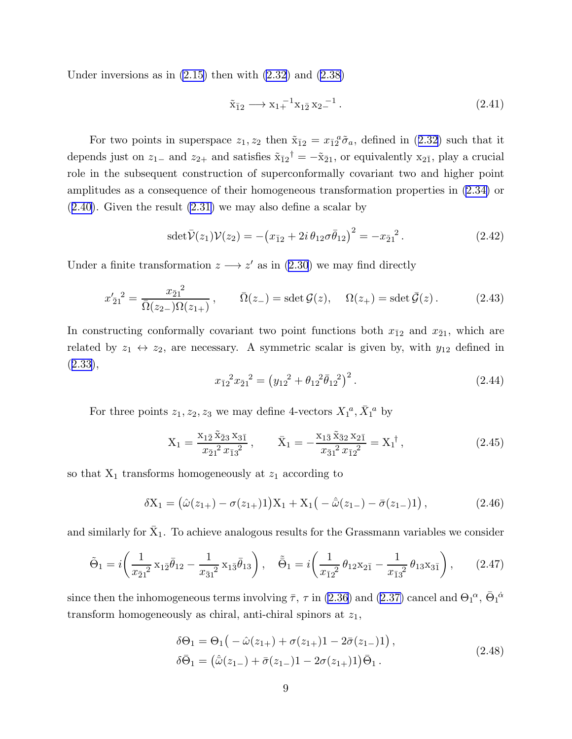<span id="page-9-0"></span>Under inversions as in  $(2.15)$  then with  $(2.32)$  and  $(2.38)$ 

$$
\tilde{x}_{\bar{1}2} \longrightarrow x_1 + ^{1} x_{1\bar{2}} x_2 - ^{1}. \tag{2.41}
$$

Fortwo points in superspace  $z_1, z_2$  then  $\tilde{x}_{\bar{1}2} = x_{\bar{1}2}^{\bar{2}} \tilde{\sigma}_a$ , defined in ([2.32\)](#page-8-0) such that it depends just on  $z_{1-}$  and  $z_{2+}$  and satisfies  $\tilde{x}_{12}^{\dagger} = -\tilde{x}_{21}$ , or equivalently  $x_{21}$ , play a crucial role in the subsequent construction of superconformally covariant two and higher point amplitudes as a consequence of their homogeneous transformation properties in [\(2.34\)](#page-8-0) or ([2.40](#page-8-0)). Given the result [\(2.31\)](#page-8-0) we may also define a scalar by

$$
\operatorname{sdet} \bar{\mathcal{V}}(z_1) \mathcal{V}(z_2) = -\left(x_{\bar{1}2} + 2i \,\theta_{12} \sigma \bar{\theta}_{12}\right)^2 = -x_{\bar{2}1}^2. \tag{2.42}
$$

Undera finite transformation  $z \rightarrow z'$  as in ([2.30](#page-7-0)) we may find directly

$$
x'_{\bar{2}1}^2 = \frac{x_{\bar{2}1}^2}{\bar{\Omega}(z_{2-})\Omega(z_{1+})}, \qquad \bar{\Omega}(z_{-}) = \text{sdet}\,\mathcal{G}(z), \quad \Omega(z_{+}) = \text{sdet}\,\bar{\mathcal{G}}(z) \,. \tag{2.43}
$$

In constructing conformally covariant two point functions both  $x_{\bar{1}2}$  and  $x_{\bar{2}1}$ , which are related by  $z_1 \leftrightarrow z_2$ , are necessary. A symmetric scalar is given by, with  $y_{12}$  defined in  $(2.33),$  $(2.33),$  $(2.33),$ 

$$
x_{\bar{1}2}^2 x_{\bar{2}1}^2 = (y_{12}^2 + \theta_{12}^2 \bar{\theta}_{12}^2)^2.
$$
 (2.44)

For three points  $z_1, z_2, z_3$  we may define 4-vectors  $X_1^a, \overline{X}_1^a$  by

$$
X_1 = \frac{x_{1\bar{2}}\tilde{x}_{\bar{2}3}x_{3\bar{1}}}{x_{\bar{2}1}^2 x_{\bar{1}3}^2}, \qquad \bar{X}_1 = -\frac{x_{1\bar{3}}\tilde{x}_{\bar{3}2}x_{2\bar{1}}}{x_{\bar{3}1}^2 x_{\bar{1}2}^2} = X_1^{\dagger}, \qquad (2.45)
$$

so that  $X_1$  transforms homogeneously at  $z_1$  according to

$$
\delta X_1 = (\hat{\omega}(z_{1+}) - \sigma(z_{1+})1)X_1 + X_1(-\hat{\omega}(z_{1-}) - \bar{\sigma}(z_{1-})1), \qquad (2.46)
$$

and similarly for  $\bar{X}_1$ . To achieve analogous results for the Grassmann variables we consider

$$
\tilde{\Theta}_1 = i \left( \frac{1}{x_{\bar{2}1}^2} x_{1\bar{2}} \bar{\theta}_{12} - \frac{1}{x_{\bar{3}1}^2} x_{1\bar{3}} \bar{\theta}_{13} \right), \quad \tilde{\Theta}_1 = i \left( \frac{1}{x_{\bar{1}2}^2} \theta_{12} x_{2\bar{1}} - \frac{1}{x_{\bar{1}3}^2} \theta_{13} x_{3\bar{1}} \right), \tag{2.47}
$$

since then the inhomogeneous terms involving  $\bar{\tau}$ ,  $\tau$  in [\(2.36\)](#page-8-0) and [\(2.37\)](#page-8-0) cancel and  $\Theta_1{}^{\alpha}$ ,  $\bar{\Theta}_1{}^{\dot{\alpha}}$ transform homogeneously as chiral, anti-chiral spinors at  $z_1$ ,

$$
\delta\Theta_1 = \Theta_1 \big( -\hat{\omega}(z_{1+}) + \sigma(z_{1+}) - 2\bar{\sigma}(z_{1-})\big) ,
$$
  
\n
$$
\delta\bar{\Theta}_1 = (\hat{\omega}(z_{1-}) + \bar{\sigma}(z_{1-}) - 2\sigma(z_{1+})\big)\bar{\Theta}_1 .
$$
\n(2.48)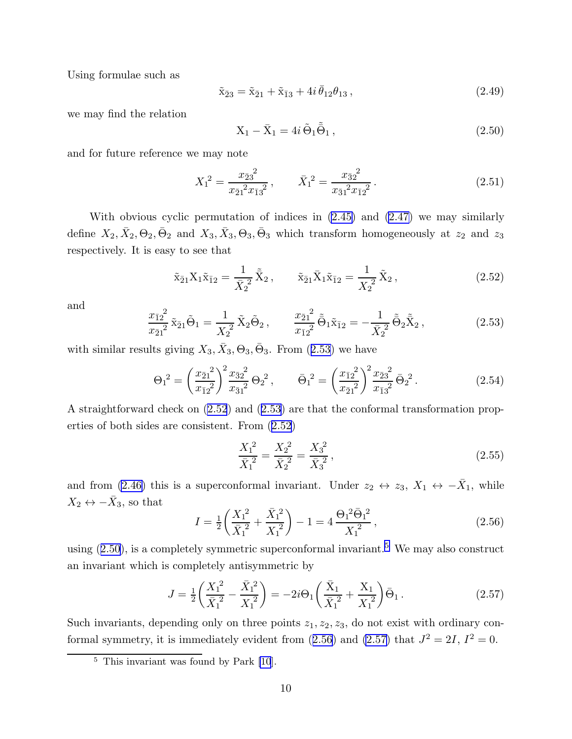<span id="page-10-0"></span>Using formulae such as

$$
\tilde{x}_{\bar{2}3} = \tilde{x}_{\bar{2}1} + \tilde{x}_{\bar{1}3} + 4i \bar{\theta}_{12} \theta_{13},
$$
\n(2.49)

we may find the relation

$$
X_1 - \bar{X}_1 = 4i \tilde{\Theta}_1 \tilde{\bar{\Theta}}_1, \qquad (2.50)
$$

and for future reference we may note

$$
X_1^2 = \frac{x_{\bar{2}3}^2}{x_{\bar{2}1}^2 x_{\bar{1}3}^2}, \qquad \bar{X}_1^2 = \frac{x_{\bar{3}2}^2}{x_{\bar{3}1}^2 x_{\bar{1}2}^2}.
$$
 (2.51)

With obvious cyclic permutation of indices in  $(2.45)$  and  $(2.47)$  we may similarly define  $X_2, \bar{X}_2, \Theta_2, \bar{\Theta}_2$  and  $X_3, \bar{X}_3, \Theta_3, \bar{\Theta}_3$  which transform homogeneously at  $z_2$  and  $z_3$ respectively. It is easy to see that

$$
\tilde{\mathbf{x}}_{\bar{2}1} \mathbf{X}_1 \tilde{\mathbf{x}}_{\bar{1}2} = \frac{1}{\bar{X}_2^2} \tilde{\bar{\mathbf{X}}}_2, \qquad \tilde{\mathbf{x}}_{\bar{2}1} \bar{\mathbf{X}}_1 \tilde{\mathbf{x}}_{\bar{1}2} = \frac{1}{X_2^2} \tilde{\mathbf{X}}_2,
$$
\n(2.52)

and

$$
\frac{x_{\bar{1}2}^2}{x_{\bar{2}1}^2} \tilde{x}_{\bar{2}1} \tilde{\Theta}_1 = \frac{1}{X_2^2} \tilde{X}_2 \tilde{\Theta}_2, \qquad \frac{x_{\bar{2}1}^2}{x_{\bar{1}2}^2} \tilde{\Theta}_1 \tilde{x}_{\bar{1}2} = -\frac{1}{\bar{X}_2^2} \tilde{\Theta}_2 \tilde{\bar{X}}_2, \qquad (2.53)
$$

with similar results giving  $X_3, \overline{X}_3, \Theta_3, \overline{\Theta}_3$ . From  $(2.53)$  we have

$$
\Theta_1^2 = \left(\frac{x_{\bar{2}1}^2}{x_{\bar{1}2}^2}\right)^2 \frac{x_{\bar{3}2}^2}{x_{\bar{3}1}^2} \Theta_2^2, \qquad \bar{\Theta}_1^2 = \left(\frac{x_{\bar{1}2}^2}{x_{\bar{2}1}^2}\right)^2 \frac{x_{\bar{2}3}^2}{x_{\bar{1}3}^2} \bar{\Theta}_2^2. \tag{2.54}
$$

A straightforward check on (2.52) and (2.53) are that the conformal transformation properties of both sides are consistent. From (2.52)

$$
\frac{X_1^2}{\bar{X}_1^2} = \frac{X_2^2}{\bar{X}_2^2} = \frac{X_3^2}{\bar{X}_3^2},
$$
\n(2.55)

and from [\(2.46\)](#page-9-0) this is a superconformal invariant. Under  $z_2 \leftrightarrow z_3$ ,  $X_1 \leftrightarrow -\overline{X}_1$ , while  $X_2 \leftrightarrow -\bar{X}_3$ , so that

$$
I = \frac{1}{2} \left( \frac{X_1^2}{\bar{X}_1^2} + \frac{\bar{X}_1^2}{X_1^2} \right) - 1 = 4 \frac{\Theta_1^2 \bar{\Theta}_1^2}{X_1^2},
$$
\n(2.56)

using  $(2.50)$ , is a completely symmetric superconformal invariant.<sup>5</sup> We may also construct an invariant which is completely antisymmetric by

$$
J = \frac{1}{2} \left( \frac{X_1^2}{\bar{X}_1^2} - \frac{\bar{X}_1^2}{X_1^2} \right) = -2i\Theta_1 \left( \frac{\bar{X}_1}{\bar{X}_1^2} + \frac{X_1}{X_1^2} \right) \bar{\Theta}_1. \tag{2.57}
$$

Such invariants, depending only on three points  $z_1, z_2, z_3$ , do not exist with ordinary conformal symmetry, it is immediately evident from  $(2.56)$  and  $(2.57)$  that  $J^2 = 2I$ ,  $I^2 = 0$ .

<sup>5</sup> This invariant was found by Park [\[10](#page-51-0)].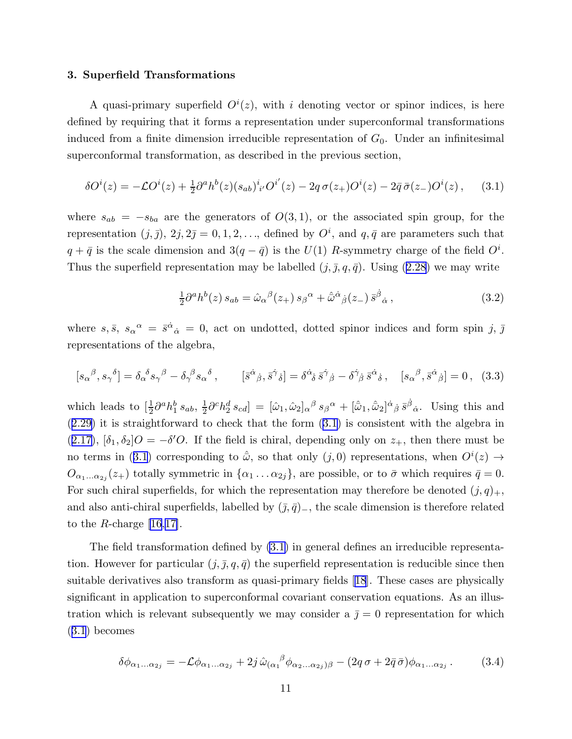#### <span id="page-11-0"></span>3. Superfield Transformations

A quasi-primary superfield  $O^{i}(z)$ , with i denoting vector or spinor indices, is here defined by requiring that it forms a representation under superconformal transformations induced from a finite dimension irreducible representation of  $G_0$ . Under an infinitesimal superconformal transformation, as described in the previous section,

$$
\delta O^{i}(z) = -\mathcal{L}O^{i}(z) + \frac{1}{2}\partial^{a}h^{b}(z)(s_{ab})^{i}{}_{i'}O^{i'}(z) - 2q\,\sigma(z_{+})O^{i}(z) - 2\bar{q}\,\bar{\sigma}(z_{-})O^{i}(z) ,\qquad (3.1)
$$

where  $s_{ab} = -s_{ba}$  are the generators of  $O(3,1)$ , or the associated spin group, for the representation  $(j, \bar{j})$ ,  $2j, 2\bar{j} = 0, 1, 2, \ldots$ , defined by  $O^i$ , and  $q, \bar{q}$  are parameters such that  $q + \bar{q}$  is the scale dimension and  $3(q - \bar{q})$  is the  $U(1)$  R-symmetry charge of the field  $O^i$ . Thusthe superfield representation may be labelled  $(j, \bar{j}, q, \bar{q})$ . Using ([2.28](#page-7-0)) we may write

$$
\frac{1}{2}\partial^a h^b(z) s_{ab} = \hat{\omega}_{\alpha}{}^{\beta}(z_+) s_{\beta}{}^{\alpha} + \hat{\bar{\omega}}^{\dot{\alpha}}{}_{\dot{\beta}}(z_-) \bar{s}^{\dot{\beta}}{}_{\dot{\alpha}} ,\qquad (3.2)
$$

where  $s, \bar{s}, s_{\alpha}{}^{\alpha} = \bar{s}^{\dot{\alpha}}{}_{\dot{\alpha}} = 0$ , act on undotted, dotted spinor indices and form spin j,  $\bar{j}$ representations of the algebra,

$$
[s_{\alpha}{}^{\beta}, s_{\gamma}{}^{\delta}] = \delta_{\alpha}{}^{\delta} s_{\gamma}{}^{\beta} - \delta_{\gamma}{}^{\beta} s_{\alpha}{}^{\delta} , \qquad [\bar{s}^{\dot{\alpha}}{}_{\dot{\beta}}, \bar{s}^{\dot{\gamma}}{}_{\dot{\delta}}] = \delta^{\dot{\alpha}}{}_{\dot{\delta}} \bar{s}^{\dot{\gamma}}{}_{\dot{\beta}} - \delta^{\dot{\gamma}}{}_{\dot{\beta}} \bar{s}^{\dot{\alpha}}{}_{\dot{\delta}} , \quad [s_{\alpha}{}^{\beta}, \bar{s}^{\dot{\alpha}}{}_{\dot{\beta}}] = 0 , \quad (3.3)
$$

which leads to  $\left[\frac{1}{2}\partial^a h_1^b s_{ab}, \frac{1}{2}\right]$  $\frac{1}{2}\partial^c h_2^d s_{cd}$  =  $[\hat{\omega}_1, \hat{\omega}_2]_{\alpha}{}^{\beta} s_{\beta}{}^{\alpha} + [\hat{\bar{\omega}}_1, \hat{\bar{\omega}}_2]^{\dot{\alpha}}{}_{\dot{\beta}} \bar{s}^{\dot{\beta}}{}_{\dot{\alpha}}$ . Using this and ([2.29](#page-7-0)) it is straightforward to check that the form (3.1) is consistent with the algebra in  $(2.17)$  $(2.17)$  $(2.17)$ ,  $[\delta_1, \delta_2]O = -\delta'O$ . If the field is chiral, depending only on  $z_+$ , then there must be no terms in (3.1) corresponding to  $\hat{\omega}$ , so that only  $(j,0)$  representations, when  $O^{i}(z) \rightarrow$  $O_{\alpha_1...\alpha_{2j}}(z_+)$  totally symmetric in  $\{\alpha_1...\alpha_{2j}\}\text{,}$  are possible, or to  $\bar{\sigma}$  which requires  $\bar{q}=0$ . For such chiral superfields, for which the representation may therefore be denoted  $(j, q)_+,$ and also anti-chiral superfields, labelled by  $(\bar{j}, \bar{q})$ <sub>-</sub>, the scale dimension is therefore related to the R-charge  $[16,17]$  $[16,17]$ .

The field transformation defined by (3.1) in general defines an irreducible representation. However for particular  $(j, \bar{j}, q, \bar{q})$  the superfield representation is reducible since then suitable derivatives also transform as quasi-primary fields[[18](#page-52-0)]. These cases are physically significant in application to superconformal covariant conservation equations. As an illustration which is relevant subsequently we may consider a  $\bar{j} = 0$  representation for which (3.1) becomes

$$
\delta\phi_{\alpha_1...\alpha_{2j}} = -\mathcal{L}\phi_{\alpha_1...\alpha_{2j}} + 2j\,\hat{\omega}_{(\alpha_1}{}^{\beta}\phi_{\alpha_2...\alpha_{2j})\beta} - (2q\,\sigma + 2\bar{q}\,\bar{\sigma})\phi_{\alpha_1...\alpha_{2j}}.
$$
 (3.4)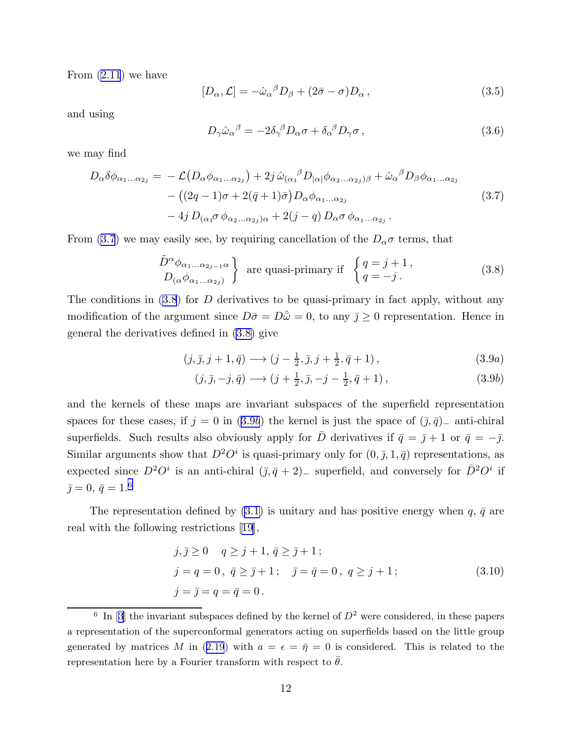<span id="page-12-0"></span>From [\(2.11](#page-5-0)) we have

$$
[D_{\alpha}, \mathcal{L}] = -\hat{\omega}_{\alpha}{}^{\beta} D_{\beta} + (2\bar{\sigma} - \sigma) D_{\alpha} , \qquad (3.5)
$$

and using

$$
D_{\gamma}\hat{\omega}_{\alpha}{}^{\beta} = -2\delta_{\gamma}{}^{\beta}D_{\alpha}\sigma + \delta_{\alpha}{}^{\beta}D_{\gamma}\sigma, \qquad (3.6)
$$

we may find

$$
D_{\alpha}\delta\phi_{\alpha_{1}...\alpha_{2j}} = -\mathcal{L}(D_{\alpha}\phi_{\alpha_{1}...\alpha_{2j}}) + 2j\,\hat{\omega}_{(\alpha_{1}}{}^{\beta}D_{|\alpha|}\phi_{\alpha_{2}...\alpha_{2j}})_{\beta} + \hat{\omega}_{\alpha}{}^{\beta}D_{\beta}\phi_{\alpha_{1}...\alpha_{2j}} - ((2q - 1)\sigma + 2(\bar{q} + 1)\bar{\sigma})D_{\alpha}\phi_{\alpha_{1}...\alpha_{2j}} - 4j\,D_{(\alpha_{1}}\sigma\,\phi_{\alpha_{2}...\alpha_{2j})\alpha} + 2(j - q)\,D_{\alpha}\sigma\,\phi_{\alpha_{1}...\alpha_{2j}}.
$$
\n(3.7)

From (3.7) we may easily see, by requiring cancellation of the  $D_{\alpha}\sigma$  terms, that

$$
\left.\frac{\tilde{D}^{\alpha}\phi_{\alpha_1...\alpha_{2j-1}\alpha}}{D_{(\alpha}\phi_{\alpha_1...\alpha_{2j})}}\right\}\n\text{ are quasi-primary if }\n\begin{cases}\n q = j + 1, \\
q = -j.\n\end{cases}\n\tag{3.8}
$$

The conditions in  $(3.8)$  for D derivatives to be quasi-primary in fact apply, without any modification of the argument since  $D\bar{\sigma} = D\hat{\omega} = 0$ , to any  $\bar{j} \ge 0$  representation. Hence in general the derivatives defined in (3.8) give

$$
(j, \bar{j}, j+1, \bar{q}) \longrightarrow (j - \frac{1}{2}, \bar{j}, j + \frac{1}{2}, \bar{q} + 1), \tag{3.9a}
$$

$$
(j, \bar{j}, -j, \bar{q}) \longrightarrow (j + \frac{1}{2}, \bar{j}, -j - \frac{1}{2}, \bar{q} + 1), \tag{3.9b}
$$

and the kernels of these maps are invariant subspaces of the superfield representation spaces for these cases, if  $j = 0$  in (3.9b) the kernel is just the space of  $(\bar{j}, \bar{q})$ <sub>−</sub> anti-chiral superfields. Such results also obviously apply for  $\bar{D}$  derivatives if  $\bar{q} = \bar{j} + 1$  or  $\bar{q} = -\bar{j}$ . Similar arguments show that  $D^2O^i$  is quasi-primary only for  $(0, \bar{\jmath}, 1, \bar{q})$  representations, as expected since  $D^2O^i$  is an anti-chiral  $(\bar{j}, \bar{q}+2)$ <sub>-</sub> superfield, and conversely for  $\bar{D}^2O^i$  if  $\bar{\jmath} = 0, \, \bar{q} = 1.6$ 

The representation defined by [\(3.1\)](#page-11-0) is unitary and has positive energy when  $q, \bar{q}$  are real with the following restrictions[[19\]](#page-52-0),

$$
j, \bar{j} \ge 0 \quad q \ge j+1, \bar{q} \ge \bar{j}+1; \nj = q = 0, \ \bar{q} \ge \bar{j}+1; \quad \bar{j} = \bar{q} = 0, \ q \ge j+1; \nj = \bar{j} = q = \bar{q} = 0.
$$
\n(3.10)

<sup>&</sup>lt;sup>6</sup>In [[3](#page-51-0)] the invariant subspaces defined by the kernel of  $D^2$  were considered, in these papers a representation of the superconformal generators acting on superfields based on the little group generatedby matrices M in ([2.19](#page-6-0)) with  $a = \epsilon = \bar{\eta} = 0$  is considered. This is related to the representation here by a Fourier transform with respect to  $\bar{\theta}$ .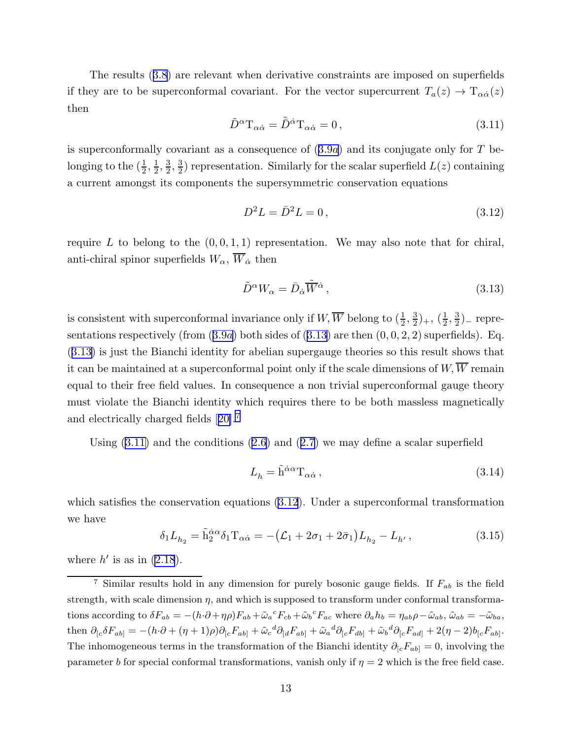<span id="page-13-0"></span>The results([3.8](#page-12-0)) are relevant when derivative constraints are imposed on superfields if they are to be superconformal covariant. For the vector supercurrent  $T_a(z) \to T_{\alpha\dot{\alpha}}(z)$ then

$$
\tilde{D}^{\alpha}T_{\alpha\dot{\alpha}} = \tilde{D}^{\dot{\alpha}}T_{\alpha\dot{\alpha}} = 0, \qquad (3.11)
$$

is superconformally covariant as a consequence of  $(3.9a)$  $(3.9a)$  $(3.9a)$  and its conjugate only for T belonging to the  $(\frac{1}{2}, \frac{1}{2})$  $\frac{1}{2}, \frac{3}{2}$  $\frac{3}{2}, \frac{3}{2}$  $\frac{3}{2}$ ) representation. Similarly for the scalar superfield  $L(z)$  containing a current amongst its components the supersymmetric conservation equations

$$
D^2L = \bar{D}^2L = 0,
$$
\n(3.12)

require L to belong to the  $(0, 0, 1, 1)$  representation. We may also note that for chiral, anti-chiral spinor superfields  $W_{\alpha}$ ,  $\overline{W}_{\dot{\alpha}}$  then

$$
\tilde{D}^{\alpha}W_{\alpha} = \bar{D}_{\dot{\alpha}}\tilde{\overline{W}}^{\dot{\alpha}},\tag{3.13}
$$

is consistent with superconformal invariance only if  $W$ ,  $\overline{W}$  belong to  $(\frac{1}{2}, \frac{3}{2})$  $(\frac{3}{2})_+, (\frac{1}{2})$  $\frac{1}{2}$ ,  $\frac{3}{2}$  $(\frac{3}{2})$ <sub>-</sub> represent[a](#page-12-0)tions respectively (from  $(3.9a)$  both sides of  $(3.13)$  are then  $(0, 0, 2, 2)$  superfields). Eq. (3.13) is just the Bianchi identity for abelian supergauge theories so this result shows that it can be maintained at a superconformal point only if the scale dimensions of  $W$ ,  $\overline{W}$  remain equal to their free field values. In consequence a non trivial superconformal gauge theory must violate the Bianchi identity which requires there to be both massless magnetically and electrically charged fields[[20\]](#page-52-0).<sup>7</sup>

Using $(3.11)$  and the conditions  $(2.6)$  $(2.6)$  $(2.6)$  and  $(2.7)$  $(2.7)$  we may define a scalar superfield

$$
L_h = \tilde{h}^{\dot{\alpha}\alpha} T_{\alpha\dot{\alpha}} , \qquad (3.14)
$$

which satisfies the conservation equations (3.12). Under a superconformal transformation we have

$$
\delta_1 L_{h_2} = \tilde{h}_2^{\dot{\alpha}\alpha} \delta_1 T_{\alpha\dot{\alpha}} = -(\mathcal{L}_1 + 2\sigma_1 + 2\bar{\sigma}_1) L_{h_2} - L_{h'},
$$
\n(3.15)

where  $h'$  is as in  $(2.18)$ .

<sup>&</sup>lt;sup>7</sup> Similar results hold in any dimension for purely bosonic gauge fields. If  $F_{ab}$  is the field strength, with scale dimension  $\eta$ , and which is supposed to transform under conformal transformations according to  $\delta F_{ab} = -(h \cdot \partial + \eta \rho) F_{ab} + \tilde{\omega}_a{}^c F_{cb} + \tilde{\omega}_b{}^c F_{ac}$  where  $\partial_a h_b = \eta_{ab} \rho - \tilde{\omega}_{ab}$ ,  $\tilde{\omega}_{ab} = -\tilde{\omega}_{ba}$ , then  $\partial_{[c}\delta F_{ab]} = -(h\cdot\partial + (\eta+1)\rho)\partial_{[c}F_{ab]} + \tilde{\omega}_c{}^d\partial_{[d}F_{ab]} + \tilde{\omega}_a{}^d\partial_{[c}F_{db]} + \tilde{\omega}_b{}^d\partial_{[c}F_{ad]} + 2(\eta-2)b_{[c}F_{ab]}.$ The inhomogeneous terms in the transformation of the Bianchi identity  $\partial_{[c}F_{ab]} = 0$ , involving the parameter b for special conformal transformations, vanish only if  $\eta = 2$  which is the free field case.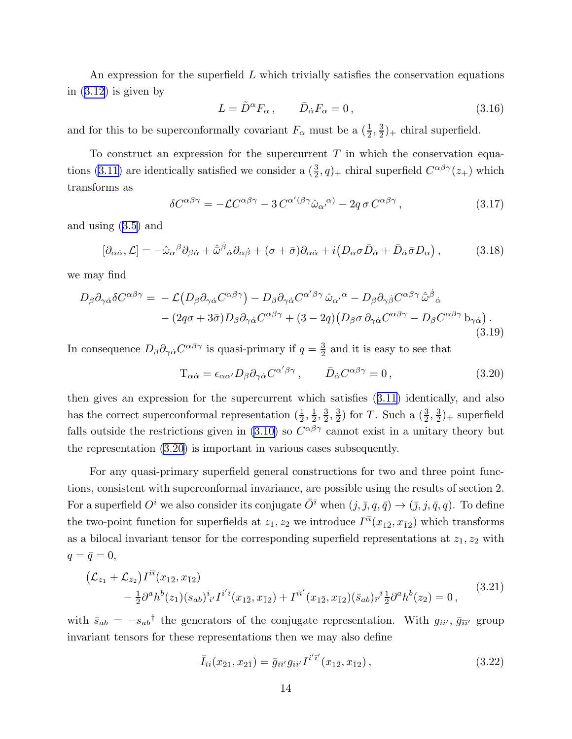<span id="page-14-0"></span>An expression for the superfield  $L$  which trivially satisfies the conservation equations in $(3.12)$  $(3.12)$  is given by

$$
L = \tilde{D}^{\alpha} F_{\alpha} , \qquad \bar{D}_{\dot{\alpha}} F_{\alpha} = 0 , \qquad (3.16)
$$

and for this to be superconformally covariant  $F_{\alpha}$  must be a  $(\frac{1}{2}, \frac{3}{2})$  $(\frac{3}{2})_+$  chiral superfield.

To construct an expression for the supercurrent  $T$  in which the conservation equa-tions [\(3.11\)](#page-13-0) are identically satisfied we consider a  $(\frac{3}{2}, q)_+$  chiral superfield  $C^{\alpha\beta\gamma}(z_+)$  which transforms as

$$
\delta C^{\alpha\beta\gamma} = -\mathcal{L}C^{\alpha\beta\gamma} - 3C^{\alpha'(\beta\gamma}\hat{\omega}_{\alpha'}{}^{\alpha)} - 2q\,\sigma C^{\alpha\beta\gamma},\tag{3.17}
$$

and using [\(3.5\)](#page-12-0) and

$$
[\partial_{\alpha\dot{\alpha}}, \mathcal{L}] = -\hat{\omega}_{\alpha}{}^{\beta} \partial_{\beta\dot{\alpha}} + \hat{\bar{\omega}}^{\dot{\beta}}{}_{\dot{\alpha}} \partial_{\alpha\dot{\beta}} + (\sigma + \bar{\sigma}) \partial_{\alpha\dot{\alpha}} + i (D_{\alpha} \sigma \bar{D}_{\dot{\alpha}} + \bar{D}_{\dot{\alpha}} \bar{\sigma} D_{\alpha}), \tag{3.18}
$$

we may find

$$
D_{\beta}\partial_{\gamma\dot{\alpha}}\delta C^{\alpha\beta\gamma} = -\mathcal{L}\big(D_{\beta}\partial_{\gamma\dot{\alpha}}C^{\alpha\beta\gamma}\big) - D_{\beta}\partial_{\gamma\dot{\alpha}}C^{\alpha'\beta\gamma}\hat{\omega}_{\alpha'}{}^{\alpha} - D_{\beta}\partial_{\gamma\dot{\beta}}C^{\alpha\beta\gamma}\hat{\omega}^{\dot{\beta}}{}_{\dot{\alpha}} - (2q\sigma + 3\bar{\sigma})D_{\beta}\partial_{\gamma\dot{\alpha}}C^{\alpha\beta\gamma} + (3-2q)\big(D_{\beta}\sigma\partial_{\gamma\dot{\alpha}}C^{\alpha\beta\gamma} - D_{\beta}C^{\alpha\beta\gamma}\mathbf{b}_{\gamma\dot{\alpha}}\big).
$$
\n(3.19)

In consequence  $D_{\beta}\partial_{\gamma\dot{\alpha}}C^{\alpha\beta\gamma}$  is quasi-primary if  $q=\frac{3}{2}$  $\frac{3}{2}$  and it is easy to see that

$$
T_{\alpha\dot{\alpha}} = \epsilon_{\alpha\alpha'} D_{\beta} \partial_{\gamma\dot{\alpha}} C^{\alpha'\beta\gamma}, \qquad \bar{D}_{\dot{\alpha}} C^{\alpha\beta\gamma} = 0, \qquad (3.20)
$$

then gives an expression for the supercurrent which satisfies([3.11\)](#page-13-0) identically, and also has the correct superconformal representation  $(\frac{1}{2}, \frac{1}{2})$  $\frac{1}{2}, \frac{3}{2}$  $\frac{3}{2}, \frac{3}{2}$  $\frac{3}{2}$ ) for T. Such a  $(\frac{3}{2}, \frac{3}{2})$  $(\frac{3}{2})_+$  superfield falls outside the restrictions given in [\(3.10\)](#page-12-0) so  $C^{\alpha\beta\gamma}$  cannot exist in a unitary theory but the representation (3.20) is important in various cases subsequently.

For any quasi-primary superfield general constructions for two and three point functions, consistent with superconformal invariance, are possible using the results of section 2. For a superfield  $O^i$  we also consider its conjugate  $\overline{O}^{\overline{i}}$  when  $(j, \overline{j}, q, \overline{q}) \to (\overline{j}, j, \overline{q}, q)$ . To define the two-point function for superfields at  $z_1, z_2$  we introduce  $I^{i\bar{\imath}}(x_{1\bar{2}}, x_{\bar{1}2})$  which transforms as a bilocal invariant tensor for the corresponding superfield representations at  $z_1, z_2$  with  $q = \bar{q} = 0,$ 

$$
\begin{split} \left( \mathcal{L}_{z_1} + \mathcal{L}_{z_2} \right) I^{i\bar{\imath}}(x_{1\bar{2}}, x_{\bar{1}2}) \\ &- \frac{1}{2} \partial^a h^b(z_1) (s_{ab})^i_{\ i'} I^{i'\bar{\imath}}(x_{1\bar{2}}, x_{\bar{1}2}) + I^{i\bar{\imath}'}(x_{1\bar{2}}, x_{\bar{1}2}) (\bar{s}_{ab})_{\bar{\imath}'}^{\ \bar{\imath}} \frac{1}{2} \partial^a h^b(z_2) = 0 \,, \end{split} \tag{3.21}
$$

with  $\bar{s}_{ab} = -s_{ab}^{\dagger}$  the generators of the conjugate representation. With  $g_{ii'}$ ,  $\bar{g}_{\overline{i}i'}$  group invariant tensors for these representations then we may also define

$$
\bar{I}_{\bar{i}i}(x_{\bar{2}1}, x_{2\bar{1}}) = \bar{g}_{\bar{i}\bar{i}j} g_{ii'} I^{i'\bar{i}'}(x_{1\bar{2}}, x_{\bar{1}2}), \qquad (3.22)
$$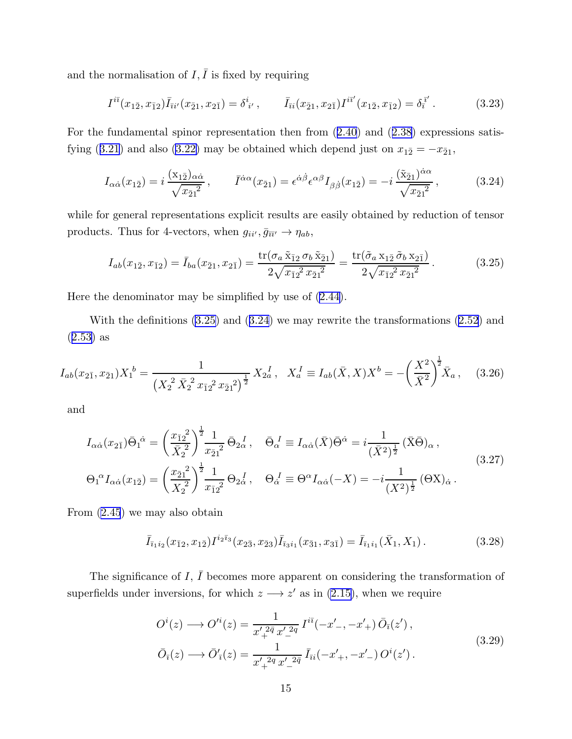<span id="page-15-0"></span>and the normalisation of  $I, \overline{I}$  is fixed by requiring

$$
I^{i\bar{\imath}}(x_{1\bar{2}}, x_{\bar{1}2})\bar{I}_{\bar{\imath}i'}(x_{\bar{2}1}, x_{2\bar{1}}) = \delta^i_{\ i'} , \qquad \bar{I}_{\bar{\imath}i}(x_{\bar{2}1}, x_{2\bar{1}})I^{i\bar{\imath}'}(x_{1\bar{2}}, x_{\bar{1}2}) = \delta^{\bar{\imath}'}_i . \tag{3.23}
$$

For the fundamental spinor representation then from([2.40](#page-8-0)) and([2.38\)](#page-8-0) expressions satis-fying([3.21\)](#page-14-0) and also [\(3.22\)](#page-14-0) may be obtained which depend just on  $x_{1\bar{2}} = -x_{\bar{2}1}$ ,

$$
I_{\alpha\dot{\alpha}}(x_{1\bar{2}}) = i \frac{(x_{1\bar{2}})_{\alpha\dot{\alpha}}}{\sqrt{x_{\bar{2}1}^2}}, \qquad \bar{I}^{\dot{\alpha}\alpha}(x_{\bar{2}1}) = \epsilon^{\dot{\alpha}\dot{\beta}} \epsilon^{\alpha\beta} I_{\beta\dot{\beta}}(x_{1\bar{2}}) = -i \frac{(\tilde{x}_{\bar{2}1})^{\dot{\alpha}\alpha}}{\sqrt{x_{\bar{2}1}^2}}, \qquad (3.24)
$$

while for general representations explicit results are easily obtained by reduction of tensor products. Thus for 4-vectors, when  $g_{ii'}$ ,  $\bar{g}_{\overline{i}i'} \to \eta_{ab}$ ,

$$
I_{ab}(x_{1\bar{2}}, x_{\bar{1}2}) = \bar{I}_{ba}(x_{\bar{2}1}, x_{2\bar{1}}) = \frac{\text{tr}(\sigma_a \tilde{x}_{\bar{1}2} \sigma_b \tilde{x}_{\bar{2}1})}{2\sqrt{x_{\bar{1}2}^2 x_{\bar{2}1}^2}} = \frac{\text{tr}(\tilde{\sigma}_a x_{1\bar{2}} \tilde{\sigma}_b x_{2\bar{1}})}{2\sqrt{x_{\bar{1}2}^2 x_{\bar{2}1}^2}}.
$$
(3.25)

Here the denominator may be simplified by use of [\(2.44\)](#page-9-0).

With the definitions (3.25) and (3.24) we may rewrite the transformations([2.52](#page-10-0)) and ([2.53](#page-10-0)) as

$$
I_{ab}(x_{2\bar{1}}, x_{\bar{2}1})X_1^{\ b} = \frac{1}{\left(X_2^2 \bar{X}_2^2 x_{\bar{1}2}^2 x_{\bar{2}1}^2\right)^{\frac{1}{2}}} X_{2a}^{\ I}, \quad X_a^{\ I} \equiv I_{ab}(\bar{X}, X)X^b = -\left(\frac{X^2}{\bar{X}^2}\right)^{\frac{1}{2}} \bar{X}_a \,, \tag{3.26}
$$

and

$$
I_{\alpha\dot{\alpha}}(x_{2\bar{1}})\bar{\Theta}_{1}^{\dot{\alpha}} = \left(\frac{x_{\bar{1}2}^{2}}{\bar{X}_{2}^{2}}\right)^{\frac{1}{2}}\frac{1}{x_{\bar{2}1}^{2}}\bar{\Theta}_{2\dot{\alpha}}^{I}, \quad \bar{\Theta}_{\alpha}^{I} \equiv I_{\alpha\dot{\alpha}}(\bar{X})\bar{\Theta}^{\dot{\alpha}} = i\frac{1}{(\bar{X}^{2})^{\frac{1}{2}}}(\bar{X}\bar{\Theta})_{\alpha},
$$
  

$$
\Theta_{1}^{\alpha}I_{\alpha\dot{\alpha}}(x_{1\bar{2}}) = \left(\frac{x_{\bar{2}1}^{2}}{X_{2}^{2}}\right)^{\frac{1}{2}}\frac{1}{x_{\bar{1}2}^{2}}\Theta_{2\dot{\alpha}}^{I}, \quad \Theta_{\alpha}^{I} \equiv \Theta^{\alpha}I_{\alpha\dot{\alpha}}(-X) = -i\frac{1}{(X^{2})^{\frac{1}{2}}}(\Theta X)_{\dot{\alpha}}.
$$
(3.27)

From [\(2.45](#page-9-0)) we may also obtain

$$
\bar{I}_{\bar{i}_1 i_2}(x_{\bar{1}2}, x_{1\bar{2}}) I^{i_2 \bar{i}_3}(x_{2\bar{3}}, x_{\bar{2}3}) \bar{I}_{\bar{i}_3 i_1}(x_{\bar{3}1}, x_{3\bar{1}}) = \bar{I}_{\bar{i}_1 i_1}(\bar{X}_1, X_1).
$$
\n(3.28)

The significance of  $I, \bar{I}$  becomes more apparent on considering the transformation of superfields under inversions, for which  $z \rightarrow z'$  as in [\(2.15\)](#page-5-0), when we require

$$
O^{i}(z) \longrightarrow O'^{i}(z) = \frac{1}{x'_{+}^{2\bar{q}} x'_{-}^{2q}} I^{i\bar{i}}(-x'_{-}, -x'_{+}) \bar{O}_{\bar{i}}(z'),
$$
  
\n
$$
\bar{O}_{\bar{i}}(z) \longrightarrow \bar{O}'_{\bar{i}}(z) = \frac{1}{x'_{+}^{2q} x'_{-}^{2\bar{q}}} \bar{I}_{\bar{i}i}(-x'_{+}, -x'_{-}) O^{i}(z').
$$
\n(3.29)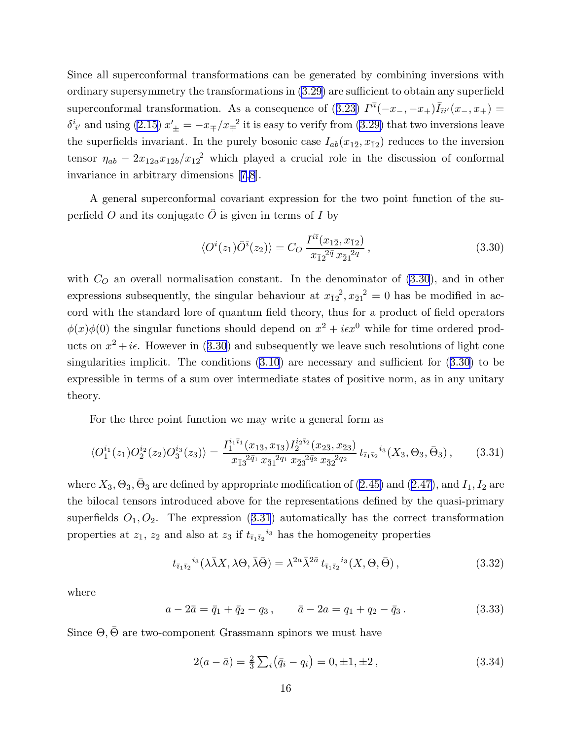<span id="page-16-0"></span>Since all superconformal transformations can be generated by combining inversions with ordinary supersymmetry the transformations in [\(3.29\)](#page-15-0) are sufficient to obtain any superfield superconformaltransformation. As a consequence of ([3.23](#page-15-0))  $I^{i\bar{i}}(-x_-, -x_+) \bar{I}_{\bar{i}i'}(x_-, x_+) =$  $\delta^{i}_{i'}$  and using [\(2.15\)](#page-5-0)  $x'_{\pm} = -x_{\mp}/x_{\mp}^2$  it is easy to verify from [\(3.29\)](#page-15-0) that two inversions leave the superfields invariant. In the purely bosonic case  $I_{ab}(x_{1\bar{2}}, x_{\bar{1}2})$  reduces to the inversion tensor  $\eta_{ab} - 2x_{12a}x_{12b}/x_{12}^2$  which played a crucial role in the discussion of conformal invariance in arbitrary dimensions[[7,8](#page-51-0)].

A general superconformal covariant expression for the two point function of the superfield O and its conjugate  $\overline{O}$  is given in terms of I by

$$
\langle O^{i}(z_1)\overline{O}^{\overline{i}}(z_2)\rangle = C_O \frac{I^{i\overline{i}}(x_{1\overline{2}}, x_{\overline{1}2})}{x_{\overline{1}2}^{2\overline{q}} x_{\overline{2}1}^{2q}},
$$
\n(3.30)

with  $C<sub>O</sub>$  an overall normalisation constant. In the denominator of (3.30), and in other expressions subsequently, the singular behaviour at  $x_{\overline{1}2}^2$ ,  $x_{\overline{2}1}^2 = 0$  has be modified in accord with the standard lore of quantum field theory, thus for a product of field operators  $\phi(x)\phi(0)$  the singular functions should depend on  $x^2 + i\epsilon x^0$  while for time ordered products on  $x^2 + i\epsilon$ . However in (3.30) and subsequently we leave such resolutions of light cone singularitiesimplicit. The conditions  $(3.10)$  $(3.10)$  $(3.10)$  are necessary and sufficient for  $(3.30)$  to be expressible in terms of a sum over intermediate states of positive norm, as in any unitary theory.

For the three point function we may write a general form as

$$
\langle O_1^{i_1}(z_1)O_2^{i_2}(z_2)O_3^{i_3}(z_3)\rangle = \frac{I_1^{i_1\bar{i}_1}(x_{1\bar{3}}, x_{\bar{1}3})I_2^{i_2\bar{i}_2}(x_{2\bar{3}}, x_{\bar{2}3})}{x_{\bar{1}3}^{2\bar{q}_1}x_{\bar{3}1}^{2q_1}x_{\bar{2}3}^{2\bar{q}_2}x_{\bar{3}2}^{2q_2}}t_{\bar{i}_1\bar{i}_2}^{i_3}(X_3, \Theta_3, \bar{\Theta}_3),\tag{3.31}
$$

where $X_3, \Theta_3, \bar{\Theta}_3$  are defined by appropriate modification of  $(2.45)$  and  $(2.47)$  $(2.47)$ , and  $I_1, I_2$  are the bilocal tensors introduced above for the representations defined by the quasi-primary superfields  $O_1, O_2$ . The expression  $(3.31)$  automatically has the correct transformation properties at  $z_1$ ,  $z_2$  and also at  $z_3$  if  $t_{\bar{i}_1\bar{i}_2}^{i_3}$  has the homogeneity properties

$$
t_{\bar{\imath}_1\bar{\imath}_2}{}^{i_3}(\lambda\bar{\lambda}X,\lambda\Theta,\bar{\lambda}\bar{\Theta}) = \lambda^{2a}\bar{\lambda}^{2\bar{a}} t_{\bar{\imath}_1\bar{\imath}_2}{}^{i_3}(X,\Theta,\bar{\Theta}),\tag{3.32}
$$

where

$$
a - 2\bar{a} = \bar{q}_1 + \bar{q}_2 - q_3, \qquad \bar{a} - 2a = q_1 + q_2 - \bar{q}_3. \tag{3.33}
$$

Since  $\Theta$ ,  $\bar{\Theta}$  are two-component Grassmann spinors we must have

$$
2(a - \bar{a}) = \frac{2}{3} \sum_{i} (\bar{q}_i - q_i) = 0, \pm 1, \pm 2, \qquad (3.34)
$$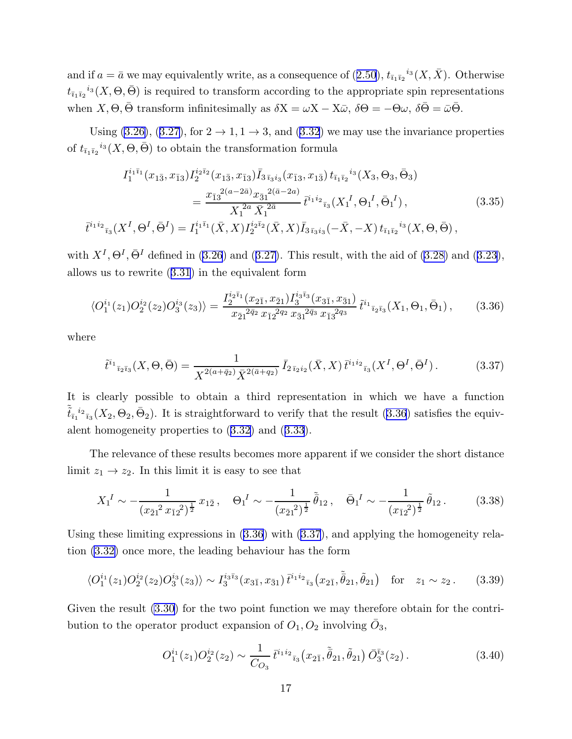<span id="page-17-0"></span>andif  $a = \bar{a}$  we may equivalently write, as a consequence of  $(2.50)$  $(2.50)$ ,  $t_{\bar{i}_1 i_2}^{i_3}(X, \bar{X})$ . Otherwise  $t_{\bar{i}_1\bar{i}_2}^{i_3}(X, \Theta, \bar{\Theta})$  is required to transform according to the appropriate spin representations when  $X, \Theta, \overline{\Theta}$  transform infinitesimally as  $\delta X = \omega X - X\overline{\omega}, \delta\Theta = -\Theta\omega, \delta\overline{\Theta} = \overline{\omega}\overline{\Theta}.$ 

Using [\(3.26\)](#page-15-0),([3.27](#page-15-0)), for  $2 \rightarrow 1, 1 \rightarrow 3$ , and [\(3.32](#page-16-0)) we may use the invariance properties of  $t_{\bar{i}_1\bar{i}_2}^{i_3}(X, \Theta, \bar{\Theta})$  to obtain the transformation formula

$$
I_{1}^{i_{1}\bar{i}_{1}}(x_{1\bar{3}}, x_{\bar{1}3}) I_{2}^{i_{2}\bar{i}_{2}}(x_{1\bar{3}}, x_{\bar{1}3}) \bar{I}_{3\bar{i}_{3}i_{3}}(x_{\bar{1}3}, x_{1\bar{3}}) t_{\bar{i}_{1}\bar{i}_{2}}{}^{i_{3}}(X_{3}, \Theta_{3}, \bar{\Theta}_{3})
$$
  

$$
= \frac{x_{\bar{1}3}^{2(a-2\bar{a})} x_{\bar{3}1}^{2(\bar{a}-2a)}}{X_{1}^{2a} \bar{X}_{1}^{2\bar{a}}} \bar{t}^{\bar{i}_{1}i_{2}}{}_{\bar{i}_{3}}(X_{1}^{I}, \Theta_{1}^{I}, \bar{\Theta}_{1}^{I}), \qquad (3.35)
$$

$$
\bar{t}^{\bar{i}_{1}i_{2}}{}_{\bar{i}_{3}}(X^{I}, \Theta^{I}, \bar{\Theta}^{I}) = I_{1}^{i_{1}\bar{i}_{1}}(\bar{X}, X) I_{2}^{i_{2}\bar{i}_{2}}(\bar{X}, X) \bar{I}_{3\bar{i}_{3}i_{3}}(-\bar{X}, -X) t_{\bar{i}_{1}\bar{i}_{2}}{}^{i_{3}}(X, \Theta, \bar{\Theta}),
$$

with $X^I$ ,  $\Theta^I$ ,  $\bar{\Theta}^I$  defined in [\(3.26](#page-15-0)) and ([3.27\)](#page-15-0). This result, with the aid of [\(3.28\)](#page-15-0) and ([3.23](#page-15-0)), allows us to rewrite([3.31](#page-16-0)) in the equivalent form

$$
\langle O_1^{i_1}(z_1)O_2^{i_2}(z_2)O_3^{i_3}(z_3)\rangle = \frac{I_2^{i_2\bar{\imath}_1}(x_{2\bar{1}}, x_{\bar{2}1})I_3^{i_3\bar{\imath}_3}(x_{3\bar{1}}, x_{\bar{3}1})}{x_{\bar{2}1}^{2\bar{q}_2}x_{\bar{1}2}^{2q_2}x_{\bar{3}1}^{2\bar{q}_3}x_{\bar{1}3}^{2q_3}}\tilde{t}^{i_1}_{\bar{i}_2\bar{i}_3}(X_1, \Theta_1, \bar{\Theta}_1),\tag{3.36}
$$

where

$$
\tilde{t}^{i_1}_{\bar{i}_2\bar{i}_3}(X,\Theta,\bar{\Theta}) = \frac{1}{X^{2(a+\bar{q}_2)}\bar{X}^{2(\bar{a}+q_2)}} \bar{I}_{2\bar{i}_2i_2}(\bar{X},X) \bar{t}^{i_1i_2}_{\bar{i}_3}(X^I,\Theta^I,\bar{\Theta}^I). \tag{3.37}
$$

It is clearly possible to obtain a third representation in which we have a function  $\tilde{\tilde{t}}_{\bar{i}_1}^{i_2}$   $\bar{i}_3$  ( $X_2$ ,  $\Theta_2$ ,  $\bar{\Theta}_2$ ). It is straightforward to verify that the result (3.36) satisfies the equivalent homogeneity properties to([3.32](#page-16-0)) and([3.33](#page-16-0)).

The relevance of these results becomes more apparent if we consider the short distance limit  $z_1 \rightarrow z_2$ . In this limit it is easy to see that

$$
X_1^I \sim -\frac{1}{(x_{\bar{2}1}^2 x_{\bar{1}2}^2)^{\frac{1}{2}}} x_{1\bar{2}}, \quad \Theta_1^I \sim -\frac{1}{(x_{\bar{2}1}^2)^{\frac{1}{2}}} \tilde{\bar{\theta}}_{12}, \quad \bar{\Theta}_1^I \sim -\frac{1}{(x_{\bar{1}2}^2)^{\frac{1}{2}}} \tilde{\theta}_{12}. \tag{3.38}
$$

Using these limiting expressions in (3.36) with (3.37), and applying the homogeneity relation [\(3.32\)](#page-16-0) once more, the leading behaviour has the form

$$
\langle O_1^{i_1}(z_1)O_2^{i_2}(z_2)O_3^{i_3}(z_3)\rangle \sim I_3^{i_3\bar{i}_3}(x_{3\bar{1}}, x_{\bar{3}1}) \bar{t}^{i_1i_2}_{\bar{i}_3}(x_{2\bar{1}}, \tilde{\bar{\theta}}_{21}, \tilde{\theta}_{21}) \quad \text{for} \quad z_1 \sim z_2. \tag{3.39}
$$

Given the result [\(3.30\)](#page-16-0) for the two point function we may therefore obtain for the contribution to the operator product expansion of  $O_1$ ,  $O_2$  involving  $\bar{O}_3$ ,

$$
O_1^{i_1}(z_1)O_2^{i_2}(z_2) \sim \frac{1}{C_{O_3}} \bar{t}^{i_1 i_2}_{\bar{i}_3}(x_{2\bar{1}}, \tilde{\bar{\theta}}_{21}, \tilde{\theta}_{21}) \bar{O}_3^{\bar{i}_3}(z_2).
$$
 (3.40)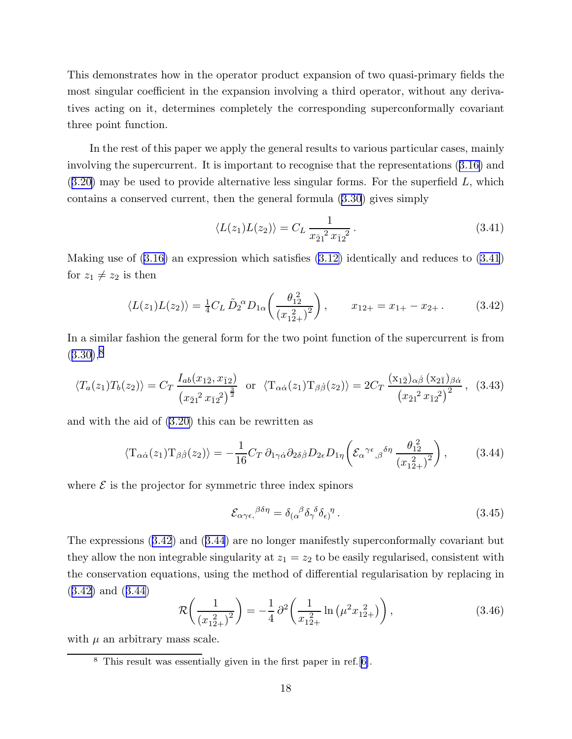<span id="page-18-0"></span>This demonstrates how in the operator product expansion of two quasi-primary fields the most singular coefficient in the expansion involving a third operator, without any derivatives acting on it, determines completely the corresponding superconformally covariant three point function.

In the rest of this paper we apply the general results to various particular cases, mainly involving the supercurrent. It is important to recognise that the representations([3.16](#page-14-0)) and  $(3.20)$  $(3.20)$  $(3.20)$  may be used to provide alternative less singular forms. For the superfield L, which contains a conserved current, then the general formula([3.30](#page-16-0)) gives simply

$$
\langle L(z_1)L(z_2) \rangle = C_L \frac{1}{x_{\bar{2}1}^2 x_{\bar{1}2}^2}.
$$
\n(3.41)

Making use of [\(3.16\)](#page-14-0) an expression which satisfies [\(3.12\)](#page-13-0) identically and reduces to (3.41) for  $z_1 \neq z_2$  is then

$$
\langle L(z_1)L(z_2) \rangle = \frac{1}{4} C_L \tilde{D}_2^{\alpha} D_{1\alpha} \left( \frac{\theta_{12}^2}{(x_{12+}^2)^2} \right), \qquad x_{12+} = x_{1+} - x_{2+} \,. \tag{3.42}
$$

In a similar fashion the general form for the two point function of the supercurrent is from  $(3.30),<sup>8</sup>$  $(3.30),<sup>8</sup>$  $(3.30),<sup>8</sup>$ 

$$
\langle T_a(z_1) T_b(z_2) \rangle = C_T \frac{I_{ab}(x_{1\bar{2}}, x_{\bar{1}2})}{(x_{\bar{2}1}^2 x_{\bar{1}2}^2)^{\frac{3}{2}}} \text{ or } \langle T_{\alpha\dot{\alpha}}(z_1) T_{\beta\dot{\beta}}(z_2) \rangle = 2C_T \frac{(x_{1\bar{2}})_{\alpha\dot{\beta}} (x_{2\bar{1}})_{\beta\dot{\alpha}}}{(x_{\bar{2}1}^2 x_{\bar{1}2}^2)^2}, (3.43)
$$

and with the aid of [\(3.20\)](#page-14-0) this can be rewritten as

$$
\langle T_{\alpha\dot{\alpha}}(z_1) T_{\beta\dot{\beta}}(z_2) \rangle = -\frac{1}{16} C_T \,\partial_{1\gamma\dot{\alpha}} \partial_{2\delta\dot{\beta}} D_{2\epsilon} D_{1\eta} \left( \mathcal{E}_{\alpha}^{\gamma\epsilon}{}_{,\beta}^{\delta\eta} \frac{\theta_{12}^2}{(x_{12+}^2)^2} \right), \tag{3.44}
$$

where  $\mathcal E$  is the projector for symmetric three index spinors

$$
\mathcal{E}_{\alpha\gamma\epsilon,\epsilon}^{\beta\delta\eta} = \delta_{(\alpha}^{\beta}\delta_{\gamma}^{\delta}\delta_{\epsilon)}^{\eta} \,. \tag{3.45}
$$

The expressions (3.42) and (3.44) are no longer manifestly superconformally covariant but they allow the non integrable singularity at  $z_1 = z_2$  to be easily regularised, consistent with the conservation equations, using the method of differential regularisation by replacing in (3.42) and (3.44)

$$
\mathcal{R}\left(\frac{1}{\left(x_{12+}^2\right)^2}\right) = -\frac{1}{4}\partial^2\left(\frac{1}{x_{12+}^2}\ln\left(\mu^2 x_{12+}^2\right)\right),\tag{3.46}
$$

with  $\mu$  an arbitrary mass scale.

<sup>8</sup> This result was essentially given in the first paper in ref.[[6\]](#page-51-0).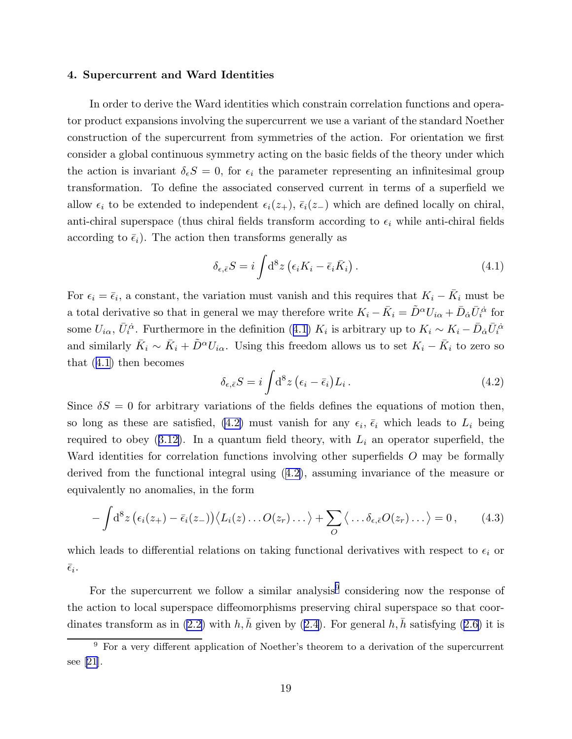#### <span id="page-19-0"></span>4. Supercurrent and Ward Identities

In order to derive the Ward identities which constrain correlation functions and operator product expansions involving the supercurrent we use a variant of the standard Noether construction of the supercurrent from symmetries of the action. For orientation we first consider a global continuous symmetry acting on the basic fields of the theory under which the action is invariant  $\delta_{\epsilon}S = 0$ , for  $\epsilon_i$  the parameter representing an infinitesimal group transformation. To define the associated conserved current in terms of a superfield we allow  $\epsilon_i$  to be extended to independent  $\epsilon_i(z_+), \bar{\epsilon}_i(z_-)$  which are defined locally on chiral, anti-chiral superspace (thus chiral fields transform according to  $\epsilon_i$  while anti-chiral fields according to  $\bar{\epsilon}_i$ ). The action then transforms generally as

$$
\delta_{\epsilon,\bar{\epsilon}}S = i \int d^8 z \left( \epsilon_i K_i - \bar{\epsilon}_i \bar{K}_i \right). \tag{4.1}
$$

For  $\epsilon_i = \bar{\epsilon}_i$ , a constant, the variation must vanish and this requires that  $K_i - \bar{K}_i$  must be a total derivative so that in general we may therefore write  $K_i - \bar{K}_i = \tilde{D}^\alpha U_{i\alpha} + \bar{D}_{\dot{\alpha}} \bar{U}_i^{\dot{\alpha}}$  for some  $U_{i\alpha}$ ,  $\bar{U}_i^{\dot{\alpha}}$ . Furthermore in the definition (4.1)  $K_i$  is arbitrary up to  $K_i \sim K_i - \bar{D}_{\dot{\alpha}} \bar{U}_i^{\dot{\alpha}}$ and similarly  $\bar{K}_i \sim \bar{K}_i + \tilde{D}^{\alpha} U_{i\alpha}$ . Using this freedom allows us to set  $K_i - \bar{K}_i$  to zero so that (4.1) then becomes

$$
\delta_{\epsilon,\bar{\epsilon}}S = i \int d^8 z \left(\epsilon_i - \bar{\epsilon}_i\right) L_i \,. \tag{4.2}
$$

Since  $\delta S = 0$  for arbitrary variations of the fields defines the equations of motion then, so long as these are satisfied, (4.2) must vanish for any  $\epsilon_i$ ,  $\bar{\epsilon}_i$  which leads to  $L_i$  being requiredto obey ([3.12\)](#page-13-0). In a quantum field theory, with  $L_i$  an operator superfield, the Ward identities for correlation functions involving other superfields O may be formally derived from the functional integral using (4.2), assuming invariance of the measure or equivalently no anomalies, in the form

$$
-\int d^8 z \left(\epsilon_i(z_+) - \bar{\epsilon}_i(z_-)\right) \langle L_i(z) \dots O(z_r) \dots \rangle + \sum_O \langle \dots \delta_{\epsilon, \bar{\epsilon}} O(z_r) \dots \rangle = 0, \qquad (4.3)
$$

which leads to differential relations on taking functional derivatives with respect to  $\epsilon_i$  or  $\bar{\epsilon}_i$ .

For the supercurrent we follow a similar analysis<sup>9</sup> considering now the response of the action to local superspace diffeomorphisms preserving chiral superspace so that coor-dinates transform as in [\(2.2\)](#page-3-0)with h, h given by ([2.4](#page-4-0)). For general h, h satisfying ([2.6](#page-4-0)) it is

<sup>9</sup> For a very different application of Noether's theorem to a derivation of the supercurrent see[[21](#page-52-0)].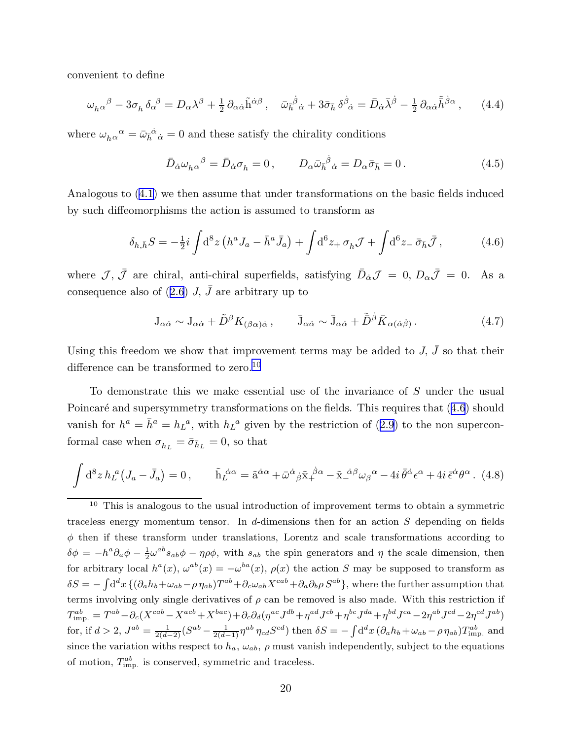<span id="page-20-0"></span>convenient to define

$$
\omega_{h\alpha}{}^{\beta} - 3\sigma_{h}\,\delta_{\alpha}{}^{\beta} = D_{\alpha}\lambda^{\beta} + \frac{1}{2}\,\partial_{\alpha\dot{\alpha}}\tilde{h}^{\dot{\alpha}\beta}\,, \quad \bar{\omega}_{\bar{h}}{}^{\dot{\beta}}{}_{\dot{\alpha}} + 3\bar{\sigma}_{\bar{h}}\,\delta^{\dot{\beta}}{}_{\dot{\alpha}} = \bar{D}_{\dot{\alpha}}\bar{\lambda}^{\dot{\beta}} - \frac{1}{2}\,\partial_{\alpha\dot{\alpha}}\tilde{\bar{h}}^{\dot{\beta}\alpha}\,, \tag{4.4}
$$

where  $\omega_{h\alpha}{}^{\alpha} = \bar{\omega}_{h\dot{}}{}^{\dot{\alpha}}{}_{\dot{\alpha}} = 0$  and these satisfy the chirality conditions

$$
\bar{D}_{\dot{\alpha}}\omega_{h\alpha}{}^{\beta} = \bar{D}_{\dot{\alpha}}\sigma_{h} = 0, \qquad D_{\alpha}\bar{\omega}_{\bar{h}}{}^{\dot{\beta}}{}_{\dot{\alpha}} = D_{\alpha}\bar{\sigma}_{\bar{h}} = 0. \tag{4.5}
$$

Analogous to([4.1](#page-19-0)) we then assume that under transformations on the basic fields induced by such diffeomorphisms the action is assumed to transform as

$$
\delta_{h,\bar{h}}S = -\frac{1}{2}i \int d^8 z \left( h^a J_a - \bar{h}^a \bar{J}_a \right) + \int d^6 z_+ \,\sigma_h \mathcal{J} + \int d^6 z_- \,\bar{\sigma}_{\bar{h}} \bar{\mathcal{J}},\tag{4.6}
$$

where  $\mathcal{J}, \bar{\mathcal{J}}$  are chiral, anti-chiral superfields, satisfying  $\bar{D}_{\dot{\alpha}}\mathcal{J} = 0, D_{\alpha}\bar{\mathcal{J}} = 0$ . As a consequencealso of ([2.6](#page-4-0))  $J, \bar{J}$  are arbitrary up to

$$
J_{\alpha\dot{\alpha}} \sim J_{\alpha\dot{\alpha}} + \tilde{D}^{\beta} K_{(\beta\alpha)\dot{\alpha}}, \qquad \bar{J}_{\alpha\dot{\alpha}} \sim \bar{J}_{\alpha\dot{\alpha}} + \tilde{\bar{D}}^{\dot{\beta}} \bar{K}_{\alpha(\dot{\alpha}\dot{\beta})}. \qquad (4.7)
$$

Using this freedom we show that improvement terms may be added to  $J, \bar{J}$  so that their difference can be transformed to zero.<sup>10</sup>

To demonstrate this we make essential use of the invariance of S under the usual Poincaré and supersymmetry transformations on the fields. This requires that  $(4.6)$  should vanishfor  $h^a = \bar{h}^a = h_L^a$ , with  $h_L^a$  given by the restriction of ([2.9](#page-4-0)) to the non superconformal case when  $\sigma_{h_L} = \bar{\sigma}_{\bar{h}_L} = 0$ , so that

$$
\int d^8 z h_L^a (J_a - \bar{J}_a) = 0, \qquad \tilde{h}_L^{\dot{\alpha}\alpha} = \tilde{a}^{\dot{\alpha}\alpha} + \bar{\omega}^{\dot{\alpha}}{}_{\dot{\beta}} \tilde{x}^{\dot{\beta}\alpha} - \tilde{x}^{\dot{\alpha}\beta} \omega_{\beta}{}^{\alpha} - 4i \bar{\theta}^{\dot{\alpha}} \epsilon^{\alpha} + 4i \bar{\epsilon}^{\dot{\alpha}} \theta^{\alpha}.
$$
 (4.8)

<sup>10</sup> This is analogous to the usual introduction of improvement terms to obtain a symmetric traceless energy momentum tensor. In d-dimensions then for an action  $S$  depending on fields  $\phi$  then if these transform under translations, Lorentz and scale transformations according to  $\delta \phi = -h^a \partial_a \phi - \frac{1}{2}$  $\frac{1}{2}\omega^{ab}s_{ab}\phi - \eta\rho\phi$ , with  $s_{ab}$  the spin generators and  $\eta$  the scale dimension, then for arbitrary local  $h^a(x)$ ,  $\omega^{ab}(x) = -\omega^{ba}(x)$ ,  $\rho(x)$  the action S may be supposed to transform as  $\delta S = -\int d^dx \{(\partial_a h_b + \omega_{ab}-\rho \eta_{ab})T^{ab} + \partial_c \omega_{ab}X^{cab} + \partial_a \partial_b \rho S^{ab}\},$  where the further assumption that terms involving only single derivatives of  $\rho$  can be removed is also made. With this restriction if  $T_{\rm imp.}^{ab}=T^{ab}-\partial_c(X^{cab}-X^{acb}+X^{bac})+\partial_c\partial_d(\eta^{ac}J^{db}+\eta^{ad}J^{cb}+\eta^{bc}J^{da}+\eta^{bd}J^{ca}-2\eta^{ab}J^{cd}-2\eta^{cd}J^{ab})$ for, if  $d > 2$ ,  $J^{ab} = \frac{1}{2(d-2)} (S^{ab} - \frac{1}{2(d-1)} \eta^{ab} \eta_{cd} S^{cd})$  then  $\delta S = -\int d^d x (\partial_a h_b + \omega_{ab} - \rho \eta_{ab}) T^{ab}_{\text{imp.}}$  and since the variation withs respect to  $h_a$ ,  $\omega_{ab}$ ,  $\rho$  must vanish independently, subject to the equations of motion,  $T_{\rm imp.}^{ab}$  is conserved, symmetric and traceless.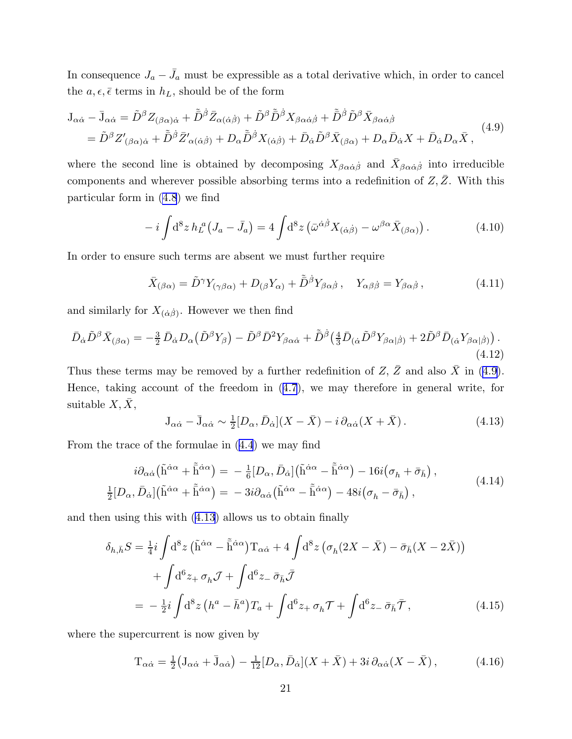<span id="page-21-0"></span>In consequence  $J_a - \bar{J}_a$  must be expressible as a total derivative which, in order to cancel the  $a, \epsilon, \bar{\epsilon}$  terms in  $h_L$ , should be of the form

$$
J_{\alpha\dot{\alpha}} - \bar{J}_{\alpha\dot{\alpha}} = \tilde{D}^{\beta} Z_{(\beta\alpha)\dot{\alpha}} + \tilde{\bar{D}}^{\dot{\beta}} \bar{Z}_{\alpha(\dot{\alpha}\dot{\beta})} + \tilde{D}^{\beta} \tilde{\bar{D}}^{\dot{\beta}} X_{\beta\alpha\dot{\alpha}\dot{\beta}} + \tilde{\bar{D}}^{\dot{\beta}} \tilde{D}^{\beta} \bar{X}_{\beta\alpha\dot{\alpha}\dot{\beta}} = \tilde{D}^{\beta} Z'_{(\beta\alpha)\dot{\alpha}} + \tilde{\bar{D}}^{\dot{\beta}} \bar{Z}'_{\alpha(\dot{\alpha}\dot{\beta})} + D_{\alpha} \tilde{\bar{D}}^{\dot{\beta}} X_{(\dot{\alpha}\dot{\beta})} + \bar{D}_{\dot{\alpha}} \tilde{D}^{\beta} \bar{X}_{(\beta\alpha)} + D_{\alpha} \bar{D}_{\dot{\alpha}} X + \bar{D}_{\dot{\alpha}} D_{\alpha} \bar{X},
$$
\n(4.9)

where the second line is obtained by decomposing  $X_{\beta\alpha\dot{\alpha}\dot{\beta}}$  and  $\bar{X}_{\beta\alpha\dot{\alpha}\dot{\beta}}$  into irreducible components and wherever possible absorbing terms into a redefinition of  $Z, \bar{Z}$ . With this particular form in [\(4.8](#page-20-0)) we find

$$
-i\int d^8 z \, h_L^{\ a}(J_a - \bar{J}_a) = 4\int d^8 z \left(\bar{\omega}^{\dot{\alpha}\dot{\beta}} X_{(\dot{\alpha}\dot{\beta})} - \omega^{\beta\alpha} \bar{X}_{(\beta\alpha)}\right). \tag{4.10}
$$

In order to ensure such terms are absent we must further require

$$
\bar{X}_{(\beta\alpha)} = \tilde{D}^{\gamma} Y_{(\gamma\beta\alpha)} + D_{(\beta} Y_{\alpha)} + \tilde{\bar{D}}^{\dot{\beta}} Y_{\beta\alpha\dot{\beta}}, \quad Y_{\alpha\beta\dot{\beta}} = Y_{\beta\alpha\dot{\beta}}, \tag{4.11}
$$

and similarly for  $X_{(\dot{\alpha}\dot{\beta})}$ . However we then find

$$
\bar{D}_{\dot{\alpha}}\tilde{D}^{\beta}\bar{X}_{(\beta\alpha)} = -\frac{3}{2}\bar{D}_{\dot{\alpha}}D_{\alpha}(\tilde{D}^{\beta}Y_{\beta}) - \tilde{D}^{\beta}\bar{D}^{2}Y_{\beta\alpha\dot{\alpha}} + \tilde{\bar{D}}^{\dot{\beta}}\left(\frac{4}{3}\bar{D}_{(\dot{\alpha}}\tilde{D}^{\beta}Y_{\beta\alpha|\dot{\beta})} + 2\tilde{D}^{\beta}\bar{D}_{(\dot{\alpha}}Y_{\beta\alpha|\dot{\beta})}\right). \tag{4.12}
$$

Thus these terms may be removed by a further redefinition of Z,  $\bar{Z}$  and also  $\bar{X}$  in (4.9). Hence, taking account of the freedom in([4.7](#page-20-0)), we may therefore in general write, for suitable  $X, \overline{X}$ ,

$$
J_{\alpha\dot{\alpha}} - \bar{J}_{\alpha\dot{\alpha}} \sim \frac{1}{2} [D_{\alpha}, \bar{D}_{\dot{\alpha}}] (X - \bar{X}) - i \partial_{\alpha\dot{\alpha}} (X + \bar{X}). \tag{4.13}
$$

From the trace of the formulae in([4.4](#page-20-0)) we may find

$$
i\partial_{\alpha\dot{\alpha}}\left(\tilde{h}^{\dot{\alpha}\alpha} + \tilde{\bar{h}}^{\dot{\alpha}\alpha}\right) = -\frac{1}{6}[D_{\alpha}, \bar{D}_{\dot{\alpha}}]\left(\tilde{h}^{\dot{\alpha}\alpha} - \tilde{\bar{h}}^{\dot{\alpha}\alpha}\right) - 16i(\sigma_{h} + \bar{\sigma}_{\bar{h}}),
$$
  
\n
$$
\frac{1}{2}[D_{\alpha}, \bar{D}_{\dot{\alpha}}]\left(\tilde{h}^{\dot{\alpha}\alpha} + \tilde{\bar{h}}^{\dot{\alpha}\alpha}\right) = -3i\partial_{\alpha\dot{\alpha}}\left(\tilde{h}^{\dot{\alpha}\alpha} - \tilde{\bar{h}}^{\dot{\alpha}\alpha}\right) - 48i(\sigma_{h} - \bar{\sigma}_{\bar{h}}),
$$
\n(4.14)

and then using this with (4.13) allows us to obtain finally

$$
\delta_{h,\bar{h}}S = \frac{1}{4}i \int d^8 z \left( \tilde{h}^{\dot{\alpha}\alpha} - \tilde{h}^{\dot{\alpha}\alpha} \right) T_{\alpha\dot{\alpha}} + 4 \int d^8 z \left( \sigma_h (2X - \bar{X}) - \bar{\sigma}_{\bar{h}} (X - 2\bar{X}) \right) \n+ \int d^6 z_+ \sigma_h \mathcal{J} + \int d^6 z_- \bar{\sigma}_{\bar{h}} \bar{\mathcal{J}} \n= -\frac{1}{2}i \int d^8 z \left( h^a - \bar{h}^a \right) T_a + \int d^6 z_+ \sigma_h \mathcal{T} + \int d^6 z_- \bar{\sigma}_{\bar{h}} \bar{\mathcal{T}},
$$
\n(4.15)

where the supercurrent is now given by

$$
T_{\alpha\dot{\alpha}} = \frac{1}{2} \big( J_{\alpha\dot{\alpha}} + \bar{J}_{\alpha\dot{\alpha}} \big) - \frac{1}{12} [D_{\alpha}, \bar{D}_{\dot{\alpha}}] (X + \bar{X}) + 3i \, \partial_{\alpha\dot{\alpha}} (X - \bar{X}), \tag{4.16}
$$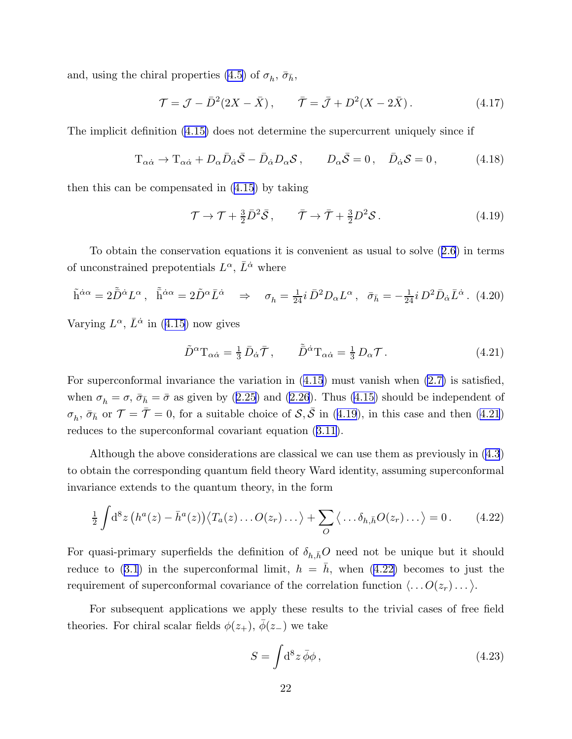<span id="page-22-0"></span>and, using the chiral properties [\(4.5\)](#page-20-0) of  $\sigma_h$ ,  $\bar{\sigma}_{\bar{h}}$ ,

$$
\mathcal{T} = \mathcal{J} - \bar{D}^2 (2X - \bar{X}), \qquad \bar{\mathcal{T}} = \bar{\mathcal{J}} + D^2 (X - 2\bar{X}). \tag{4.17}
$$

The implicit definition [\(4.15\)](#page-21-0) does not determine the supercurrent uniquely since if

$$
T_{\alpha\dot{\alpha}} \to T_{\alpha\dot{\alpha}} + D_{\alpha}\bar{D}_{\dot{\alpha}}\bar{S} - \bar{D}_{\dot{\alpha}}D_{\alpha}S, \qquad D_{\alpha}\bar{S} = 0, \quad \bar{D}_{\dot{\alpha}}S = 0,
$$
 (4.18)

then this can be compensated in([4.15](#page-21-0)) by taking

$$
\mathcal{T} \to \mathcal{T} + \frac{3}{2} \bar{D}^2 \bar{\mathcal{S}}, \qquad \bar{\mathcal{T}} \to \bar{\mathcal{T}} + \frac{3}{2} D^2 \mathcal{S}. \tag{4.19}
$$

To obtain the conservation equations it is convenient as usual to solve([2.6](#page-4-0)) in terms of unconstrained prepotentials  $L^{\alpha}$ ,  $\bar{L}^{\dot{\alpha}}$  where

$$
\tilde{\mathbf{h}}^{\dot{\alpha}\alpha} = 2\tilde{\bar{D}}^{\dot{\alpha}}L^{\alpha}, \quad \tilde{\bar{\mathbf{h}}}^{\dot{\alpha}\alpha} = 2\tilde{D}^{\alpha}\bar{L}^{\dot{\alpha}} \quad \Rightarrow \quad \sigma_h = \frac{1}{24}i\,\bar{D}^2D_{\alpha}L^{\alpha}, \quad \bar{\sigma}_{\bar{h}} = -\frac{1}{24}i\,D^2\bar{D}_{\dot{\alpha}}\bar{L}^{\dot{\alpha}}. \tag{4.20}
$$

Varying $L^{\alpha}$ ,  $\bar{L}^{\dot{\alpha}}$  in ([4.15](#page-21-0)) now gives

$$
\tilde{D}^{\alpha}T_{\alpha\dot{\alpha}} = \frac{1}{3}\,\bar{D}_{\dot{\alpha}}\bar{\mathcal{T}}, \qquad \tilde{\bar{D}}^{\dot{\alpha}}T_{\alpha\dot{\alpha}} = \frac{1}{3}\,D_{\alpha}\mathcal{T}.
$$
\n(4.21)

For superconformal invariance the variation in([4.15](#page-21-0)) must vanish when [\(2.7\)](#page-4-0) is satisfied, when $\sigma_h = \sigma$ ,  $\bar{\sigma}_{\bar{h}} = \bar{\sigma}$  as given by ([2.25\)](#page-7-0) and [\(2.26](#page-7-0)). Thus [\(4.15\)](#page-21-0) should be independent of  $\sigma_h$ ,  $\bar{\sigma}_{\bar{h}}$  or  $\mathcal{T} = \bar{\mathcal{T}} = 0$ , for a suitable choice of  $\mathcal{S}, \bar{\mathcal{S}}$  in (4.19), in this case and then (4.21) reduces to the superconformal covariant equation([3.11](#page-13-0)).

Although the above considerations are classical we can use them as previously in [\(4.3](#page-19-0)) to obtain the corresponding quantum field theory Ward identity, assuming superconformal invariance extends to the quantum theory, in the form

$$
\frac{1}{2} \int d^8 z \left( h^a(z) - \bar{h}^a(z) \right) \langle T_a(z) \dots O(z_r) \dots \rangle + \sum_O \langle \dots \delta_{h,\bar{h}} O(z_r) \dots \rangle = 0. \tag{4.22}
$$

For quasi-primary superfields the definition of  $\delta_{h,\bar{h}}O$  need not be unique but it should reduceto ([3.1](#page-11-0)) in the superconformal limit,  $h = \bar{h}$ , when (4.22) becomes to just the requirement of superconformal covariance of the correlation function  $\langle \ldots O(z_r) \ldots \rangle$ .

For subsequent applications we apply these results to the trivial cases of free field theories. For chiral scalar fields  $\phi(z_+), \bar{\phi}(z_-)$  we take

$$
S = \int d^8 z \,\bar{\phi}\phi\,,\tag{4.23}
$$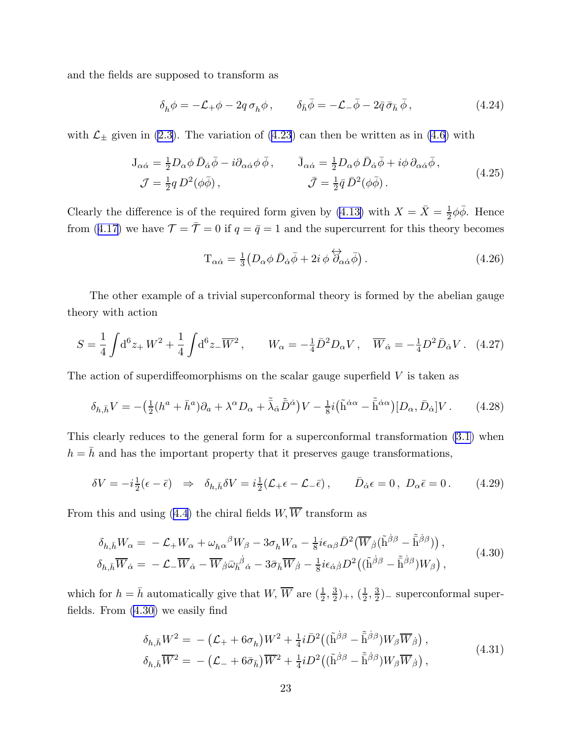<span id="page-23-0"></span>and the fields are supposed to transform as

$$
\delta_h \phi = -\mathcal{L}_+ \phi - 2q \,\sigma_h \phi \,, \qquad \delta_{\bar{h}} \bar{\phi} = -\mathcal{L}_- \bar{\phi} - 2\bar{q} \,\bar{\sigma}_{\bar{h}} \,\bar{\phi} \,, \tag{4.24}
$$

with $\mathcal{L}_{\pm}$  given in [\(2.3\)](#page-4-0). The variation of ([4.23](#page-22-0)) can then be written as in [\(4.6\)](#page-20-0) with

$$
J_{\alpha\dot{\alpha}} = \frac{1}{2} D_{\alpha}\phi \,\bar{D}_{\dot{\alpha}}\bar{\phi} - i\partial_{\alpha\dot{\alpha}}\phi \,\bar{\phi} \,, \qquad \bar{J}_{\alpha\dot{\alpha}} = \frac{1}{2} D_{\alpha}\phi \,\bar{D}_{\dot{\alpha}}\bar{\phi} + i\phi \,\partial_{\alpha\dot{\alpha}}\bar{\phi} \,, \n\mathcal{J} = \frac{1}{2} q \, D^2(\phi\bar{\phi}) \,, \qquad \bar{\mathcal{J}} = \frac{1}{2}\bar{q} \,\bar{D}^2(\phi\bar{\phi}) \,. \tag{4.25}
$$

Clearly the difference is of the required form given by [\(4.13\)](#page-21-0) with  $X = \overline{X} = \frac{1}{2}$  $\frac{1}{2}\phi\bar{\phi}$ . Hence from([4.17](#page-22-0)) we have  $\mathcal{T} = \bar{\mathcal{T}} = 0$  if  $q = \bar{q} = 1$  and the supercurrent for this theory becomes

$$
T_{\alpha\dot{\alpha}} = \frac{1}{3} \left( D_{\alpha}\phi \,\bar{D}_{\dot{\alpha}}\bar{\phi} + 2i\,\phi \,\overleftrightarrow{\partial}_{\alpha\dot{\alpha}}\bar{\phi} \right). \tag{4.26}
$$

The other example of a trivial superconformal theory is formed by the abelian gauge theory with action

$$
S = \frac{1}{4} \int d^6 z_+ W^2 + \frac{1}{4} \int d^6 z_- \overline{W}^2, \qquad W_\alpha = -\frac{1}{4} \overline{D}^2 D_\alpha V, \quad \overline{W}_{\dot{\alpha}} = -\frac{1}{4} D^2 \overline{D}_{\dot{\alpha}} V. \tag{4.27}
$$

The action of superdiffeomorphisms on the scalar gauge superfield  $V$  is taken as

$$
\delta_{h,\bar{h}}V = -\left(\frac{1}{2}(h^a + \bar{h}^a)\partial_a + \lambda^\alpha D_\alpha + \tilde{\lambda}_{\dot{\alpha}}\tilde{\bar{D}}^{\dot{\alpha}}\right)V - \frac{1}{8}i(\tilde{h}^{\dot{\alpha}\alpha} - \tilde{\bar{h}}^{\dot{\alpha}\alpha})[D_\alpha, \bar{D}_{\dot{\alpha}}]V. \tag{4.28}
$$

This clearly reduces to the general form for a superconformal transformation [\(3.1\)](#page-11-0) when  $h=\bar{h}$  and has the important property that it preserves gauge transformations,

$$
\delta V = -i\frac{1}{2}(\epsilon - \bar{\epsilon}) \Rightarrow \delta_{h,\bar{h}} \delta V = i\frac{1}{2}(\mathcal{L}_{+} \epsilon - \mathcal{L}_{-} \bar{\epsilon}), \qquad \bar{D}_{\dot{\alpha}} \epsilon = 0, \ D_{\alpha} \bar{\epsilon} = 0. \tag{4.29}
$$

Fromthis and using ([4.4](#page-20-0)) the chiral fields  $W, \overline{W}$  transform as

$$
\delta_{h,\bar{h}} W_{\alpha} = -\mathcal{L}_{+} W_{\alpha} + \omega_{h\alpha}{}^{\beta} W_{\beta} - 3\sigma_{h} W_{\alpha} - \frac{1}{8} i \epsilon_{\alpha\beta} \bar{D}^{2} (\overline{W}_{\dot{\beta}} (\tilde{h}^{\dot{\beta}\beta} - \tilde{\bar{h}}^{\dot{\beta}\beta})) ,
$$
\n
$$
\delta_{h,\bar{h}} \overline{W}_{\dot{\alpha}} = -\mathcal{L}_{-} \overline{W}_{\dot{\alpha}} - \overline{W}_{\dot{\beta}} \bar{\omega}_{\bar{h}}{}^{\dot{\beta}}{}_{\dot{\alpha}} - 3\overline{\sigma}_{\bar{h}} \overline{W}_{\dot{\beta}} - \frac{1}{8} i \epsilon_{\dot{\alpha}\dot{\beta}} D^{2} ((\tilde{h}^{\dot{\beta}\beta} - \tilde{\bar{h}}^{\dot{\beta}\beta}) W_{\beta}) ,
$$
\n(4.30)

which for  $h = \bar{h}$  automatically give that  $W$ ,  $\overline{W}$  are  $(\frac{1}{2}, \frac{3}{2})$  $(\frac{3}{2})_+, (\frac{1}{2})$  $\frac{1}{2}$ ,  $\frac{3}{2}$  $\frac{3}{2}$ )<sub>-</sub> superconformal superfields. From (4.30) we easily find

$$
\delta_{h,\bar{h}} W^2 = -(\mathcal{L}_+ + 6\sigma_h) W^2 + \frac{1}{4} i \bar{D}^2 \left( (\tilde{h}^{\dot{\beta}\beta} - \tilde{\bar{h}}^{\dot{\beta}\beta}) W_{\beta} \overline{W}_{\dot{\beta}} \right),
$$
  
\n
$$
\delta_{h,\bar{h}} \overline{W}^2 = -(\mathcal{L}_+ + 6\bar{\sigma}_{\bar{h}}) \overline{W}^2 + \frac{1}{4} i D^2 \left( (\tilde{h}^{\dot{\beta}\beta} - \tilde{\bar{h}}^{\dot{\beta}\beta}) W_{\beta} \overline{W}_{\dot{\beta}} \right),
$$
\n(4.31)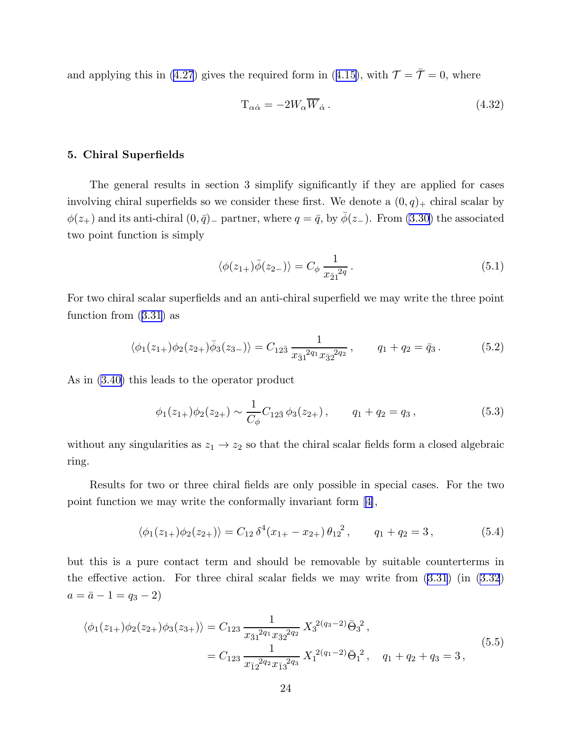<span id="page-24-0"></span>andapplying this in ([4.27](#page-23-0)) gives the required form in ([4.15\)](#page-21-0), with  $\mathcal{T} = \bar{\mathcal{T}} = 0$ , where

$$
T_{\alpha\dot{\alpha}} = -2W_{\alpha}\overline{W}_{\dot{\alpha}}.
$$
\n(4.32)

## 5. Chiral Superfields

The general results in section 3 simplify significantly if they are applied for cases involving chiral superfields so we consider these first. We denote a  $(0, q)_+$  chiral scalar by  $\phi(z_+)$  and its anti-chiral  $(0, \bar{q})$ <sub>−</sub> partner, where  $q = \bar{q}$ , by  $\bar{\phi}(z_-)$ . From [\(3.30\)](#page-16-0) the associated two point function is simply

$$
\langle \phi(z_{1+})\bar{\phi}(z_{2-})\rangle = C_{\phi} \frac{1}{x_{\bar{2}1}^{2q}}.
$$
\n(5.1)

For two chiral scalar superfields and an anti-chiral superfield we may write the three point function from([3.31](#page-16-0)) as

$$
\langle \phi_1(z_{1+})\phi_2(z_{2+})\overline{\phi}_3(z_{3-})\rangle = C_{12\overline{3}}\frac{1}{x_{\overline{3}1}^{2q_1}x_{\overline{3}2}^{2q_2}}, \qquad q_1 + q_2 = \overline{q}_3. \tag{5.2}
$$

As in [\(3.40\)](#page-17-0) this leads to the operator product

$$
\phi_1(z_{1+})\phi_2(z_{2+}) \sim \frac{1}{C_\phi} C_{12\bar{3}} \phi_3(z_{2+}), \qquad q_1 + q_2 = q_3, \qquad (5.3)
$$

without any singularities as  $z_1 \rightarrow z_2$  so that the chiral scalar fields form a closed algebraic ring.

Results for two or three chiral fields are only possible in special cases. For the two point function we may write the conformally invariant form[[4\]](#page-51-0),

$$
\langle \phi_1(z_{1+})\phi_2(z_{2+})\rangle = C_{12} \delta^4(x_{1+} - x_{2+}) \theta_{12}^2, \qquad q_1 + q_2 = 3, \tag{5.4}
$$

but this is a pure contact term and should be removable by suitable counterterms in the effective action. For three chiral scalar fields we may write from([3.31](#page-16-0)) (in [\(3.32](#page-16-0))  $a = \bar{a} - 1 = q_3 - 2$ 

$$
\langle \phi_1(z_{1+})\phi_2(z_{2+})\phi_3(z_{3+})\rangle = C_{123} \frac{1}{x_{\bar{3}1}^{2q_1} x_{\bar{3}2}^{2q_2}} X_3^{2(q_3-2)} \bar{\Theta}_3^2 ,
$$
\n
$$
= C_{123} \frac{1}{x_{\bar{1}2}^{2q_2} x_{\bar{1}3}^{2q_3}} X_1^{2(q_1-2)} \bar{\Theta}_1^2 , \quad q_1 + q_2 + q_3 = 3 ,
$$
\n(5.5)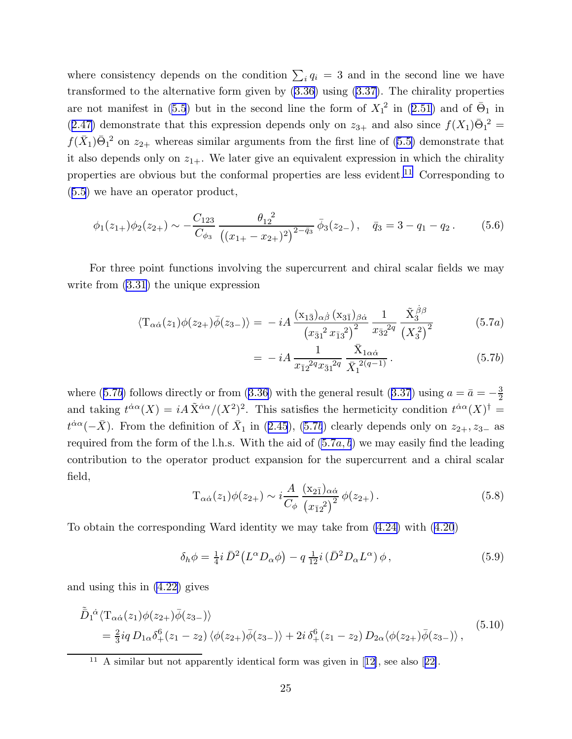<span id="page-25-0"></span>where consistency depends on the condition  $\sum_i q_i = 3$  and in the second line we have transformed to the alternative form given by [\(3.36\)](#page-17-0) using [\(3.37\)](#page-17-0). The chirality properties are not manifest in [\(5.5](#page-24-0))but in the second line the form of  $X_1^2$  in ([2.51](#page-10-0)) and of  $\bar{\Theta}_1$  in ([2.47](#page-9-0)) demonstrate that this expression depends only on  $z_{3+}$  and also since  $f(X_1)\bar{\Theta}_1^2$  =  $f(\bar{X}_1)\bar{\Theta}_1^2$  on  $z_{2+}$  whereas similar arguments from the first line of [\(5.5\)](#page-24-0) demonstrate that it also depends only on  $z_{1+}$ . We later give an equivalent expression in which the chirality properties are obvious but the conformal properties are less evident.<sup>11</sup> Corresponding to ([5.5](#page-24-0)) we have an operator product,

$$
\phi_1(z_{1+})\phi_2(z_{2+}) \sim -\frac{C_{123}}{C_{\phi_3}} \frac{\theta_{12}^2}{\left((x_{1+} - x_{2+})^2\right)^{2-\bar{q}_3}} \bar{\phi}_3(z_{2-}), \quad \bar{q}_3 = 3 - q_1 - q_2. \tag{5.6}
$$

For three point functions involving the supercurrent and chiral scalar fields we may write from  $(3.31)$  the unique expression

$$
\langle T_{\alpha\dot{\alpha}}(z_1)\phi(z_{2+})\bar{\phi}(z_{3-})\rangle = -iA\,\frac{(x_{1\bar{3}})_{\alpha\dot{\beta}}\,(x_{3\bar{1}})_{\beta\dot{\alpha}}}{(x_{\bar{3}1}^2\,x_{\bar{1}3}^2)^2}\,\frac{1}{x_{\bar{3}2}^{2q}}\,\frac{\tilde{X}_3^{\,\dot{\beta}\beta}}{\left(X_3^2\right)^2} \tag{5.7a}
$$

$$
= -iA \frac{1}{x_{\bar{1}2}^{2q} x_{\bar{3}1}^{2q}} \frac{\bar{X}_{1\alpha\dot{\alpha}}}{\bar{X}_1^{2(q-1)}}.
$$
 (5.7b)

where(5.7b) follows directly or from ([3.36](#page-17-0)) with the general result ([3.37](#page-17-0)) using  $a = \bar{a} = -\frac{3}{2}$ 2 and taking  $t^{\dot{\alpha}\alpha}(X) = iA\tilde{X}^{\dot{\alpha}\alpha}/(X^2)^2$ . This satisfies the hermeticity condition  $t^{\dot{\alpha}\alpha}(X)^{\dagger} =$  $t^{\dot{\alpha}\alpha}(-\bar{X})$ .From the definition of  $\bar{X}_1$  in ([2.45](#page-9-0)), (5.7b) clearly depends only on  $z_{2+}, z_{3-}$  as required from the form of the l.h.s. With the aid of  $(5.7a, b)$  we may easily find the leading contribution to the operator product expansion for the supercurrent and a chiral scalar field,

$$
T_{\alpha\dot{\alpha}}(z_1)\phi(z_{2+}) \sim i\frac{A}{C_{\phi}}\frac{(x_{2\bar{1}})_{\alpha\dot{\alpha}}}{(x_{\bar{1}2}^2)^2}\phi(z_{2+}).
$$
\n(5.8)

To obtain the corresponding Ward identity we may take from [\(4.24\)](#page-23-0) with [\(4.20](#page-22-0))

$$
\delta_h \phi = \frac{1}{4} i \,\bar{D}^2 \left( L^\alpha D_\alpha \phi \right) - q \, \frac{1}{12} i \left( \bar{D}^2 D_\alpha L^\alpha \right) \phi \,, \tag{5.9}
$$

and using this in [\(4.22\)](#page-22-0) gives

$$
\tilde{\bar{D}}_1^{\dot{\alpha}} \langle \mathcal{T}_{\alpha \dot{\alpha}}(z_1) \phi(z_2) \bar{\phi}(z_3) \rangle \n= \frac{2}{3} i q \, D_{1\alpha} \delta_+^6(z_1 - z_2) \langle \phi(z_2) \bar{\phi}(z_3) \rangle + 2i \, \delta_+^6(z_1 - z_2) \, D_{2\alpha} \langle \phi(z_2) \bar{\phi}(z_3) \rangle ,
$$
\n(5.10)

<sup>&</sup>lt;sup>11</sup>A similar but not apparently identical form was given in  $[12]$  $[12]$ , see also  $[22]$  $[22]$ .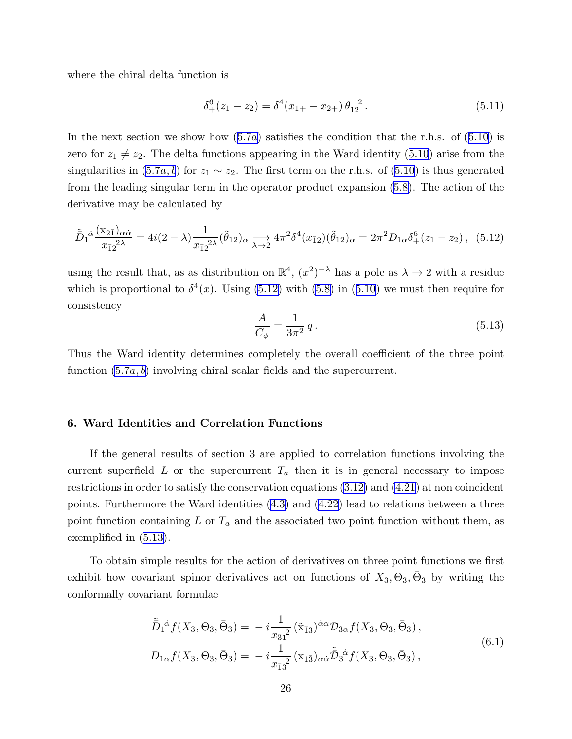<span id="page-26-0"></span>where the chiral delta function is

$$
\delta_+^6(z_1 - z_2) = \delta^4(x_{1+} - x_{2+})\,\theta_{12}^2. \tag{5.11}
$$

Inthe next section we show how  $(5.7a)$  $(5.7a)$  $(5.7a)$  satisfies the condition that the r.h.s. of  $(5.10)$  $(5.10)$  $(5.10)$  is zerofor  $z_1 \neq z_2$ . The delta functions appearing in the Ward identity ([5.10](#page-25-0)) arise from the singularitiesin  $(5.7a, b)$  $(5.7a, b)$  $(5.7a, b)$  for  $z_1 \sim z_2$ . The first term on the r.h.s. of  $(5.10)$  $(5.10)$  $(5.10)$  is thus generated from the leading singular term in the operator product expansion([5.8\)](#page-25-0). The action of the derivative may be calculated by

$$
\tilde{\bar{D}}_1{}^{\dot{\alpha}}\frac{(x_{2\bar{1}})_{\alpha\dot{\alpha}}}{x_{\bar{1}2}^{2\lambda}} = 4i(2-\lambda)\frac{1}{x_{\bar{1}2}^{2\lambda}}(\tilde{\theta}_{12})_{\alpha} \xrightarrow[\lambda \to 2]{} 4\pi^2 \delta^4(x_{\bar{1}2})(\tilde{\theta}_{12})_{\alpha} = 2\pi^2 D_{1\alpha} \delta^6_+(z_1 - z_2), \tag{5.12}
$$

using the result that, as as distribution on  $\mathbb{R}^4$ ,  $(x^2)^{-\lambda}$  has a pole as  $\lambda \to 2$  with a residue whichis proportional to  $\delta^4(x)$ . Using (5.12) with [\(5.8\)](#page-25-0) in ([5.10](#page-25-0)) we must then require for consistency

$$
\frac{A}{C_{\phi}} = \frac{1}{3\pi^2} q.
$$
\n(5.13)

Thus the Ward identity determines completely the overall coefficient of the three point function  $(5.7a, b)$  $(5.7a, b)$  $(5.7a, b)$  involving chiral scalar fields and the supercurrent.

## 6. Ward Identities and Correlation Functions

If the general results of section 3 are applied to correlation functions involving the current superfield L or the supercurrent  $T_a$  then it is in general necessary to impose restrictions in order to satisfy the conservation equations [\(3.12\)](#page-13-0) and [\(4.21\)](#page-22-0) at non coincident points. Furthermore the Ward identities([4.3](#page-19-0)) and([4.22](#page-22-0)) lead to relations between a three point function containing  $L$  or  $T_a$  and the associated two point function without them, as exemplified in (5.13).

To obtain simple results for the action of derivatives on three point functions we first exhibit how covariant spinor derivatives act on functions of  $X_3, \Theta_3, \bar{\Theta}_3$  by writing the conformally covariant formulae

$$
\tilde{\bar{D}}_1^{\dot{\alpha}} f(X_3, \Theta_3, \bar{\Theta}_3) = -i \frac{1}{x_{\bar{3}1}^2} (\tilde{x}_{\bar{1}3})^{\dot{\alpha}\alpha} \mathcal{D}_{3\alpha} f(X_3, \Theta_3, \bar{\Theta}_3), \nD_{1\alpha} f(X_3, \Theta_3, \bar{\Theta}_3) = -i \frac{1}{x_{\bar{1}3}^2} (x_{1\bar{3}})_{\alpha\dot{\alpha}} \tilde{\bar{D}}_3^{\dot{\alpha}} f(X_3, \Theta_3, \bar{\Theta}_3),
$$
\n(6.1)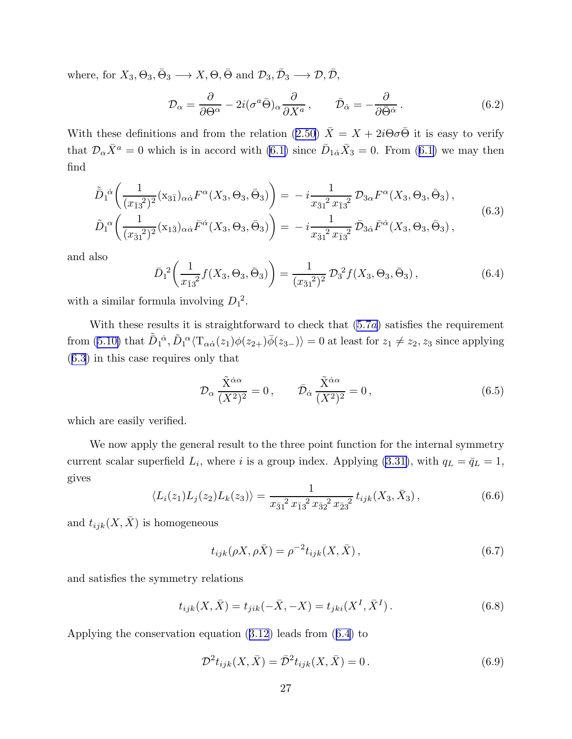<span id="page-27-0"></span>where, for  $X_3, \Theta_3, \bar{\Theta}_3 \longrightarrow X, \Theta, \bar{\Theta}$  and  $\mathcal{D}_3, \bar{\mathcal{D}}_3 \longrightarrow \mathcal{D}, \bar{\mathcal{D}},$ 

$$
\mathcal{D}_{\alpha} = \frac{\partial}{\partial \Theta^{\alpha}} - 2i(\sigma^{a}\bar{\Theta})_{\alpha} \frac{\partial}{\partial X^{a}}, \qquad \bar{\mathcal{D}}_{\dot{\alpha}} = -\frac{\partial}{\partial \bar{\Theta}^{\dot{\alpha}}}.
$$
(6.2)

Withthese definitions and from the relation ([2.50](#page-10-0))  $\bar{X} = X + 2i\Theta\sigma\bar{\Theta}$  it is easy to verify that $\mathcal{D}_{\alpha}\bar{X}^a = 0$  which is in accord with [\(6.1\)](#page-26-0) since  $\bar{D}_{1\dot{\alpha}}\bar{X}_3 = 0$ . From ([6.1\)](#page-26-0) we may then find

$$
\tilde{\bar{D}}_{1}{}^{\dot{\alpha}}\left(\frac{1}{(x_{\bar{1}3}^{2})^{2}}(x_{3\bar{1}})_{\alpha\dot{\alpha}}F^{\alpha}(X_{3},\Theta_{3},\bar{\Theta}_{3})\right) = -i\frac{1}{x_{\bar{3}1}^{2}x_{\bar{1}3}^{2}}\mathcal{D}_{3\alpha}F^{\alpha}(X_{3},\Theta_{3},\bar{\Theta}_{3}),
$$
\n
$$
\tilde{D}_{1}{}^{\alpha}\left(\frac{1}{(x_{\bar{3}1}^{2})^{2}}(x_{1\bar{3}})_{\alpha\dot{\alpha}}\bar{F}^{\dot{\alpha}}(X_{3},\Theta_{3},\bar{\Theta}_{3})\right) = -i\frac{1}{x_{\bar{3}1}^{2}x_{\bar{1}3}^{2}}\bar{\mathcal{D}}_{3\dot{\alpha}}\bar{F}^{\dot{\alpha}}(X_{3},\Theta_{3},\bar{\Theta}_{3}),
$$
\n(6.3)

and also

$$
\bar{D}_1{}^2 \left( \frac{1}{x_{\bar{1}3}{}^2} f(X_3, \Theta_3, \bar{\Theta}_3) \right) = \frac{1}{(x_{\bar{3}1}{}^2)^2} \mathcal{D}_3{}^2 f(X_3, \Theta_3, \bar{\Theta}_3), \tag{6.4}
$$

with a similar formula involving  $D_1^2$ .

With these results it is str[a](#page-25-0)ightforward to check that  $(5.7a)$  satisfies the requirement from [\(5.10\)](#page-25-0) that  $\tilde{\bar{D}}_1^{\dot{\alpha}}, \tilde{D}_1^{\alpha} \langle \mathrm{T}_{\alpha \dot{\alpha}}(z_1) \phi(z_{2+}) \bar{\phi}(z_3-) \rangle = 0$  at least for  $z_1 \neq z_2, z_3$  since applying (6.3) in this case requires only that

$$
\mathcal{D}_{\alpha} \frac{\tilde{X}^{\dot{\alpha}\alpha}}{(X^2)^2} = 0, \qquad \bar{\mathcal{D}}_{\dot{\alpha}} \frac{\tilde{X}^{\dot{\alpha}\alpha}}{(X^2)^2} = 0, \tag{6.5}
$$

which are easily verified.

We now apply the general result to the three point function for the internal symmetry current scalar superfield  $L_i$ , where i is a group index. Applying [\(3.31\)](#page-16-0), with  $q_L = \bar{q}_L = 1$ , gives

$$
\langle L_i(z_1)L_j(z_2)L_k(z_3)\rangle = \frac{1}{x_{\bar{3}1}^2 x_{\bar{1}3}^2 x_{\bar{3}2}^2 x_{\bar{2}3}^2} t_{ijk}(X_3, \bar{X}_3), \qquad (6.6)
$$

and  $t_{ijk}(X,\bar{X})$  is homogeneous

$$
t_{ijk}(\rho X, \rho \bar{X}) = \rho^{-2} t_{ijk}(X, \bar{X}), \qquad (6.7)
$$

and satisfies the symmetry relations

$$
t_{ijk}(X,\bar{X}) = t_{jik}(-\bar{X}, -X) = t_{jki}(X^I, \bar{X}^I).
$$
 (6.8)

Applying the conservation equation([3.12](#page-13-0)) leads from (6.4) to

$$
\mathcal{D}^2 t_{ijk}(X, \bar{X}) = \bar{\mathcal{D}}^2 t_{ijk}(X, \bar{X}) = 0.
$$
 (6.9)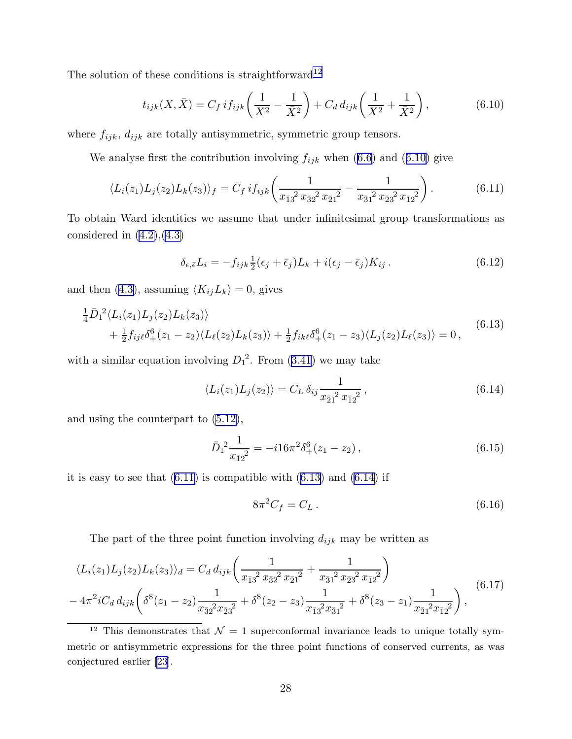<span id="page-28-0"></span>The solution of these conditions is straightforward<sup>12</sup>

$$
t_{ijk}(X,\bar{X}) = C_f \, if_{ijk} \left(\frac{1}{X^2} - \frac{1}{\bar{X}^2}\right) + C_d \, d_{ijk} \left(\frac{1}{X^2} + \frac{1}{\bar{X}^2}\right),\tag{6.10}
$$

where  $f_{ijk}$ ,  $d_{ijk}$  are totally antisymmetric, symmetric group tensors.

Weanalyse first the contribution involving  $f_{ijk}$  when ([6.6](#page-27-0)) and (6.10) give

$$
\langle L_i(z_1)L_j(z_2)L_k(z_3)\rangle_f = C_f i f_{ijk} \left(\frac{1}{x_{\bar{1}3}^2 x_{\bar{3}2}^2 x_{\bar{2}1}^2} - \frac{1}{x_{\bar{3}1}^2 x_{\bar{2}3}^2 x_{\bar{1}2}^2}\right).
$$
(6.11)

To obtain Ward identities we assume that under infinitesimal group transformations as considered in  $(4.2)$ , $(4.3)$ 

$$
\delta_{\epsilon,\bar{\epsilon}}L_i = -f_{ijk}\frac{1}{2}(\epsilon_j + \bar{\epsilon}_j)L_k + i(\epsilon_j - \bar{\epsilon}_j)K_{ij}.
$$
\n(6.12)

and then [\(4.3\)](#page-19-0), assuming  $\langle K_{ij}L_k \rangle = 0$ , gives

$$
\frac{1}{4}\overline{D}_1^2\langle L_i(z_1)L_j(z_2)L_k(z_3)\rangle \n+ \frac{1}{2}f_{ij\ell}\delta_+^6(z_1-z_2)\langle L_\ell(z_2)L_k(z_3)\rangle + \frac{1}{2}f_{ik\ell}\delta_+^6(z_1-z_3)\langle L_j(z_2)L_\ell(z_3)\rangle = 0,
$$
\n(6.13)

with a similar equation involving  $D_1^2$ . From  $(3.41)$  we may take

$$
\langle L_i(z_1)L_j(z_2) \rangle = C_L \, \delta_{ij} \frac{1}{x_{\bar{2}1}^2 x_{\bar{1}2}^2} \,, \tag{6.14}
$$

and using the counterpart to [\(5.12\)](#page-26-0),

$$
\bar{D}_1^2 \frac{1}{x_{\bar{1}2}^2} = -i16\pi^2 \delta_+^6 (z_1 - z_2), \qquad (6.15)
$$

it is easy to see that  $(6.11)$  is compatible with  $(6.13)$  and  $(6.14)$  if

$$
8\pi^2 C_f = C_L \,. \tag{6.16}
$$

The part of the three point function involving  $d_{ijk}$  may be written as

$$
\langle L_i(z_1)L_j(z_2)L_k(z_3)\rangle_d = C_d d_{ijk} \left(\frac{1}{x_{\bar{1}3}^2 x_{\bar{3}2}^2 x_{\bar{2}1}^2} + \frac{1}{x_{\bar{3}1}^2 x_{\bar{2}3}^2 x_{\bar{1}2}^2}\right) - 4\pi^2 i C_d d_{ijk} \left(\delta^8(z_1 - z_2) \frac{1}{x_{\bar{3}2}^2 x_{\bar{2}3}^2} + \delta^8(z_2 - z_3) \frac{1}{x_{\bar{1}3}^2 x_{\bar{3}1}^2} + \delta^8(z_3 - z_1) \frac{1}{x_{\bar{2}1}^2 x_{\bar{1}2}^2}\right),
$$
\n(6.17)

<sup>&</sup>lt;sup>12</sup> This demonstrates that  $\mathcal{N} = 1$  superconformal invariance leads to unique totally symmetric or antisymmetric expressions for the three point functions of conserved currents, as was conjectured earlier [\[23](#page-52-0)].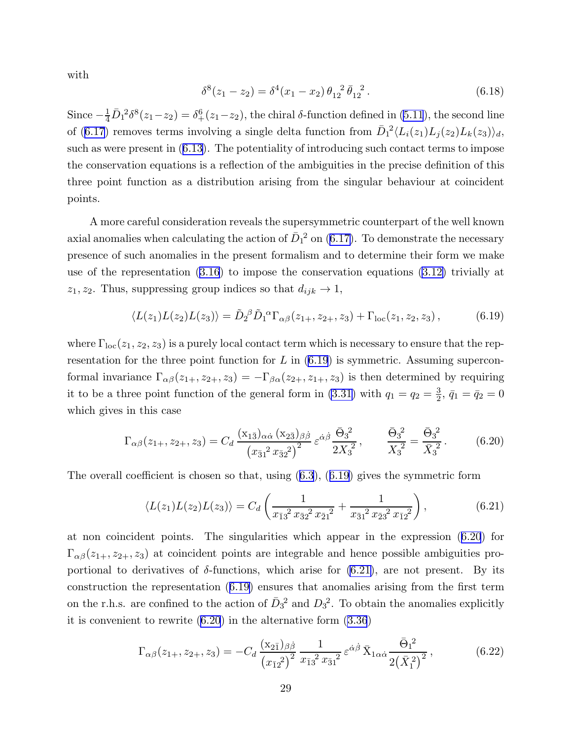<span id="page-29-0"></span>with

$$
\delta^{8}(z_1 - z_2) = \delta^{4}(x_1 - x_2) \theta_{12}^{2} \bar{\theta}_{12}^{2}. \qquad (6.18)
$$

Since  $-\frac{1}{4}\bar{D}_1^2\delta^8(z_1-z_2)=\delta^6_+(z_1-z_2)$ , the chiral  $\delta$ -function defined in [\(5.11](#page-26-0)), the second line of([6.17](#page-28-0)) removes terms involving a single delta function from  $\bar{D}_1^2 \langle L_i(z_1) L_j(z_2) L_k(z_3) \rangle_d$ , such as were present in([6.13\)](#page-28-0). The potentiality of introducing such contact terms to impose the conservation equations is a reflection of the ambiguities in the precise definition of this three point function as a distribution arising from the singular behaviour at coincident points.

A more careful consideration reveals the supersymmetric counterpart of the well known axial anomalies when calculating the action of  $\bar{D}_1{}^2$  on [\(6.17\)](#page-28-0). To demonstrate the necessary presence of such anomalies in the present formalism and to determine their form we make use of the representation([3.16](#page-14-0)) to impose the conservation equations [\(3.12\)](#page-13-0) trivially at  $z_1, z_2$ . Thus, suppressing group indices so that  $d_{ijk} \rightarrow 1$ ,

$$
\langle L(z_1)L(z_2)L(z_3)\rangle = \tilde{D}_2{}^{\beta} \tilde{D}_1{}^{\alpha} \Gamma_{\alpha\beta}(z_{1+}, z_{2+}, z_3) + \Gamma_{\text{loc}}(z_1, z_2, z_3), \tag{6.19}
$$

where  $\Gamma_{\text{loc}}(z_1, z_2, z_3)$  is a purely local contact term which is necessary to ensure that the representation for the three point function for  $L$  in (6.19) is symmetric. Assuming superconformal invariance  $\Gamma_{\alpha\beta}(z_{1+}, z_{2+}, z_3) = -\Gamma_{\beta\alpha}(z_{2+}, z_{1+}, z_3)$  is then determined by requiring it to be a three point function of the general form in [\(3.31\)](#page-16-0) with  $q_1 = q_2 = \frac{3}{2}$  $\frac{3}{2}, \bar{q}_1 = \bar{q}_2 = 0$ which gives in this case

$$
\Gamma_{\alpha\beta}(z_{1+}, z_{2+}, z_3) = C_d \frac{(x_{1\bar{3}})_{\alpha\dot{\alpha}} (x_{2\bar{3}})_{\beta\dot{\beta}}}{(x_{\bar{3}1}^2 x_{\bar{3}2}^2)^2} \varepsilon^{\dot{\alpha}\dot{\beta}} \frac{\bar{\Theta}_3^2}{2X_3^2}, \qquad \frac{\bar{\Theta}_3^2}{X_3^2} = \frac{\bar{\Theta}_3^2}{\bar{X}_3^2}.
$$
 (6.20)

Theoverall coefficient is chosen so that, using  $(6.3)$  $(6.3)$  $(6.3)$ ,  $(6.19)$  gives the symmetric form

$$
\langle L(z_1)L(z_2)L(z_3)\rangle = C_d \left(\frac{1}{x_{\bar{1}3}^2 x_{\bar{3}2}^2 x_{\bar{2}1}^2} + \frac{1}{x_{\bar{3}1}^2 x_{\bar{2}3}^2 x_{\bar{1}2}^2}\right),\tag{6.21}
$$

at non coincident points. The singularities which appear in the expression (6.20) for  $\Gamma_{\alpha\beta}(z_{1+}, z_{2+}, z_3)$  at coincident points are integrable and hence possible ambiguities proportional to derivatives of  $\delta$ -functions, which arise for (6.21), are not present. By its construction the representation (6.19) ensures that anomalies arising from the first term on the r.h.s. are confined to the action of  $\bar{D}_3^2$  and  $D_3^2$ . To obtain the anomalies explicitly it is convenient to rewrite (6.20) in the alternative form [\(3.36](#page-17-0))

$$
\Gamma_{\alpha\beta}(z_{1+}, z_{2+}, z_3) = -C_d \frac{(x_{2\bar{1}})_{\beta\dot{\beta}}}{(x_{\bar{1}2}^2)^2} \frac{1}{x_{\bar{1}3}^2 x_{\bar{3}1}^2} \varepsilon^{\dot{\alpha}\dot{\beta}} \bar{X}_{1\alpha\dot{\alpha}} \frac{\bar{\Theta}_1^2}{2(\bar{X}_1^2)^2},
$$
(6.22)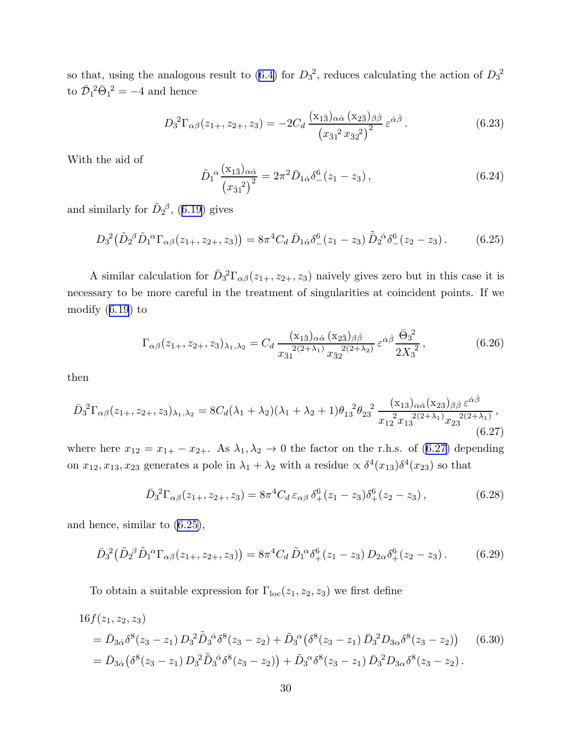<span id="page-30-0"></span>so that, using the analogous result to  $(6.4)$  for  $D_3^2$ , reduces calculating the action of  $D_3^2$ to  $\bar{\mathcal{D}}_1^2 \bar{\Theta}_1^2 = -4$  and hence

$$
D_3^2 \Gamma_{\alpha\beta}(z_{1+}, z_{2+}, z_3) = -2C_d \frac{(x_{1\bar{3}})_{\alpha\dot{\alpha}} (x_{2\bar{3}})_{\beta\dot{\beta}}}{(x_{\bar{3}1}^2 x_{\bar{3}2}^2)^2} \varepsilon^{\dot{\alpha}\dot{\beta}}.
$$
 (6.23)

With the aid of

$$
\tilde{D}_1^{\alpha} \frac{(\mathbf{x}_{1\bar{3}})_{\alpha\dot{\alpha}}}{(x_{\bar{3}1}^2)^2} = 2\pi^2 \bar{D}_{1\dot{\alpha}} \delta^6_{-}(z_1 - z_3) ,\qquad (6.24)
$$

andsimilarly for  $\tilde{D}_2{}^{\beta}$ , ([6.19\)](#page-29-0) gives

$$
D_3^2(\tilde{D}_2{}^\beta \tilde{D}_1{}^\alpha \Gamma_{\alpha\beta}(z_{1+}, z_{2+}, z_3)) = 8\pi^4 C_d \,\bar{D}_{1\dot{\alpha}}\delta^6_-(z_1 - z_3) \,\tilde{\bar{D}}_2{}^{\dot{\alpha}}\delta^6_-(z_2 - z_3) \,. \tag{6.25}
$$

A similar calculation for  $\bar{D}_3^2\Gamma_{\alpha\beta}(z_{1+}, z_{2+}, z_3)$  naively gives zero but in this case it is necessary to be more careful in the treatment of singularities at coincident points. If we modify([6.19](#page-29-0)) to

$$
\Gamma_{\alpha\beta}(z_{1+}, z_{2+}, z_3)_{\lambda_1, \lambda_2} = C_d \, \frac{(\mathbf{x}_{1\bar{3}})_{\alpha\dot{\alpha}} \, (\mathbf{x}_{2\bar{3}})_{\beta\dot{\beta}}}{x_{\bar{3}1}^{2(2+\lambda_1)} x_{\bar{3}2}^{2(2+\lambda_2)}} \, \varepsilon^{\dot{\alpha}\dot{\beta}} \, \frac{\bar{\Theta}_3^2}{2X_3^2} \,, \tag{6.26}
$$

then

$$
\bar{D}_3^2 \Gamma_{\alpha\beta}(z_{1+}, z_{2+}, z_3)_{\lambda_1, \lambda_2} = 8C_d(\lambda_1 + \lambda_2)(\lambda_1 + \lambda_2 + 1)\theta_{13}^2 \theta_{23}^2 \frac{(\mathbf{x}_{13})_{\alpha\dot{\alpha}}(\mathbf{x}_{23})_{\beta\dot{\beta}}\,\varepsilon^{\dot{\alpha}\dot{\beta}}}{x_{12}^2 x_{13}^{2(2+\lambda_1)} x_{23}^{2(2+\lambda_1)}},
$$
\n(6.27)

where here  $x_{12} = x_{1+} - x_{2+}$ . As  $\lambda_1, \lambda_2 \to 0$  the factor on the r.h.s. of (6.27) depending on  $x_{12}, x_{13}, x_{23}$  generates a pole in  $\lambda_1 + \lambda_2$  with a residue  $\propto \delta^4(x_{13})\delta^4(x_{23})$  so that

$$
\bar{D}_3^2 \Gamma_{\alpha\beta}(z_{1+}, z_{2+}, z_3) = 8\pi^4 C_d \,\varepsilon_{\alpha\beta} \,\delta_+^6(z_1 - z_3) \delta_+^6(z_2 - z_3) \,,\tag{6.28}
$$

and hence, similar to (6.25),

$$
\bar{D}_3^2(\tilde{D}_2{}^\beta \tilde{D}_1{}^\alpha \Gamma_{\alpha\beta}(z_{1+}, z_{2+}, z_3)) = 8\pi^4 C_d \tilde{D}_1{}^\alpha \delta_+^6(z_1 - z_3) D_{2\alpha} \delta_+^6(z_2 - z_3). \tag{6.29}
$$

To obtain a suitable expression for  $\Gamma_{\text{loc}}(z_1, z_2, z_3)$  we first define

$$
16f(z_1, z_2, z_3)
$$
  
=  $\bar{D}_{3\dot{\alpha}} \delta^8(z_3 - z_1) D_3^2 \tilde{D}_3{}^{\dot{\alpha}} \delta^8(z_3 - z_2) + \tilde{D}_3{}^{\alpha} (\delta^8(z_3 - z_1) \bar{D}_3{}^2 D_{3\alpha} \delta^8(z_3 - z_2))$  (6.30)  
=  $\bar{D}_{3\dot{\alpha}} (\delta^8(z_3 - z_1) D_3{}^2 \tilde{D}_3{}^{\dot{\alpha}} \delta^8(z_3 - z_2)) + \tilde{D}_3{}^{\alpha} \delta^8(z_3 - z_1) \bar{D}_3{}^2 D_{3\alpha} \delta^8(z_3 - z_2).$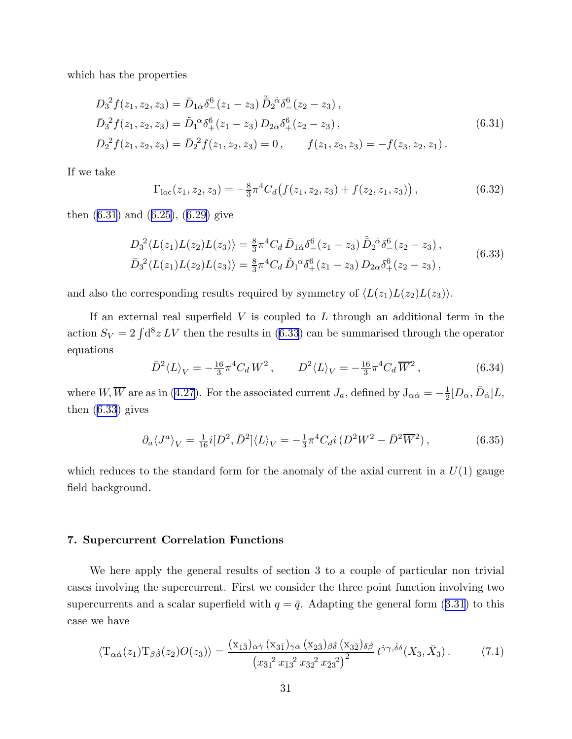<span id="page-31-0"></span>which has the properties

$$
D_3^2 f(z_1, z_2, z_3) = \bar{D}_{1\dot{\alpha}} \delta^6_{-}(z_1 - z_3) \tilde{D}_2^{\dot{\alpha}} \delta^6_{-}(z_2 - z_3),
$$
  
\n
$$
\bar{D}_3^2 f(z_1, z_2, z_3) = \tilde{D}_1^{\alpha} \delta^6_{+}(z_1 - z_3) D_{2\alpha} \delta^6_{+}(z_2 - z_3),
$$
  
\n
$$
D_2^2 f(z_1, z_2, z_3) = \bar{D}_2^2 f(z_1, z_2, z_3) = 0, \qquad f(z_1, z_2, z_3) = -f(z_3, z_2, z_1).
$$
\n(6.31)

If we take

$$
\Gamma_{\text{loc}}(z_1, z_2, z_3) = -\frac{8}{3}\pi^4 C_d \big(f(z_1, z_2, z_3) + f(z_2, z_1, z_3)\big),\tag{6.32}
$$

then (6.31) and([6.25](#page-30-0)),([6.29\)](#page-30-0) give

$$
D_3^2 \langle L(z_1)L(z_2)L(z_3)\rangle = \frac{8}{3}\pi^4 C_d \,\bar{D}_{1\dot{\alpha}}\delta^6_-(z_1 - z_3) \,\tilde{\bar{D}}_2^{\dot{\alpha}}\delta^6_-(z_2 - z_3) \,,
$$
  
\n
$$
\bar{D}_3^2 \langle L(z_1)L(z_2)L(z_3)\rangle = \frac{8}{3}\pi^4 C_d \,\tilde{D}_1^{\alpha}\delta^6_+(z_1 - z_3) \,D_{2\alpha}\delta^6_+(z_2 - z_3) \,,
$$
\n(6.33)

and also the corresponding results required by symmetry of  $\langle L(z_1)L(z_2)L(z_3)\rangle$ .

If an external real superfield  $V$  is coupled to  $L$  through an additional term in the action  $S_V = 2 \int d^8 z LV$  then the results in (6.33) can be summarised through the operator equations

$$
\bar{D}^2 \langle L \rangle_V = -\frac{16}{3} \pi^4 C_d W^2 \,, \qquad D^2 \langle L \rangle_V = -\frac{16}{3} \pi^4 C_d \, \overline{W}^2 \,, \tag{6.34}
$$

where  $W, \overline{W}$  are as in [\(4.27](#page-23-0)). For the associated current  $J_a$ , defined by  $J_{\alpha\dot{\alpha}} = -\frac{1}{2}$  $\frac{1}{2}[D_{\alpha}, \bar{D}_{\dot{\alpha}}]L,$ then (6.33) gives

$$
\partial_a \langle J^a \rangle_V = \frac{1}{16} i [D^2, \bar{D}^2] \langle L \rangle_V = -\frac{1}{3} \pi^4 C_d i \left( D^2 W^2 - \bar{D}^2 \overline{W}^2 \right), \tag{6.35}
$$

which reduces to the standard form for the anomaly of the axial current in a  $U(1)$  gauge field background.

## 7. Supercurrent Correlation Functions

We here apply the general results of section 3 to a couple of particular non trivial cases involving the supercurrent. First we consider the three point function involving two supercurrentsand a scalar superfield with  $q = \bar{q}$ . Adapting the general form ([3.31](#page-16-0)) to this case we have

$$
\langle T_{\alpha\dot{\alpha}}(z_1) T_{\beta\dot{\beta}}(z_2) O(z_3) \rangle = \frac{(x_{1\bar{3}})_{\alpha\dot{\gamma}} (x_{3\bar{1}})_{\gamma\dot{\alpha}} (x_{2\bar{3}})_{\beta\dot{\delta}} (x_{3\bar{2}})_{\delta\dot{\beta}}}{(x_{\bar{3}1}^2 x_{\bar{1}3}^2 x_{\bar{3}2}^2 x_{\bar{2}3}^2)^2} t^{\dot{\gamma}\gamma,\dot{\delta}\delta} (X_3, \bar{X}_3).
$$
 (7.1)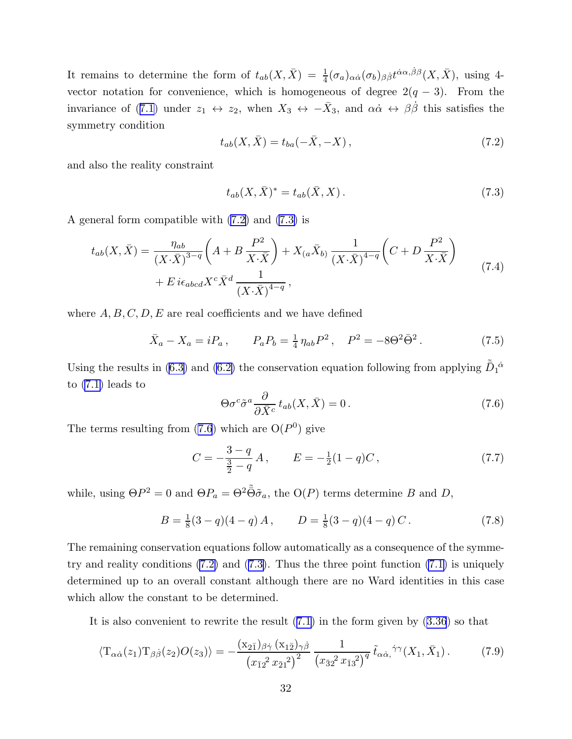<span id="page-32-0"></span>It remains to determine the form of  $t_{ab}(X,\bar{X}) = \frac{1}{4}(\sigma_a)_{\alpha\dot{\alpha}}(\sigma_b)_{\beta\dot{\beta}}t^{\dot{\alpha}\alpha,\dot{\beta}\beta}(X,\bar{X}),$  using 4vector notation for convenience, which is homogeneous of degree  $2(q - 3)$ . From the invarianceof ([7.1\)](#page-31-0) under  $z_1 \leftrightarrow z_2$ , when  $X_3 \leftrightarrow -\bar{X}_3$ , and  $\alpha\dot{\alpha} \leftrightarrow \beta\dot{\beta}$  this satisfies the symmetry condition

$$
t_{ab}(X,\bar{X}) = t_{ba}(-\bar{X}, -X),
$$
\n(7.2)

and also the reality constraint

$$
t_{ab}(X,\bar{X})^* = t_{ab}(\bar{X},X).
$$
\n(7.3)

A general form compatible with (7.2) and (7.3) is

$$
t_{ab}(X,\bar{X}) = \frac{\eta_{ab}}{(X\cdot\bar{X})^{3-q}} \left(A + B\frac{P^2}{X\cdot\bar{X}}\right) + X_{(a}\bar{X}_{b)} \frac{1}{(X\cdot\bar{X})^{4-q}} \left(C + D\frac{P^2}{X\cdot\bar{X}}\right)
$$
  
+ 
$$
E i\epsilon_{abcd} X^c \bar{X}^d \frac{1}{(X\cdot\bar{X})^{4-q}},
$$
 (7.4)

where  $A, B, C, D, E$  are real coefficients and we have defined

$$
\bar{X}_a - X_a = iP_a, \qquad P_a P_b = \frac{1}{4} \eta_{ab} P^2, \quad P^2 = -8\Theta^2 \bar{\Theta}^2. \tag{7.5}
$$

Using the results in [\(6.3\)](#page-27-0) and [\(6.2\)](#page-27-0) the conservation equation following from applying  $\tilde{\bar{D}}_1{}^{\dot{\alpha}}$ to [\(7.1\)](#page-31-0) leads to

$$
\Theta \sigma^c \tilde{\sigma}^a \frac{\partial}{\partial \bar{X}^c} t_{ab}(X, \bar{X}) = 0.
$$
 (7.6)

The terms resulting from  $(7.6)$  which are  $O(P^0)$  give

$$
C = -\frac{3-q}{\frac{3}{2}-q}A, \qquad E = -\frac{1}{2}(1-q)C, \tag{7.7}
$$

while, using  $\Theta P^2 = 0$  and  $\Theta P_a = \Theta^2 \tilde{\Theta} \tilde{\sigma}_a$ , the  $O(P)$  terms determine B and D,

$$
B = \frac{1}{8}(3-q)(4-q)A, \qquad D = \frac{1}{8}(3-q)(4-q)C.
$$
 (7.8)

The remaining conservation equations follow automatically as a consequence of the symmetry and reality conditions  $(7.2)$  and  $(7.3)$ . Thus the three point function  $(7.1)$  is uniquely determined up to an overall constant although there are no Ward identities in this case which allow the constant to be determined.

It is also convenient to rewrite the result([7.1](#page-31-0)) in the form given by([3.36](#page-17-0)) so that

$$
\langle T_{\alpha\dot{\alpha}}(z_1) T_{\beta\dot{\beta}}(z_2) O(z_3) \rangle = -\frac{(x_{2\bar{1}})_{\beta\dot{\gamma}} (x_{1\bar{2}})_{\gamma\dot{\beta}}}{(x_{\bar{1}2}^2 x_{\bar{2}1}^2)^2} \frac{1}{(x_{3\bar{2}}^2 x_{\bar{1}3}^2)^q} \tilde{t}_{\alpha\dot{\alpha},\dot{\gamma}} \tilde{t}_{(X_1, \bar{X}_1)}.
$$
(7.9)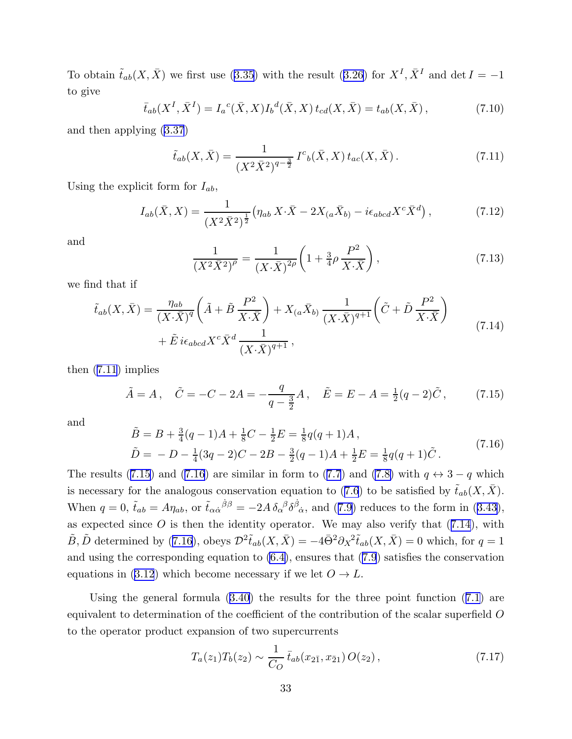<span id="page-33-0"></span>Toobtain  $\tilde{t}_{ab}(X,\bar{X})$  we first use ([3.35](#page-17-0)) with the result ([3.26](#page-15-0)) for  $X^I, \bar{X}^I$  and  $\det I = -1$ to give

$$
\bar{t}_{ab}(X^I, \bar{X}^I) = I_a{}^c(\bar{X}, X)I_b{}^d(\bar{X}, X) t_{cd}(X, \bar{X}) = t_{ab}(X, \bar{X}), \qquad (7.10)
$$

and then applying([3.37](#page-17-0))

$$
\tilde{t}_{ab}(X,\bar{X}) = \frac{1}{(X^2\bar{X}^2)^{q-\frac{3}{2}}}I^c{}_b(\bar{X},X)\,t_{ac}(X,\bar{X}).\tag{7.11}
$$

Using the explicit form for  $I_{ab}$ ,

$$
I_{ab}(\bar{X}, X) = \frac{1}{(X^2 \bar{X}^2)^{\frac{1}{2}}} \left( \eta_{ab} X \cdot \bar{X} - 2X_{(a} \bar{X}_{b)} - i \epsilon_{abcd} X^c \bar{X}^d \right), \tag{7.12}
$$

and

$$
\frac{1}{(X^2\bar{X}^2)^{\rho}} = \frac{1}{(X\cdot\bar{X})^{2\rho}} \left(1 + \frac{3}{4}\rho\,\frac{P^2}{X\cdot\bar{X}}\right),\tag{7.13}
$$

we find that if

$$
\tilde{t}_{ab}(X,\bar{X}) = \frac{\eta_{ab}}{(X\cdot\bar{X})^q} \left(\tilde{A} + \tilde{B}\frac{P^2}{X\cdot\bar{X}}\right) + X_{(a}\bar{X}_{b)} \frac{1}{(X\cdot\bar{X})^{q+1}} \left(\tilde{C} + \tilde{D}\frac{P^2}{X\cdot\bar{X}}\right)
$$
\n
$$
+ \tilde{E}\,i\epsilon_{abcd}X^c\bar{X}^d \frac{1}{(X\cdot\bar{X})^{q+1}},
$$
\n(7.14)

then (7.11) implies

$$
\tilde{A} = A
$$
,  $\tilde{C} = -C - 2A = -\frac{q}{q - \frac{3}{2}}A$ ,  $\tilde{E} = E - A = \frac{1}{2}(q - 2)\tilde{C}$ , (7.15)

and

$$
\tilde{B} = B + \frac{3}{4}(q-1)A + \frac{1}{8}C - \frac{1}{2}E = \frac{1}{8}q(q+1)A,
$$
  
\n
$$
\tilde{D} = -D - \frac{1}{4}(3q-2)C - 2B - \frac{3}{2}(q-1)A + \frac{1}{2}E = \frac{1}{8}q(q+1)\tilde{C}.
$$
\n(7.16)

Theresults (7.15) and (7.16) are similar in form to ([7.7](#page-32-0)) and [\(7.8\)](#page-32-0) with  $q \leftrightarrow 3 - q$  which isnecessary for the analogous conservation equation to ([7.6](#page-32-0)) to be satisfied by  $\tilde{t}_{ab}(X,\bar{X})$ . When $q = 0$ ,  $\tilde{t}_{ab} = A\eta_{ab}$ , or  $\tilde{t}_{\alpha\dot{\alpha}}{}^{\dot{\beta}\beta} = -2A \delta_{\alpha}{}^{\beta} \delta_{\dot{\alpha}}{}^{\dot{\beta}}$ , and ([7.9](#page-32-0)) reduces to the form in ([3.43](#page-18-0)), as expected since  $O$  is then the identity operator. We may also verify that  $(7.14)$ , with  $\tilde{B}, \tilde{D}$  determined by (7.16), obeys  $\mathcal{D}^2 \tilde{t}_{ab}(X,\bar{X}) = -4\bar{\Theta}^2 \partial_X^2 \tilde{t}_{ab}(X,\bar{X}) = 0$  which, for  $q = 1$ and using the corresponding equation to [\(6.4\)](#page-27-0), ensures that ([7.9](#page-32-0)) satisfies the conservation equations in [\(3.12](#page-13-0)) which become necessary if we let  $O \to L$ .

Using the general formula([3.40](#page-17-0)) the results for the three point function([7.1\)](#page-31-0) are equivalent to determination of the coefficient of the contribution of the scalar superfield O to the operator product expansion of two supercurrents

$$
T_a(z_1)T_b(z_2) \sim \frac{1}{C_O} \bar{t}_{ab}(x_{2\bar{1}}, x_{\bar{2}1}) O(z_2), \qquad (7.17)
$$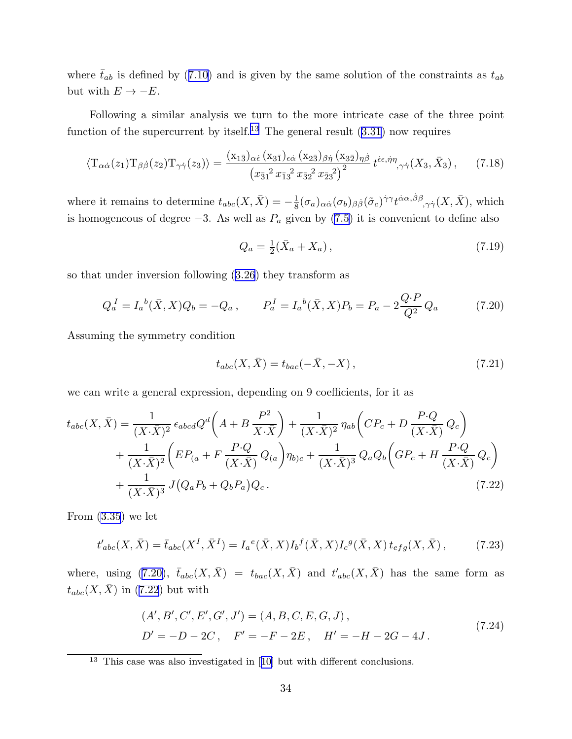<span id="page-34-0"></span>where  $\bar{t}_{ab}$  is defined by (7.[10\)](#page-33-0) and is given by the same solution of the constraints as  $t_{ab}$ but with  $E \to -E$ .

Following a similar analysis we turn to the more intricate case of the three point functionof the supercurrent by itself.<sup>13</sup> The general result  $(3.31)$  $(3.31)$  $(3.31)$  now requires

$$
\langle T_{\alpha\dot{\alpha}}(z_1) T_{\beta\dot{\beta}}(z_2) T_{\gamma\dot{\gamma}}(z_3) \rangle = \frac{(x_{1\bar{3}})_{\alpha\dot{\epsilon}} (x_{3\bar{1}})_{\epsilon\dot{\alpha}} (x_{2\bar{3}})_{\beta\dot{\eta}} (x_{3\bar{2}})_{\eta\dot{\beta}}}{(x_{\bar{3}1}^2 x_{\bar{1}3}^2 x_{\bar{3}2}^2 x_{\bar{2}3}^2)^2} t^{\dot{\epsilon}\epsilon, \dot{\eta}\eta}_{,\gamma\dot{\gamma}}(X_3, \bar{X}_3), \qquad (7.18)
$$

where it remains to determine  $t_{abc}(X,\bar{X}) = -\frac{1}{8}$  $\frac{1}{8}(\sigma_a)_{\alpha\dot{\alpha}}(\sigma_b)_{\beta\dot{\beta}}(\tilde{\sigma}_c)^{\dot{\gamma}\gamma}t^{\dot{\alpha}\alpha,\dot{\beta}\beta}{}_{,\gamma\dot{\gamma}}(X,\bar{X}),$  which is homogeneous of degree  $-3$ . As well as  $P_a$  given by [\(7.5\)](#page-32-0) it is convenient to define also

$$
Q_a = \frac{1}{2}(\bar{X}_a + X_a), \tag{7.19}
$$

so that under inversion following([3.26](#page-15-0)) they transform as

$$
Q_a^I = I_a^b(\bar{X}, X)Q_b = -Q_a, \qquad P_a^I = I_a^b(\bar{X}, X)P_b = P_a - 2\frac{Q \cdot P}{Q^2} Q_a \tag{7.20}
$$

Assuming the symmetry condition

$$
t_{abc}(X,\bar{X}) = t_{bac}(-\bar{X}, -X),
$$
\n(7.21)

we can write a general expression, depending on 9 coefficients, for it as

$$
t_{abc}(X,\bar{X}) = \frac{1}{(X\cdot\bar{X})^2} \epsilon_{abcd} Q^d \left( A + B \frac{P^2}{X\cdot\bar{X}} \right) + \frac{1}{(X\cdot\bar{X})^2} \eta_{ab} \left( CP_c + D \frac{P\cdot Q}{(X\cdot\bar{X})} Q_c \right)
$$
  
+ 
$$
\frac{1}{(X\cdot\bar{X})^2} \left( EP_{(a} + F \frac{P\cdot Q}{(X\cdot\bar{X})} Q_{(a)} \right) \eta_{b)c} + \frac{1}{(X\cdot\bar{X})^3} Q_a Q_b \left( GP_c + H \frac{P\cdot Q}{(X\cdot\bar{X})} Q_c \right)
$$
  
+ 
$$
\frac{1}{(X\cdot\bar{X})^3} J(Q_a P_b + Q_b P_a) Q_c.
$$
(7.22)

From [\(3.35](#page-17-0)) we let

$$
t'_{abc}(X,\bar{X}) = \bar{t}_{abc}(X^I,\bar{X}^I) = I_a{}^e(\bar{X},X)I_b{}^f(\bar{X},X)I_c{}^g(\bar{X},X) t_{efg}(X,\bar{X}), \tag{7.23}
$$

where, using (7.20),  $\bar{t}_{abc}(X,\bar{X}) = t_{bac}(X,\bar{X})$  and  $t'_{abc}(X,\bar{X})$  has the same form as  $t_{abc}(X,\bar{X})$  in (7.22) but with

$$
(A', B', C', E', G', J') = (A, B, C, E, G, J),\n D' = -D - 2C, \quad F' = -F - 2E, \quad H' = -H - 2G - 4J.
$$
\n(7.24)

<sup>13</sup> This case was also investigated in[[10\]](#page-51-0) but with different conclusions.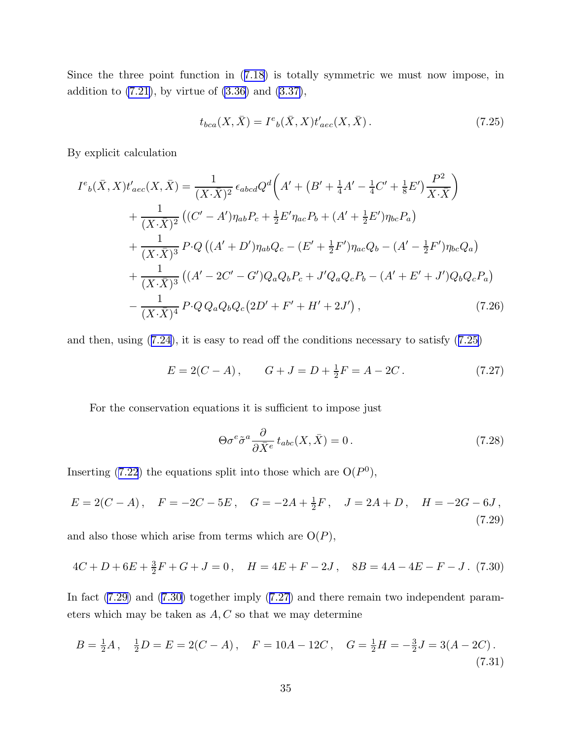<span id="page-35-0"></span>Since the three point function in([7.18\)](#page-34-0) is totally symmetric we must now impose, in addition to  $(7.21)$ , by virtue of  $(3.36)$  and  $(3.37)$ ,

$$
t_{bca}(X,\bar{X}) = I^e{}_b(\bar{X},X)t'_{aec}(X,\bar{X}).
$$
\n(7.25)

By explicit calculation

$$
I^{e}{}_{b}(\bar{X},X)t'_{acc}(X,\bar{X}) = \frac{1}{(X\cdot\bar{X})^{2}} \epsilon_{abcd} Q^{d} \bigg( A' + (B' + \frac{1}{4}A' - \frac{1}{4}C' + \frac{1}{8}E') \frac{P^{2}}{X\cdot\bar{X}} \bigg)
$$
  
+ 
$$
\frac{1}{(X\cdot\bar{X})^{2}} \left( (C' - A')\eta_{ab} P_{c} + \frac{1}{2}E'\eta_{ac} P_{b} + (A' + \frac{1}{2}E')\eta_{bc} P_{a} \right)
$$
  
+ 
$$
\frac{1}{(X\cdot\bar{X})^{3}} P \cdot Q \left( (A' + D')\eta_{ab} Q_{c} - (E' + \frac{1}{2}F')\eta_{ac} Q_{b} - (A' - \frac{1}{2}F')\eta_{bc} Q_{a} \right)
$$
  
+ 
$$
\frac{1}{(X\cdot\bar{X})^{3}} \left( (A' - 2C' - G')Q_{a} Q_{b} P_{c} + J' Q_{a} Q_{c} P_{b} - (A' + E' + J')Q_{b} Q_{c} P_{a} \right)
$$
  
- 
$$
\frac{1}{(X\cdot\bar{X})^{4}} P \cdot Q Q_{a} Q_{b} Q_{c} (2D' + F' + H' + 2J'), \qquad (7.26)
$$

and then, using([7.24](#page-34-0)), it is easy to read off the conditions necessary to satisfy (7.25)

$$
E = 2(C - A), \qquad G + J = D + \frac{1}{2}F = A - 2C. \tag{7.27}
$$

For the conservation equations it is sufficient to impose just

$$
\Theta \sigma^e \tilde{\sigma}^a \frac{\partial}{\partial \bar{X}^e} t_{abc}(X, \bar{X}) = 0.
$$
 (7.28)

Inserting([7.22](#page-34-0)) the equations split into those which are  $O(P^0)$ ,

$$
E = 2(C - A), \quad F = -2C - 5E, \quad G = -2A + \frac{1}{2}F, \quad J = 2A + D, \quad H = -2G - 6J,
$$
\n(7.29)

and also those which arise from terms which are  $O(P)$ ,

$$
4C + D + 6E + \frac{3}{2}F + G + J = 0, \quad H = 4E + F - 2J, \quad 8B = 4A - 4E - F - J. \tag{7.30}
$$

In fact  $(7.29)$  and  $(7.30)$  together imply  $(7.27)$  and there remain two independent parameters which may be taken as  $A, C$  so that we may determine

$$
B = \frac{1}{2}A, \quad \frac{1}{2}D = E = 2(C - A), \quad F = 10A - 12C, \quad G = \frac{1}{2}H = -\frac{3}{2}J = 3(A - 2C).
$$
\n(7.31)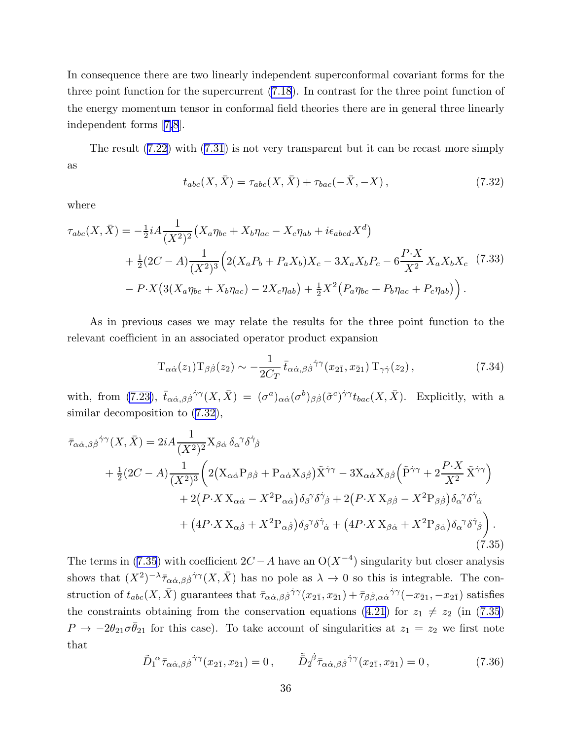<span id="page-36-0"></span>In consequence there are two linearly independent superconformal covariant forms for the three point function for the supercurrent([7.18](#page-34-0)). In contrast for the three point function of the energy momentum tensor in conformal field theories there are in general three linearly independent forms[[7,8](#page-51-0)].

The result([7.22](#page-34-0)) with([7.31](#page-35-0)) is not very transparent but it can be recast more simply as

$$
t_{abc}(X,\bar{X}) = \tau_{abc}(X,\bar{X}) + \tau_{bac}(-\bar{X}, -X), \qquad (7.32)
$$

where

$$
\tau_{abc}(X,\bar{X}) = -\frac{1}{2}iA\frac{1}{(X^2)^2}(X_a\eta_{bc} + X_b\eta_{ac} - X_c\eta_{ab} + i\epsilon_{abcd}X^d) \n+ \frac{1}{2}(2C - A)\frac{1}{(X^2)^3}\Big(2(X_aP_b + P_aX_b)X_c - 3X_aX_bP_c - 6\frac{P\cdot X}{X^2}X_aX_bX_c \quad (7.33)\n- P\cdot X\big(3(X_a\eta_{bc} + X_b\eta_{ac}) - 2X_c\eta_{ab}\big) + \frac{1}{2}X^2\big(P_a\eta_{bc} + P_b\eta_{ac} + P_c\eta_{ab}\big)\Big).
$$

As in previous cases we may relate the results for the three point function to the relevant coefficient in an associated operator product expansion

$$
T_{\alpha\dot{\alpha}}(z_1)T_{\beta\dot{\beta}}(z_2) \sim -\frac{1}{2C_T} \bar{t}_{\alpha\dot{\alpha},\beta\dot{\beta}}^{\dot{\gamma}\gamma}(x_{2\bar{1}},x_{\bar{2}1}) T_{\gamma\dot{\gamma}}(z_2), \qquad (7.34)
$$

with, from [\(7.23\)](#page-34-0),  $\bar{t}_{\alpha\dot{\alpha},\beta\dot{\beta}}\dot{\gamma}^{\gamma}(X,\bar{X}) = (\sigma^a)_{\alpha\dot{\alpha}}(\sigma^b)_{\beta\dot{\beta}}(\tilde{\sigma}^c)^{\dot{\gamma}\gamma}t_{bac}(X,\bar{X})$ . Explicitly, with a similar decomposition to (7.32),

$$
\bar{\tau}_{\alpha\dot{\alpha},\beta\dot{\beta}}{}^{\dot{\gamma}\gamma}(X,\bar{X}) = 2iA \frac{1}{(X^2)^2} X_{\beta\dot{\alpha}} \delta_{\alpha}{}^{\gamma} \delta^{\dot{\gamma}}{}_{\dot{\beta}} \n+ \frac{1}{2}(2C-A) \frac{1}{(X^2)^3} \left( 2(X_{\alpha\dot{\alpha}} P_{\beta\dot{\beta}} + P_{\alpha\dot{\alpha}} X_{\beta\dot{\beta}}) \tilde{X}^{\dot{\gamma}\gamma} - 3X_{\alpha\dot{\alpha}} X_{\beta\dot{\beta}} \left( \tilde{P}^{\dot{\gamma}\gamma} + 2\frac{P \cdot X}{X^2} \tilde{X}^{\dot{\gamma}\gamma} \right) \n+ 2(P \cdot X X_{\alpha\dot{\alpha}} - X^2 P_{\alpha\dot{\alpha}}) \delta_{\beta}{}^{\gamma} \delta^{\dot{\gamma}}{}_{\dot{\beta}} + 2(P \cdot X X_{\beta\dot{\beta}} - X^2 P_{\beta\dot{\beta}}) \delta_{\alpha}{}^{\gamma} \delta^{\dot{\gamma}}{}_{\dot{\alpha}} \n+ (4P \cdot X X_{\alpha\dot{\beta}} + X^2 P_{\alpha\dot{\beta}}) \delta_{\beta}{}^{\gamma} \delta^{\dot{\gamma}}{}_{\dot{\alpha}} + (4P \cdot X X_{\beta\dot{\alpha}} + X^2 P_{\beta\dot{\alpha}}) \delta_{\alpha}{}^{\gamma} \delta^{\dot{\gamma}}{}_{\dot{\beta}} \right).
$$
\n(7.35)

The terms in (7.35) with coefficient  $2C - A$  have an  $O(X^{-4})$  singularity but closer analysis shows that  $(X^2)^{-\lambda} \bar{\tau}_{\alpha\dot{\alpha},\beta\dot{\beta}}\dot{\gamma}(\dot{\gamma}(X,\bar{X})$  has no pole as  $\lambda \to 0$  so this is integrable. The construction of  $t_{abc}(X,\bar{X})$  guarantees that  $\bar{\tau}_{\alpha\dot{\alpha},\beta\dot{\beta}}{}^{\dot{\gamma}\gamma}(x_{2\bar{1}},x_{\bar{2}1}) + \bar{\tau}_{\beta\dot{\beta},\alpha\dot{\alpha}}{}^{\dot{\gamma}\gamma}(-x_{\bar{2}1},-x_{2\bar{1}})$  satisfies the constraints obtaining from the conservation equations ([4.21\)](#page-22-0) for  $z_1 \neq z_2$  (in (7.35)  $P \to -2\theta_{21}\sigma\bar{\theta}_{21}$  for this case). To take account of singularities at  $z_1 = z_2$  we first note that

$$
\tilde{D}_1^{\ \alpha} \bar{\tau}_{\alpha \dot{\alpha}, \beta \dot{\beta}}{}^{\dot{\gamma}\gamma}(x_{2\bar{1}}, x_{\bar{2}1}) = 0, \qquad \tilde{\bar{D}}_2^{\ \dot{\beta}} \bar{\tau}_{\alpha \dot{\alpha}, \beta \dot{\beta}}{}^{\dot{\gamma}\gamma}(x_{2\bar{1}}, x_{\bar{2}1}) = 0, \qquad (7.36)
$$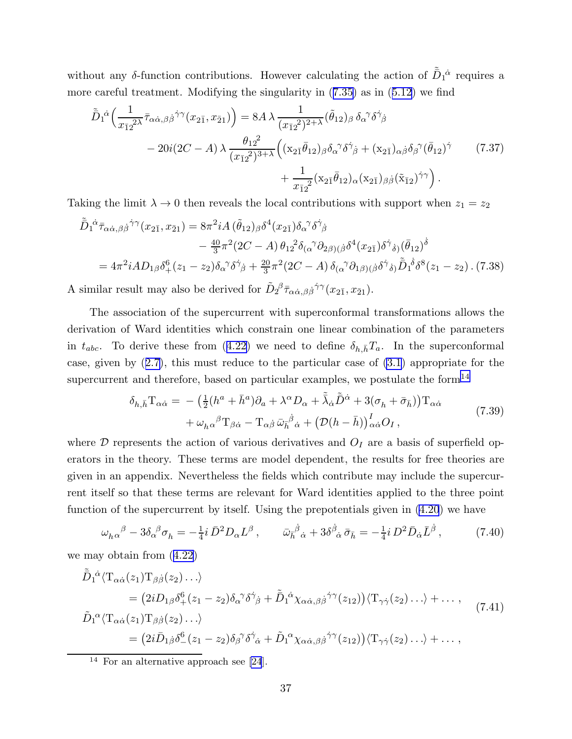<span id="page-37-0"></span>without any  $\delta$ -function contributions. However calculating the action of  $\tilde{\bar{D}}_1{}^{\dot{\alpha}}$  requires a more careful treatment. Modifying the singularity in([7.35\)](#page-36-0) as in([5.12](#page-26-0)) we find

$$
\tilde{D}_{1}^{\dot{\alpha}}\left(\frac{1}{x_{\bar{1}2}^{2\lambda}}\bar{\tau}_{\alpha\dot{\alpha},\beta\dot{\beta}}\dot{\gamma}\gamma(x_{2\bar{1}},x_{\bar{2}1})\right) = 8A\lambda \frac{1}{(x_{\bar{1}2}^{2})^{2+\lambda}}(\tilde{\theta}_{12})_{\beta}\delta_{\alpha}^{\gamma}\delta^{\dot{\gamma}}{}_{\dot{\beta}}
$$
\n
$$
-20i(2C-A)\lambda \frac{\theta_{12}^{2}}{(x_{\bar{1}2}^{2})^{3+\lambda}}\left((x_{2\bar{1}}\bar{\theta}_{12})_{\beta}\delta_{\alpha}^{\gamma}\delta^{\dot{\gamma}}{}_{\dot{\beta}} + (x_{2\bar{1}})_{\alpha\dot{\beta}}\delta_{\beta}^{\gamma}(\bar{\theta}_{12})^{\dot{\gamma}}\right) + \frac{1}{x_{\bar{1}2}^{2}}(x_{2\bar{1}}\bar{\theta}_{12})_{\alpha}(x_{2\bar{1}})_{\beta\dot{\beta}}(\tilde{x}_{\bar{1}2})^{\dot{\gamma}\gamma}\right).
$$
\n(7.37)

Taking the limit  $\lambda \to 0$  then reveals the local contributions with support when  $z_1 = z_2$ 

$$
\tilde{\bar{D}}_1{}^{\dot{\alpha}}\bar{\tau}_{\alpha\dot{\alpha},\beta\dot{\beta}}{}^{\dot{\gamma}\gamma}(x_{2\bar{1}},x_{\bar{2}1}) = 8\pi^2 i A (\tilde{\theta}_{12})_{\beta} \delta^4(x_{2\bar{1}}) \delta_{\alpha}{}^{\gamma} \delta^{\dot{\gamma}}{}_{\dot{\beta}}
$$
\n
$$
- \frac{40}{3}\pi^2 (2C - A) \theta_{12}{}^2 \delta_{(\alpha}{}^{\gamma} \partial_{2\beta)(\dot{\beta}} \delta^4(x_{2\bar{1}}) \delta^{\dot{\gamma}}{}_{\dot{\delta})} (\bar{\theta}_{12})^{\dot{\delta}}
$$
\n
$$
= 4\pi^2 i A D_{1\beta} \delta^6_+(z_1 - z_2) \delta_{\alpha}{}^{\gamma} \delta^{\dot{\gamma}}{}_{\dot{\beta}} + \frac{20}{3}\pi^2 (2C - A) \delta_{(\alpha}{}^{\gamma} \partial_{1\beta)(\dot{\beta}} \delta^{\dot{\gamma}}{}_{\dot{\delta})} \tilde{\bar{D}}_1{}^{\dot{\delta}} \delta^8(z_1 - z_2) . (7.38)
$$

A similar result may also be derived for  $\tilde{D}_2{}^{\beta} \bar{\tau}_{\alpha \dot{\alpha}, \beta \dot{\beta}}{}^{\dot{\gamma} \gamma} (x_{2\bar{1}}, x_{\bar{2}1}).$ 

The association of the supercurrent with superconformal transformations allows the derivation of Ward identities which constrain one linear combination of the parameters in $t_{abc}$ . To derive these from ([4.22\)](#page-22-0) we need to define  $\delta_{h,\bar{h}}T_a$ . In the superconformal case, given by([2.7\)](#page-4-0), this must reduce to the particular case of [\(3.1\)](#page-11-0) appropriate for the supercurrent and therefore, based on particular examples, we postulate the form $^{14}$ 

$$
\delta_{h,\bar{h}} \mathcal{T}_{\alpha\dot{\alpha}} = -\left(\frac{1}{2}(h^a + \bar{h}^a)\partial_a + \lambda^\alpha D_\alpha + \tilde{\lambda}_{\dot{\alpha}}\tilde{D}^{\dot{\alpha}} + 3(\sigma_h + \bar{\sigma}_{\bar{h}})\right)\mathcal{T}_{\alpha\dot{\alpha}} \n+ \omega_{h\alpha}{}^\beta \mathcal{T}_{\beta\dot{\alpha}} - \mathcal{T}_{\alpha\dot{\beta}}\,\bar{\omega}_{\bar{h}}{}^{\dot{\beta}}{}_{\dot{\alpha}} + \left(\mathcal{D}(h - \bar{h})\right)^I_{\alpha\dot{\alpha}}O_I \,,
$$
\n(7.39)

where  $D$  represents the action of various derivatives and  $O<sub>I</sub>$  are a basis of superfield operators in the theory. These terms are model dependent, the results for free theories are given in an appendix. Nevertheless the fields which contribute may include the supercurrent itself so that these terms are relevant for Ward identities applied to the three point function of the supercurrent by itself. Using the prepotentials given in([4.20](#page-22-0)) we have

$$
\omega_{h\alpha}{}^{\beta} - 3\delta_{\alpha}{}^{\beta} \sigma_{h} = -\frac{1}{4} i \,\bar{D}^{2} D_{\alpha} L^{\beta} \,, \qquad \bar{\omega}_{h}^{\dot{\beta}}{}_{\dot{\alpha}} + 3\delta^{\dot{\beta}}{}_{\dot{\alpha}} \,\bar{\sigma}_{h} = -\frac{1}{4} i \, D^{2} \bar{D}_{\dot{\alpha}} \bar{L}^{\dot{\beta}} \,, \tag{7.40}
$$

(7.41)

we may obtain from (4.22)  
\n
$$
\tilde{D}_{1}{}^{\dot{\alpha}} \langle \mathrm{T}_{\alpha\dot{\alpha}}(z_{1}) \mathrm{T}_{\beta\dot{\beta}}(z_{2}) \dots \rangle
$$
\n
$$
= (2i D_{1\beta} \delta_{+}^{6}(z_{1} - z_{2}) \delta_{\alpha}{}^{\gamma} \delta^{\dot{\gamma}}{}_{\dot{\beta}} + \tilde{D}_{1}{}^{\dot{\alpha}} \chi_{\alpha\dot{\alpha},\beta\dot{\beta}}{}^{\dot{\gamma}}{}^{\gamma}(z_{12}) \langle \mathrm{T}_{\gamma\dot{\gamma}}(z_{2}) \dots \rangle + \dots ,
$$
\n
$$
\tilde{D}_{1}{}^{\alpha} \langle \mathrm{T}_{\alpha\dot{\alpha}}(z_{1}) \mathrm{T}_{\beta\dot{\beta}}(z_{2}) \dots \rangle
$$
\n
$$
= (2i \bar{D}_{1\dot{\beta}} \delta_{-}^{6}(z_{1} - z_{2}) \delta_{\beta}{}^{\gamma} \delta^{\dot{\gamma}}{}_{\dot{\alpha}} + \tilde{D}_{1}{}^{\alpha} \chi_{\alpha\dot{\alpha},\beta\dot{\beta}}{}^{\dot{\gamma}}{}^{\gamma}(z_{12}) \langle \mathrm{T}_{\gamma\dot{\gamma}}(z_{2}) \dots \rangle + \dots ,
$$

<sup>14</sup> For an alternative approach see [\[24](#page-52-0)].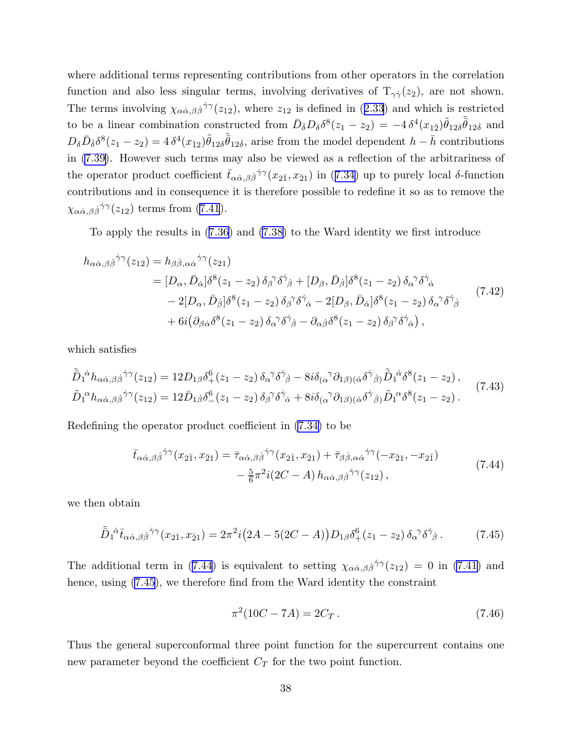<span id="page-38-0"></span>where additional terms representing contributions from other operators in the correlation function and also less singular terms, involving derivatives of  $T_{\gamma\gamma}(z_2)$ , are not shown. Theterms involving  $\chi_{\alpha\dot{\alpha},\beta\dot{\beta}}\dot{\gamma}\gamma(z_{12})$ , where  $z_{12}$  is defined in ([2.33](#page-8-0)) and which is restricted to be a linear combination constructed from  $\bar{D}_{\dot{\delta}}D_{\delta}\delta^8(z_1-z_2) = -4\,\delta^4(x_{1\bar{2}})\tilde{\theta}_{12\delta}\tilde{\bar{\theta}}_{12\dot{\delta}}$  and  $D_{\delta} \bar{D}_{\dot{\delta}} \delta^8(z_1 - z_2) = 4 \delta^4(x_{\bar{1}2}) \tilde{\theta}_{12\dot{\delta}} \tilde{\theta}_{12\dot{\delta}},$  arise from the model dependent  $h - \bar{h}$  contributions in [\(7.39\)](#page-37-0). However such terms may also be viewed as a reflection of the arbitrariness of theoperator product coefficient  $\bar{t}_{\alpha\dot{\alpha},\beta\dot{\beta}}$ <sup> $\dot{\gamma}\gamma(x_{2\bar{1}},x_{\bar{2}1})$  in ([7.34\)](#page-36-0) up to purely local  $\delta$ -function</sup> contributions and in consequence it is therefore possible to redefine it so as to remove the  $\chi_{\alpha\dot{\alpha},\beta\dot{\beta}}\dot{\gamma}^{\gamma}(z_{12})$ terms from ([7.41](#page-37-0)).

To apply the results in([7.36](#page-36-0)) and [\(7.38\)](#page-37-0) to the Ward identity we first introduce

$$
h_{\alpha\dot{\alpha},\beta\dot{\beta}}{}^{\dot{\gamma}\gamma}(z_{12}) = h_{\beta\dot{\beta},\alpha\dot{\alpha}}{}^{\dot{\gamma}\gamma}(z_{21})
$$
  
\n
$$
= [D_{\alpha}, \bar{D}_{\dot{\alpha}}] \delta^8(z_1 - z_2) \delta_{\beta}{}^{\gamma}\delta^{\dot{\gamma}}{}_{\dot{\beta}} + [D_{\beta}, \bar{D}_{\dot{\beta}}] \delta^8(z_1 - z_2) \delta_{\alpha}{}^{\gamma}\delta^{\dot{\gamma}}{}_{\dot{\alpha}}
$$
  
\n
$$
- 2[D_{\alpha}, \bar{D}_{\dot{\beta}}] \delta^8(z_1 - z_2) \delta_{\beta}{}^{\gamma}\delta^{\dot{\gamma}}{}_{\dot{\alpha}} - 2[D_{\beta}, \bar{D}_{\dot{\alpha}}] \delta^8(z_1 - z_2) \delta_{\alpha}{}^{\gamma}\delta^{\dot{\gamma}}{}_{\dot{\beta}}
$$
  
\n
$$
+ 6i (\partial_{\beta\dot{\alpha}} \delta^8(z_1 - z_2) \delta_{\alpha}{}^{\gamma}\delta^{\dot{\gamma}}{}_{\dot{\beta}} - \partial_{\alpha\dot{\beta}} \delta^8(z_1 - z_2) \delta_{\beta}{}^{\gamma}\delta^{\dot{\gamma}}{}_{\dot{\alpha}}),
$$
\n(7.42)

which satisfies

$$
\tilde{\bar{D}}_{1}{}^{\dot{\alpha}}h_{\alpha\dot{\alpha},\beta\dot{\beta}}{}^{\dot{\gamma}\gamma}(z_{12}) = 12D_{1\beta}\delta_{+}^{6}(z_{1}-z_{2})\,\delta_{\alpha}{}^{\gamma}\delta_{\dot{\beta}}{}^{\dot{\gamma}} - 8i\delta_{(\alpha}{}^{\gamma}\partial_{1\beta)(\dot{\alpha}}\delta_{\dot{\beta}}{}^{\dot{\gamma}}\tilde{\bar{D}}_{1}{}^{\dot{\alpha}}\delta_{-}^{8}(z_{1}-z_{2}),\n\tilde{D}_{1}{}^{\alpha}h_{\alpha\dot{\alpha},\beta\dot{\beta}}{}^{\dot{\gamma}\gamma}(z_{12}) = 12\bar{D}_{1\dot{\beta}}\delta_{-}^{6}(z_{1}-z_{2})\,\delta_{\beta}{}^{\gamma}\delta_{\dot{\alpha}}{}^{\dot{\gamma}} + 8i\delta_{(\alpha}{}^{\gamma}\partial_{1\beta)(\dot{\alpha}}\delta_{\dot{\beta}}{}^{\dot{\gamma}}\tilde{\bar{D}}_{1}{}^{\alpha}\delta_{-}^{8}(z_{1}-z_{2}).
$$
\n(7.43)

Redefining the operator product coefficient in [\(7.34\)](#page-36-0) to be

$$
\bar{t}_{\alpha\dot{\alpha},\beta\dot{\beta}}{}^{\dot{\gamma}\gamma}(x_{2\bar{1}},x_{\bar{2}1}) = \bar{\tau}_{\alpha\dot{\alpha},\beta\dot{\beta}}{}^{\dot{\gamma}\gamma}(x_{2\bar{1}},x_{\bar{2}1}) + \bar{\tau}_{\beta\dot{\beta},\alpha\dot{\alpha}}{}^{\dot{\gamma}\gamma}(-x_{\bar{2}1},-x_{2\bar{1}}) \n- \frac{5}{6}\pi^2i(2C-A)h_{\alpha\dot{\alpha},\beta\dot{\beta}}{}^{\dot{\gamma}\gamma}(z_{12}),
$$
\n(7.44)

we then obtain

$$
\tilde{\bar{D}}_1{}^{\dot{\alpha}}\bar{t}_{\alpha\dot{\alpha},\beta\dot{\beta}}{}^{\dot{\gamma}\gamma}(x_{2\bar{1}},x_{\bar{2}1}) = 2\pi^2 i \big(2A - 5(2C - A)\big) D_{1\beta} \delta_+^6(z_1 - z_2) \,\delta_\alpha{}^\gamma \delta^{\dot{\gamma}}{}_{\dot{\beta}}\,. \tag{7.45}
$$

The additional term in (7.44) is equivalent to setting  $\chi_{\alpha\dot{\alpha},\beta\dot{\beta}}\dot{\gamma}^{\gamma}(z_{12}) = 0$  in [\(7.41\)](#page-37-0) and hence, using  $(7.45)$ , we therefore find from the Ward identity the constraint

$$
\pi^2(10C - 7A) = 2C_T. \tag{7.46}
$$

Thus the general superconformal three point function for the supercurrent contains one new parameter beyond the coefficient  $C_T$  for the two point function.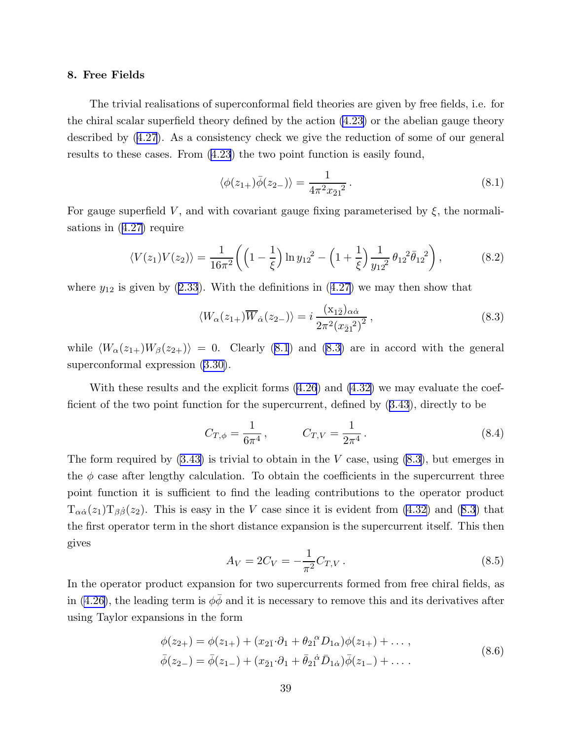## <span id="page-39-0"></span>8. Free Fields

The trivial realisations of superconformal field theories are given by free fields, i.e. for the chiral scalar superfield theory defined by the action [\(4.23\)](#page-22-0) or the abelian gauge theory described by([4.27](#page-23-0)). As a consistency check we give the reduction of some of our general results to these cases. From [\(4.23](#page-22-0)) the two point function is easily found,

$$
\langle \phi(z_{1+})\bar{\phi}(z_{2-})\rangle = \frac{1}{4\pi^2 x_{\bar{2}1}^2} \,. \tag{8.1}
$$

For gauge superfield V, and with covariant gauge fixing parameterised by  $\xi$ , the normalisations in([4.27\)](#page-23-0) require

$$
\langle V(z_1)V(z_2)\rangle = \frac{1}{16\pi^2} \left( \left(1 - \frac{1}{\xi}\right) \ln y_{12}^2 - \left(1 + \frac{1}{\xi}\right) \frac{1}{y_{12}^2} \theta_{12}^2 \bar{\theta}_{12}^2 \right),\tag{8.2}
$$

where $y_{12}$  is given by ([2.33](#page-8-0)). With the definitions in ([4.27\)](#page-23-0) we may then show that

$$
\langle W_{\alpha}(z_{1+})\overline{W}_{\dot{\alpha}}(z_{2-})\rangle = i\,\frac{(x_{1\bar{2}})_{\alpha\dot{\alpha}}}{2\pi^2(x_{\bar{2}1}^2)^2}\,,\tag{8.3}
$$

while  $\langle W_{\alpha}(z_{1+})W_{\beta}(z_{2+})\rangle = 0$ . Clearly (8.1) and (8.3) are in accord with the general superconformal expression [\(3.30\)](#page-16-0).

With these results and the explicit forms([4.26](#page-23-0)) and [\(4.32\)](#page-24-0) we may evaluate the coefficient of the two point function for the supercurrent, defined by([3.43](#page-18-0)), directly to be

$$
C_{T,\phi} = \frac{1}{6\pi^4} \,, \qquad C_{T,V} = \frac{1}{2\pi^4} \,. \tag{8.4}
$$

The form required by  $(3.43)$  is trivial to obtain in the V case, using  $(8.3)$ , but emerges in the  $\phi$  case after lengthy calculation. To obtain the coefficients in the supercurrent three point function it is sufficient to find the leading contributions to the operator product  $T_{\alpha\dot{\alpha}}(z_1)T_{\beta\dot{\beta}}(z_2)$ . This is easy in the V case since it is evident from [\(4.32\)](#page-24-0) and (8.3) that the first operator term in the short distance expansion is the supercurrent itself. This then gives

$$
A_V = 2C_V = -\frac{1}{\pi^2} C_{T,V} \,. \tag{8.5}
$$

In the operator product expansion for two supercurrents formed from free chiral fields, as in [\(4.26\)](#page-23-0), the leading term is  $\phi\bar{\phi}$  and it is necessary to remove this and its derivatives after using Taylor expansions in the form

$$
\phi(z_{2+}) = \phi(z_{1+}) + (x_{2\bar{1}} \cdot \partial_1 + \theta_{2\bar{1}}{}^{\alpha} D_{1\alpha}) \phi(z_{1+}) + \dots ,
$$
  
\n
$$
\bar{\phi}(z_{2-}) = \bar{\phi}(z_{1-}) + (x_{\bar{2}1} \cdot \partial_1 + \bar{\theta}_{2\bar{1}}{}^{\dot{\alpha}} \bar{D}_{1\dot{\alpha}}) \bar{\phi}(z_{1-}) + \dots .
$$
\n(8.6)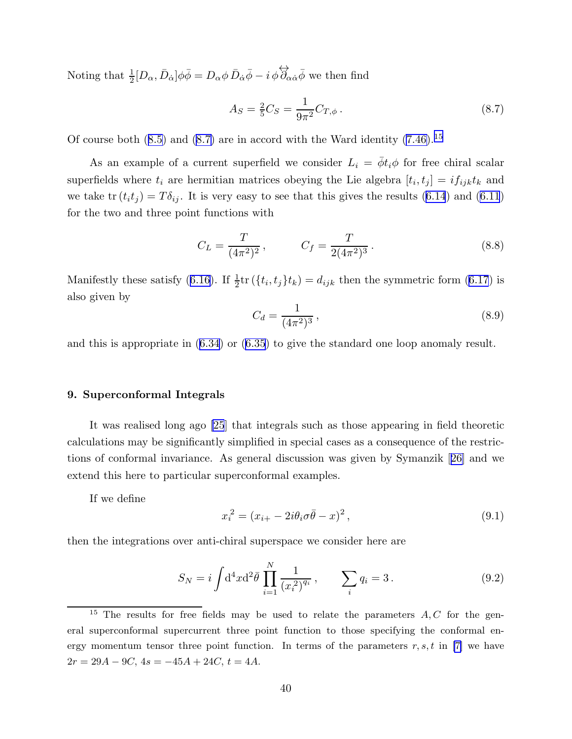<span id="page-40-0"></span>Noting that  $\frac{1}{2}[D_{\alpha}, \bar{D}_{\dot{\alpha}}]\phi\bar{\phi} = D_{\alpha}\phi \bar{D}_{\dot{\alpha}}\bar{\phi} - i \phi \overleftrightarrow{\partial}_{\alpha\dot{\alpha}}\bar{\phi}$  we then find

$$
A_S = \frac{2}{5}C_S = \frac{1}{9\pi^2}C_{T,\phi}.
$$
\n(8.7)

Ofcourse both  $(8.5)$  $(8.5)$  and  $(8.7)$  are in accord with the Ward identity  $(7.46).^{15}$ 

As an example of a current superfield we consider  $L_i = \bar{\phi} t_i \phi$  for free chiral scalar superfields where  $t_i$  are hermitian matrices obeying the Lie algebra  $[t_i, t_j] = i f_{ijk} t_k$  and we take  $tr(t_i t_j) = T \delta_{ij}$ . It is very easy to see that this gives the results [\(6.14](#page-28-0)) and [\(6.11](#page-28-0)) for the two and three point functions with

$$
C_L = \frac{T}{(4\pi^2)^2}, \qquad C_f = \frac{T}{2(4\pi^2)^3}.
$$
\n(8.8)

Manifestlythese satisfy ([6.16\)](#page-28-0). If  $\frac{1}{2}$ tr ( $\{t_i, t_j\}$ t<sub>k</sub>) =  $d_{ijk}$  then the symmetric form [\(6.17](#page-28-0)) is also given by

$$
C_d = \frac{1}{(4\pi^2)^3},\tag{8.9}
$$

and this is appropriate in([6.34](#page-31-0)) or([6.35](#page-31-0)) to give the standard one loop anomaly result.

## 9. Superconformal Integrals

It was realised long ago [\[25](#page-52-0)] that integrals such as those appearing in field theoretic calculations may be significantly simplified in special cases as a consequence of the restrictions of conformal invariance. As general discussion was given by Symanzik[[26\]](#page-52-0) and we extend this here to particular superconformal examples.

If we define

$$
x_i^2 = (x_{i+} - 2i\theta_i \sigma \bar{\theta} - x)^2, \qquad (9.1)
$$

then the integrations over anti-chiral superspace we consider here are

$$
S_N = i \int d^4x d^2\bar{\theta} \prod_{i=1}^N \frac{1}{(x_i^2)^{q_i}}, \qquad \sum_i q_i = 3. \tag{9.2}
$$

<sup>&</sup>lt;sup>15</sup> The results for free fields may be used to relate the parameters  $A, C$  for the general superconformal supercurrent three point function to those specifying the conformal energy momentum tensor three point function. In terms of the parameters  $r, s, t$  in [\[7\]](#page-51-0) we have  $2r = 29A - 9C$ ,  $4s = -45A + 24C$ ,  $t = 4A$ .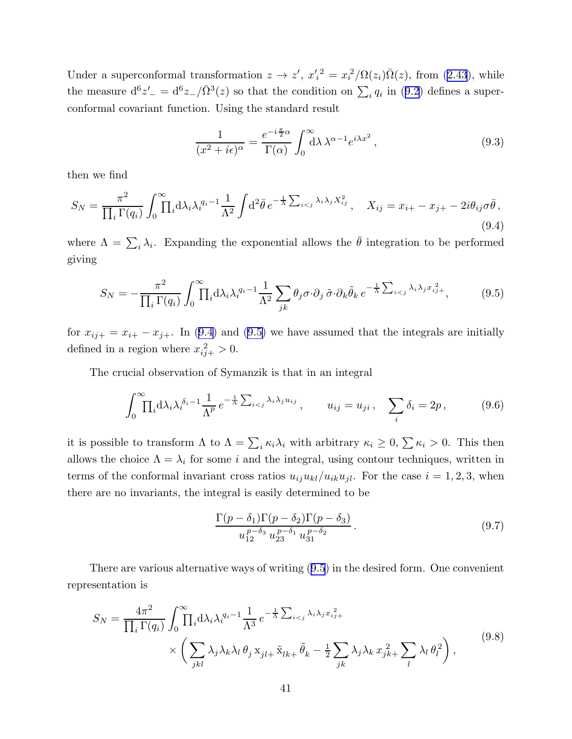<span id="page-41-0"></span>Undera superconformal transformation  $z \to z'$ ,  $x_i'^2 = x_i^2/\Omega(z_i)\overline{\Omega}(z)$ , from ([2.43](#page-9-0)), while themeasure  $d^6z' = d^6z / \bar{\Omega}^3(z)$  so that the condition on  $\sum_i q_i$  in ([9.2\)](#page-40-0) defines a superconformal covariant function. Using the standard result

$$
\frac{1}{(x^2 + i\epsilon)^\alpha} = \frac{e^{-i\frac{\pi}{2}\alpha}}{\Gamma(\alpha)} \int_0^\infty d\lambda \,\lambda^{\alpha - 1} e^{i\lambda x^2},\tag{9.3}
$$

then we find

$$
S_N = \frac{\pi^2}{\prod_i \Gamma(q_i)} \int_0^\infty \prod_i \mathrm{d}\lambda_i \lambda_i^{q_i - 1} \frac{1}{\Lambda^2} \int \mathrm{d}^2 \bar{\theta} \, e^{-\frac{1}{\Lambda} \sum_{i < j} \lambda_i \lambda_j X_{ij}^2}, \quad X_{ij} = x_{i+} - x_{j+} - 2i\theta_{ij}\sigma\bar{\theta},\tag{9.4}
$$

where  $\Lambda = \sum_i \lambda_i$ . Expanding the exponential allows the  $\bar{\theta}$  integration to be performed giving

$$
S_N = -\frac{\pi^2}{\prod_i \Gamma(q_i)} \int_0^\infty \prod_i d\lambda_i \lambda_i^{q_i - 1} \frac{1}{\Lambda^2} \sum_{jk} \theta_j \sigma \cdot \partial_j \tilde{\sigma} \cdot \partial_k \tilde{\theta}_k e^{-\frac{1}{\Lambda} \sum_{i < j} \lambda_i \lambda_j x_{ij}^2 +},\tag{9.5}
$$

for  $x_{ij+} = x_{i+} - x_{j+}$ . In (9.4) and (9.5) we have assumed that the integrals are initially defined in a region where  $x_{ij+}^2 > 0$ .

The crucial observation of Symanzik is that in an integral

$$
\int_0^\infty \prod_i \mathrm{d}\lambda_i \lambda_i^{\delta_i - 1} \frac{1}{\Lambda^p} e^{-\frac{1}{\Lambda} \sum_{i < j} \lambda_i \lambda_j u_{ij}}, \qquad u_{ij} = u_{ji}, \quad \sum_i \delta_i = 2p,\tag{9.6}
$$

it is possible to transform  $\Lambda$  to  $\Lambda = \sum_i \kappa_i \lambda_i$  with arbitrary  $\kappa_i \geq 0$ ,  $\sum \kappa_i > 0$ . This then allows the choice  $\Lambda = \lambda_i$  for some i and the integral, using contour techniques, written in terms of the conformal invariant cross ratios  $u_{ij}u_{kl}/u_{ik}u_{jl}$ . For the case  $i = 1, 2, 3$ , when there are no invariants, the integral is easily determined to be

$$
\frac{\Gamma(p-\delta_1)\Gamma(p-\delta_2)\Gamma(p-\delta_3)}{u_{12}^{p-\delta_3}u_{23}^{p-\delta_1}u_{31}^{p-\delta_2}}.
$$
\n(9.7)

There are various alternative ways of writing (9.5) in the desired form. One convenient representation is

$$
S_N = \frac{4\pi^2}{\prod_i \Gamma(q_i)} \int_0^\infty \prod_i d\lambda_i \lambda_i^{q_i - 1} \frac{1}{\Lambda^3} e^{-\frac{1}{\Lambda} \sum_{i < j} \lambda_i \lambda_j x_{ij}^2 +} \times \left( \sum_{jkl} \lambda_j \lambda_k \lambda_l \theta_j x_{jl} + \tilde{x}_{lk} + \tilde{\theta}_k - \frac{1}{2} \sum_{jk} \lambda_j \lambda_k x_{jk}^2 + \sum_l \lambda_l \theta_l^2 \right), \tag{9.8}
$$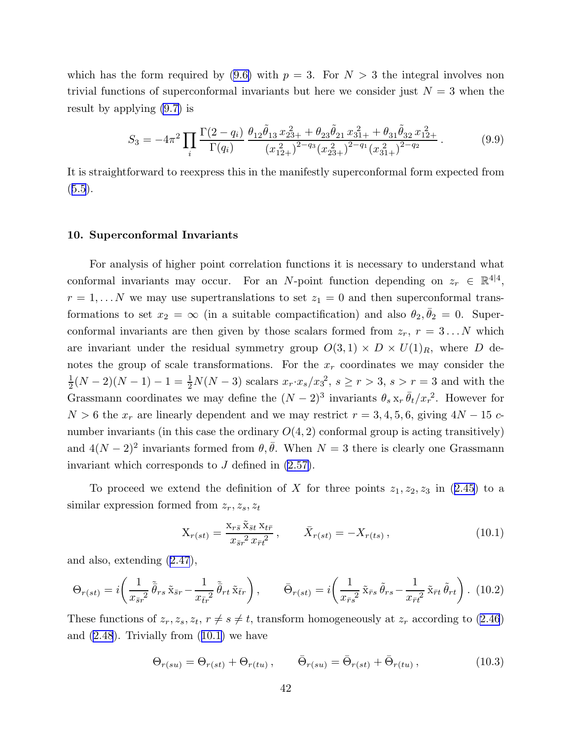<span id="page-42-0"></span>which has the form required by  $(9.6)$  with  $p = 3$ . For  $N > 3$  the integral involves non trivial functions of superconformal invariants but here we consider just  $N = 3$  when the result by applying [\(9.7\)](#page-41-0) is

$$
S_3 = -4\pi^2 \prod_i \frac{\Gamma(2-q_i)}{\Gamma(q_i)} \frac{\theta_{12}\tilde{\theta}_{13}x_{23+}^2 + \theta_{23}\tilde{\theta}_{21}x_{31+}^2 + \theta_{31}\tilde{\theta}_{32}x_{12+}^2}{(x_{12+}^2)^{2-q_3}(x_{23+}^2)^{2-q_1}(x_{31+}^2)^{2-q_2}}.
$$
(9.9)

It is straightforward to reexpress this in the manifestly superconformal form expected from  $(5.5).$  $(5.5).$  $(5.5).$ 

### 10. Superconformal Invariants

For analysis of higher point correlation functions it is necessary to understand what conformal invariants may occur. For an N-point function depending on  $z_r \in \mathbb{R}^{4|4}$ ,  $r = 1, \ldots N$  we may use supertranslations to set  $z_1 = 0$  and then superconformal transformations to set  $x_2 = \infty$  (in a suitable compactification) and also  $\theta_2, \bar{\theta}_2 = 0$ . Superconformal invariants are then given by those scalars formed from  $z_r$ ,  $r = 3...N$  which are invariant under the residual symmetry group  $O(3,1) \times D \times U(1)_R$ , where D denotes the group of scale transformations. For the  $x_r$  coordinates we may consider the 1  $\frac{1}{2}(N-2)(N-1)-1=\frac{1}{2}N(N-3)$  scalars  $x_r \cdot x_s/x_3^2$ ,  $s \ge r > 3$ ,  $s > r = 3$  and with the Grassmann coordinates we may define the  $(N-2)^3$  invariants  $\theta_s x_r \bar{\theta}_t / x_r^2$ . However for  $N > 6$  the  $x_r$  are linearly dependent and we may restrict  $r = 3, 4, 5, 6$ , giving  $4N - 15$  cnumber invariants (in this case the ordinary  $O(4, 2)$  conformal group is acting transitively) and  $4(N-2)^2$  invariants formed from  $\theta, \bar{\theta}$ . When  $N=3$  there is clearly one Grassmann invariant which corresponds to  $J$  defined in  $(2.57)$ .

Toproceed we extend the definition of X for three points  $z_1, z_2, z_3$  in ([2.45\)](#page-9-0) to a similar expression formed from  $z_r, z_s, z_t$ 

$$
X_{r(st)} = \frac{X_{r\bar{s}} \tilde{X}_{\bar{s}t} X_{t\bar{r}}}{x_{\bar{s}r}^2 x_{\bar{r}t}^2}, \qquad \bar{X}_{r(st)} = -X_{r(ts)}, \qquad (10.1)
$$

and also, extending([2.47](#page-9-0)),

$$
\Theta_{r(st)} = i \left( \frac{1}{x_{\bar{s}r}^2} \tilde{\bar{\theta}}_{rs} \tilde{x}_{\bar{s}r} - \frac{1}{x_{\bar{t}r}^2} \tilde{\bar{\theta}}_{rt} \tilde{x}_{\bar{t}r} \right), \qquad \bar{\Theta}_{r(st)} = i \left( \frac{1}{x_{\bar{r}s}^2} \tilde{x}_{\bar{r}s} \tilde{\theta}_{rs} - \frac{1}{x_{\bar{r}t}^2} \tilde{x}_{\bar{r}t} \tilde{\theta}_{rt} \right). (10.2)
$$

These functions of  $z_r, z_s, z_t, r \neq s \neq t$ , transform homogeneously at  $z_r$  according to [\(2.46](#page-9-0)) and $(2.48)$  $(2.48)$  $(2.48)$ . Trivially from  $(10.1)$  we have

$$
\Theta_{r(su)} = \Theta_{r(st)} + \Theta_{r(tu)} , \qquad \bar{\Theta}_{r(su)} = \bar{\Theta}_{r(st)} + \bar{\Theta}_{r(tu)} , \qquad (10.3)
$$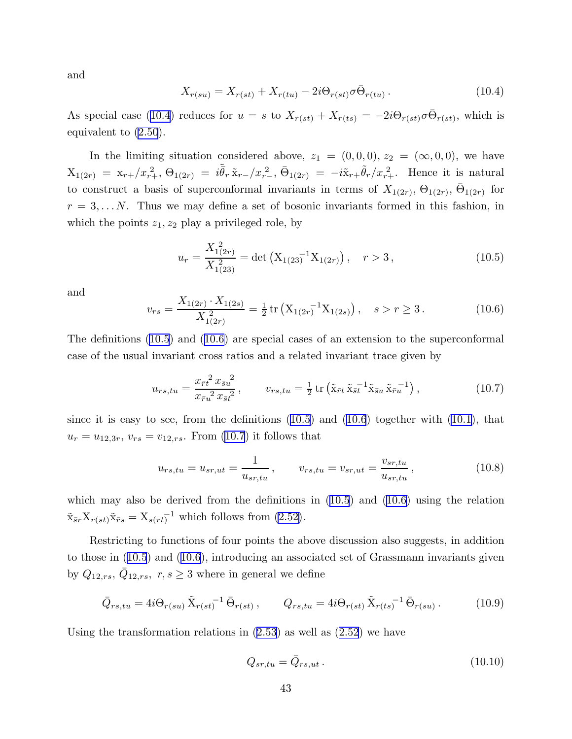<span id="page-43-0"></span>and

$$
X_{r(su)} = X_{r(st)} + X_{r(tu)} - 2i\Theta_{r(st)}\sigma\bar{\Theta}_{r(tu)}.
$$
\n(10.4)

As special case (10.4) reduces for  $u = s$  to  $X_{r(st)} + X_{r(ts)} = -2i\Theta_{r(st)}\sigma\bar{\Theta}_{r(st)}$ , which is equivalent to [\(2.50](#page-10-0)).

In the limiting situation considered above,  $z_1 = (0, 0, 0), z_2 = (\infty, 0, 0)$ , we have  $X_{1(2r)} = x_{r+}/x_{r+}^2$ ,  $\Theta_{1(2r)} = i \tilde{\bar{\theta}}_r \tilde{x}_{r-}/x_{r-}^2$ ,  $\bar{\Theta}_{1(2r)} = -i \tilde{x}_{r+} \tilde{\theta}_r / x_{r+}^2$ . Hence it is natural to construct a basis of superconformal invariants in terms of  $X_{1(2r)}$ ,  $\Theta_{1(2r)}$ ,  $\bar{\Theta}_{1(2r)}$  for  $r = 3, \ldots N$ . Thus we may define a set of bosonic invariants formed in this fashion, in which the points  $z_1, z_2$  play a privileged role, by

$$
u_r = \frac{X_{1(2r)}^2}{X_{1(23)}^2} = \det\left(X_{1(23)}^{-1}X_{1(2r)}\right), \quad r > 3,
$$
\n(10.5)

and

$$
v_{rs} = \frac{X_{1(2r)} \cdot X_{1(2s)}}{X_{1(2r)}^2} = \frac{1}{2} \operatorname{tr} \left( X_{1(2r)}^{-1} X_{1(2s)} \right), \quad s > r \ge 3. \tag{10.6}
$$

The definitions (10.5) and (10.6) are special cases of an extension to the superconformal case of the usual invariant cross ratios and a related invariant trace given by

$$
u_{rs,tu} = \frac{x_{\bar{r}t}^2 x_{\bar{s}u}^2}{x_{\bar{r}u}^2 x_{\bar{s}t}^2}, \qquad v_{rs,tu} = \frac{1}{2} \operatorname{tr} \left( \tilde{x}_{\bar{r}t} \tilde{x}_{\bar{s}t}^{-1} \tilde{x}_{\bar{s}u} \tilde{x}_{\bar{r}u}^{-1} \right), \tag{10.7}
$$

since it is easy to see, from the definitions (10.5) and (10.6) together with [\(10.1\)](#page-42-0), that  $u_r = u_{12,3r}, v_{rs} = v_{12,rs}$ . From (10.7) it follows that

$$
u_{rs,tu} = u_{sr,ut} = \frac{1}{u_{sr,tu}}, \qquad v_{rs,tu} = v_{sr,ut} = \frac{v_{sr,tu}}{u_{sr,tu}}, \qquad (10.8)
$$

which may also be derived from the definitions in  $(10.5)$  and  $(10.6)$  using the relation  $\tilde{\mathbf{x}}_{\bar{s}r} \mathbf{X}_{r(st)} \tilde{\mathbf{x}}_{\bar{r}s} = \mathbf{X}_{s(rt)}^{-1}$  which follows from [\(2.52\)](#page-10-0).

Restricting to functions of four points the above discussion also suggests, in addition to those in (10.5) and (10.6), introducing an associated set of Grassmann invariants given by  $Q_{12,rs}, \overline{Q}_{12,rs}, r, s \geq 3$  where in general we define

$$
\bar{Q}_{rs,tu} = 4i\Theta_{r(su)}\tilde{X}_{r(st)}^{-1}\bar{\Theta}_{r(st)}, \qquad Q_{rs,tu} = 4i\Theta_{r(st)}\tilde{X}_{r(ts)}^{-1}\bar{\Theta}_{r(su)}.
$$
 (10.9)

Usingthe transformation relations in  $(2.53)$  $(2.53)$  $(2.53)$  as well as  $(2.52)$  $(2.52)$  $(2.52)$  we have

$$
Q_{sr,tu} = \bar{Q}_{rs,ut} \,. \tag{10.10}
$$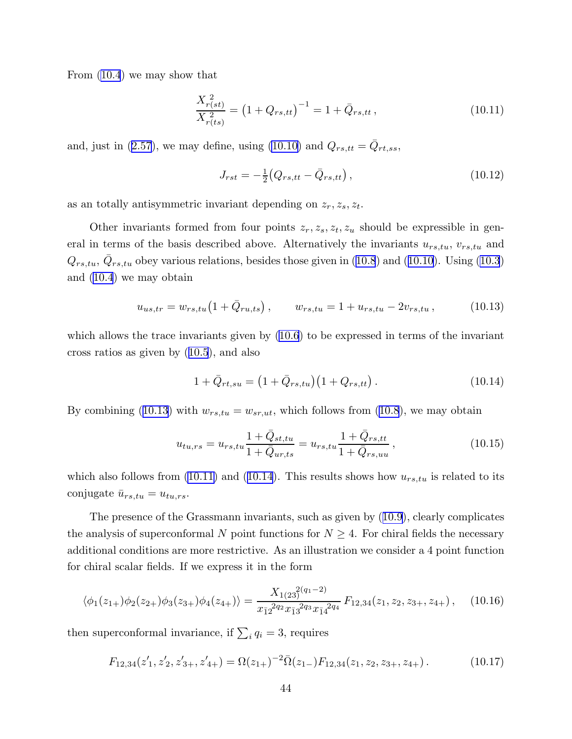<span id="page-44-0"></span>From [\(10.4](#page-43-0)) we may show that

$$
\frac{X_{r(st)}^2}{X_{r(ts)}^2} = \left(1 + Q_{rs,tt}\right)^{-1} = 1 + \bar{Q}_{rs,tt},\tag{10.11}
$$

and,just in ([2.57](#page-10-0)), we may define, using [\(10.10\)](#page-43-0) and  $Q_{rs,tt} = \bar{Q}_{rt,ss}$ ,

$$
J_{rst} = -\frac{1}{2} \left( Q_{rs,tt} - \bar{Q}_{rs,tt} \right), \tag{10.12}
$$

as an totally antisymmetric invariant depending on  $z_r, z_s, z_t$ .

Other invariants formed from four points  $z_r, z_s, z_t, z_u$  should be expressible in general in terms of the basis described above. Alternatively the invariants  $u_{rs,tu}$ ,  $v_{rs,tu}$  and  $Q_{rs,tu}, \bar{Q}_{rs,tu}$  $Q_{rs,tu}, \bar{Q}_{rs,tu}$  $Q_{rs,tu}, \bar{Q}_{rs,tu}$  obey various relations, besides those given in [\(10.8](#page-43-0)) and ([10.10](#page-43-0)). Using [\(10.3](#page-42-0)) and([10.4](#page-43-0)) we may obtain

$$
u_{us,tr} = w_{rs,tu} \left( 1 + \bar{Q}_{ru,ts} \right), \qquad w_{rs,tu} = 1 + u_{rs,tu} - 2v_{rs,tu} , \qquad (10.13)
$$

which allows the trace invariants given by([10.6](#page-43-0)) to be expressed in terms of the invariant cross ratios as given by([10.5](#page-43-0)), and also

$$
1 + \bar{Q}_{rt,su} = (1 + \bar{Q}_{rs,tu})(1 + Q_{rs,tt}). \qquad (10.14)
$$

By combining (10.13) with  $w_{rs,tu} = w_{sr,ut}$ , which follows from [\(10.8](#page-43-0)), we may obtain

$$
u_{tu,rs} = u_{rs,tu} \frac{1 + \bar{Q}_{st,tu}}{1 + \bar{Q}_{ur,ts}} = u_{rs,tu} \frac{1 + \bar{Q}_{rs,tt}}{1 + \bar{Q}_{rs,uu}},
$$
(10.15)

which also follows from (10.11) and (10.14). This results shows how  $u_{rs,tu}$  is related to its conjugate  $\bar{u}_{rs,tu} = u_{tu,rs}.$ 

The presence of the Grassmann invariants, such as given by([10.9\)](#page-43-0), clearly complicates the analysis of superconformal N point functions for  $N \geq 4$ . For chiral fields the necessary additional conditions are more restrictive. As an illustration we consider a 4 point function for chiral scalar fields. If we express it in the form

$$
\langle \phi_1(z_{1+})\phi_2(z_{2+})\phi_3(z_{3+})\phi_4(z_{4+})\rangle = \frac{X_{1(23)}^{2(q_1-2)}}{x_{12}^{2q_2}x_{13}^{2q_3}x_{14}^{2q_4}}F_{12,34}(z_1,z_2,z_{3+},z_{4+})\,,\tag{10.16}
$$

then superconformal invariance, if  $\sum_i q_i = 3$ , requires

$$
F_{12,34}(z'_1, z'_2, z'_{3+}, z'_{4+}) = \Omega(z_{1+})^{-2} \overline{\Omega}(z_{1-}) F_{12,34}(z_1, z_2, z_{3+}, z_{4+}) \,. \tag{10.17}
$$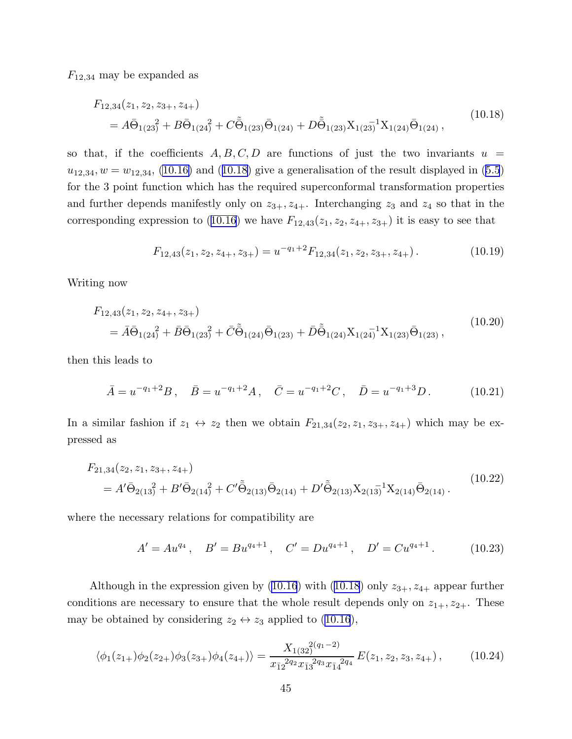<span id="page-45-0"></span> $F_{12,34}$  may be expanded as

$$
F_{12,34}(z_1, z_2, z_{3+}, z_{4+})
$$
  
=  $A\bar{\Theta}_{1(23)}^2 + B\bar{\Theta}_{1(24)}^2 + C\tilde{\Theta}_{1(23)}\bar{\Theta}_{1(24)} + D\tilde{\Theta}_{1(23)}X_{1(23)}^{-1}X_{1(24)}\bar{\Theta}_{1(24)},$  (10.18)

so that, if the coefficients  $A, B, C, D$  are functions of just the two invariants  $u =$  $u_{12,34}, w = w_{12,34}, (10.16)$  $u_{12,34}, w = w_{12,34}, (10.16)$  and  $(10.18)$  give a generalisation of the result displayed in  $(5.5)$ for the 3 point function which has the required superconformal transformation properties and further depends manifestly only on  $z_{3+}$ ,  $z_{4+}$ . Interchanging  $z_3$  and  $z_4$  so that in the correspondingexpression to ([10.16](#page-44-0)) we have  $F_{12,43}(z_1, z_2, z_{4+}, z_{3+})$  it is easy to see that

$$
F_{12,43}(z_1, z_2, z_{4+}, z_{3+}) = u^{-q_1+2} F_{12,34}(z_1, z_2, z_{3+}, z_{4+}). \tag{10.19}
$$

Writing now

$$
F_{12,43}(z_1, z_2, z_{4+}, z_{3+})
$$
  
=  $\bar{A}\bar{\Theta}_{1(24)}^2 + \bar{B}\bar{\Theta}_{1(23)}^2 + \bar{C}\tilde{\bar{\Theta}}_{1(24)}\bar{\Theta}_{1(23)} + \bar{D}\tilde{\bar{\Theta}}_{1(24)}X_{1(24)}^{-1}X_{1(23)}\bar{\Theta}_{1(23)},$  (10.20)

then this leads to

$$
\bar{A} = u^{-q_1 + 2}B, \quad \bar{B} = u^{-q_1 + 2}A, \quad \bar{C} = u^{-q_1 + 2}C, \quad \bar{D} = u^{-q_1 + 3}D. \tag{10.21}
$$

In a similar fashion if  $z_1 \leftrightarrow z_2$  then we obtain  $F_{21,34}(z_2, z_1, z_{3+}, z_{4+})$  which may be expressed as

$$
F_{21,34}(z_2, z_1, z_{3+}, z_{4+})
$$
  
=  $A'\overline{\Theta}_{2(13)}^2 + B'\overline{\Theta}_{2(14)}^2 + C'\overline{\tilde{\Theta}}_{2(13)}\overline{\Theta}_{2(14)} + D'\overline{\tilde{\Theta}}_{2(13)}X_{2(13)}^{-1}X_{2(14)}\overline{\Theta}_{2(14)}.$  (10.22)

where the necessary relations for compatibility are

$$
A' = Au^{q_4}, \quad B' = Bu^{q_4+1}, \quad C' = Du^{q_4+1}, \quad D' = Cu^{q_4+1}.
$$
 (10.23)

Althoughin the expression given by ([10.16](#page-44-0)) with (10.18) only  $z_{3+}$ ,  $z_{4+}$  appear further conditions are necessary to ensure that the whole result depends only on  $z_{1+}$ ,  $z_{2+}$ . These maybe obtained by considering  $z_2 \leftrightarrow z_3$  applied to ([10.16](#page-44-0)),

$$
\langle \phi_1(z_{1+})\phi_2(z_{2+})\phi_3(z_{3+})\phi_4(z_{4+})\rangle = \frac{X_{1(32)}^{2(q_1-2)}}{x_{\bar{1}2}^{2q_2}x_{\bar{1}3}^{2q_3}x_{\bar{1}4}^{2q_4}}E(z_1, z_2, z_3, z_{4+})\,,\tag{10.24}
$$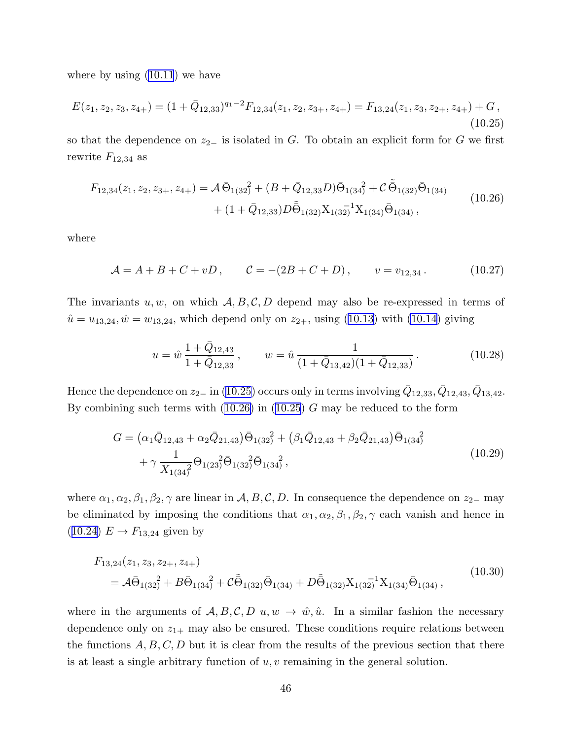where by using [\(10.11](#page-44-0)) we have

$$
E(z_1, z_2, z_3, z_{4+}) = (1 + \bar{Q}_{12,33})^{q_1 - 2} F_{12,34}(z_1, z_2, z_{3+}, z_{4+}) = F_{13,24}(z_1, z_3, z_{2+}, z_{4+}) + G,
$$
\n(10.25)

so that the dependence on  $z_{2-}$  is isolated in G. To obtain an explicit form for G we first rewrite  $F_{12,34}$  as

$$
F_{12,34}(z_1, z_2, z_{3+}, z_{4+}) = \mathcal{A}\,\overline{\Theta}_{1(32)}^2 + (B + \overline{Q}_{12,33}D)\overline{\Theta}_{1(34)}^2 + \mathcal{C}\,\overline{\tilde{\Theta}}_{1(32)}\overline{\Theta}_{1(34)} + (1 + \overline{Q}_{12,33})D\overline{\tilde{\Theta}}_{1(32)}X_{1(32)}^{-1}X_{1(34)}\overline{\Theta}_{1(34)},
$$
\n(10.26)

where

$$
\mathcal{A} = A + B + C + vD, \qquad \mathcal{C} = -(2B + C + D), \qquad v = v_{12,34}. \tag{10.27}
$$

The invariants  $u, w$ , on which  $\mathcal{A}, B, C, D$  depend may also be re-expressed in terms of  $\hat{u} = u_{13,24}, \hat{w} = w_{13,24}$  $\hat{u} = u_{13,24}, \hat{w} = w_{13,24}$  $\hat{u} = u_{13,24}, \hat{w} = w_{13,24}$ , which depend only on  $z_{2+}$ , using ([10.13](#page-44-0)) with [\(10.14\)](#page-44-0) giving

$$
u = \hat{w} \frac{1 + \bar{Q}_{12,43}}{1 + \bar{Q}_{12,33}}, \qquad w = \hat{u} \frac{1}{(1 + \bar{Q}_{13,42})(1 + \bar{Q}_{12,33})}.
$$
(10.28)

Hence the dependence on  $z_{2-}$  in (10.25) occurs only in terms involving  $\bar{Q}_{12,33}, \bar{Q}_{12,43}, \bar{Q}_{13,42}.$ By combining such terms with  $(10.26)$  in  $(10.25)$  G may be reduced to the form

$$
G = (\alpha_1 \bar{Q}_{12,43} + \alpha_2 \bar{Q}_{21,43}) \bar{\Theta}_{1(32)}^2 + (\beta_1 \bar{Q}_{12,43} + \beta_2 \bar{Q}_{21,43}) \bar{\Theta}_{1(34)}^2 + \gamma \frac{1}{X_{1(34)}^2} \Theta_{1(23)}^2 \bar{\Theta}_{1(32)}^2 \bar{\Theta}_{1(34)}^2,
$$
\n(10.29)

where  $\alpha_1, \alpha_2, \beta_1, \beta_2, \gamma$  are linear in  $\mathcal{A}, B, C, D$ . In consequence the dependence on  $z_{2-}$  may be eliminated by imposing the conditions that  $\alpha_1, \alpha_2, \beta_1, \beta_2, \gamma$  each vanish and hence in  $(10.24)$  $(10.24)$  $(10.24)$   $E \rightarrow F_{13,24}$  given by

$$
F_{13,24}(z_1, z_3, z_{2+}, z_{4+})
$$
  
=  $A\bar{\Theta}_{1(32)}^2 + B\bar{\Theta}_{1(34)}^2 + C\tilde{\bar{\Theta}}_{1(32)}\bar{\Theta}_{1(34)} + D\tilde{\bar{\Theta}}_{1(32)}X_{1(32)}^{-1}X_{1(34)}\bar{\Theta}_{1(34)},$  (10.30)

where in the arguments of  $A, B, C, D, u, w \rightarrow \hat{w}, \hat{u}$ . In a similar fashion the necessary dependence only on  $z_{1+}$  may also be ensured. These conditions require relations between the functions  $A, B, C, D$  but it is clear from the results of the previous section that there is at least a single arbitrary function of  $u, v$  remaining in the general solution.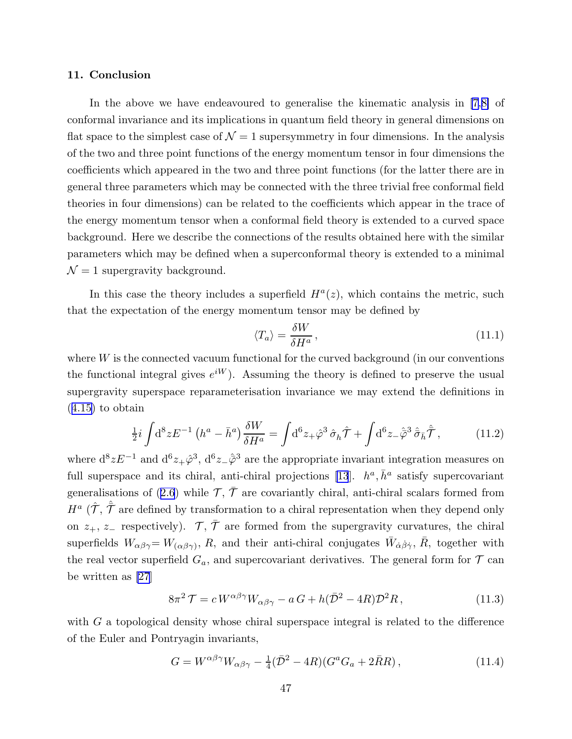### <span id="page-47-0"></span>11. Conclusion

In the above we have endeavoured to generalise the kinematic analysis in [\[7](#page-51-0),[8\]](#page-51-0) of conformal invariance and its implications in quantum field theory in general dimensions on flat space to the simplest case of  $\mathcal{N} = 1$  supersymmetry in four dimensions. In the analysis of the two and three point functions of the energy momentum tensor in four dimensions the coefficients which appeared in the two and three point functions (for the latter there are in general three parameters which may be connected with the three trivial free conformal field theories in four dimensions) can be related to the coefficients which appear in the trace of the energy momentum tensor when a conformal field theory is extended to a curved space background. Here we describe the connections of the results obtained here with the similar parameters which may be defined when a superconformal theory is extended to a minimal  $\mathcal{N}=1$  supergravity background.

In this case the theory includes a superfield  $H^a(z)$ , which contains the metric, such that the expectation of the energy momentum tensor may be defined by

$$
\langle T_a \rangle = \frac{\delta W}{\delta H^a},\tag{11.1}
$$

where  $W$  is the connected vacuum functional for the curved background (in our conventions the functional integral gives  $e^{iW}$ ). Assuming the theory is defined to preserve the usual supergravity superspace reparameterisation invariance we may extend the definitions in ([4.15](#page-21-0)) to obtain

$$
\frac{1}{2}i\int d^8 z E^{-1} \left(h^a - \bar{h}^a\right) \frac{\delta W}{\delta H^a} = \int d^6 z_+ \hat{\varphi}^3 \hat{\sigma}_h \hat{\mathcal{T}} + \int d^6 z_- \hat{\bar{\varphi}}^3 \hat{\bar{\sigma}}_{\bar{h}} \hat{\bar{\mathcal{T}}}, \tag{11.2}
$$

where  $d^8 z E^{-1}$  and  $d^6 z_+ \hat{\varphi}^3$ ,  $d^6 z_- \hat{\varphi}^3$  are the appropriate invariant integration measures on full superspace and its chiral, anti-chiral projections [\[13](#page-51-0)].  $h^a$ ,  $\bar{h}^a$  satisfy supercovariant generalisationsof ([2.6](#page-4-0)) while  $\mathcal{T}, \bar{\mathcal{T}}$  are covariantly chiral, anti-chiral scalars formed from  $H^a(\hat{\mathcal{T}}, \hat{\bar{\mathcal{T}}}$  are defined by transformation to a chiral representation when they depend only on  $z_+, z_-$  respectively).  $\mathcal{T}, \bar{\mathcal{T}}$  are formed from the supergravity curvatures, the chiral superfields  $W_{\alpha\beta\gamma} = W_{(\alpha\beta\gamma)}, R$ , and their anti-chiral conjugates  $\bar{W}_{\dot{\alpha}\dot{\beta}\dot{\gamma}}, \bar{R}$ , together with the real vector superfield  $G_a$ , and supercovariant derivatives. The general form for  $\mathcal T$  can be written as [\[27](#page-52-0)]

$$
8\pi^2 \mathcal{T} = c W^{\alpha\beta\gamma} W_{\alpha\beta\gamma} - a G + h(\bar{\mathcal{D}}^2 - 4R) \mathcal{D}^2 R, \qquad (11.3)
$$

with  $G$  a topological density whose chiral superspace integral is related to the difference of the Euler and Pontryagin invariants,

$$
G = W^{\alpha\beta\gamma}W_{\alpha\beta\gamma} - \frac{1}{4}(\bar{\mathcal{D}}^2 - 4R)(G^a G_a + 2\bar{R}R) ,\qquad (11.4)
$$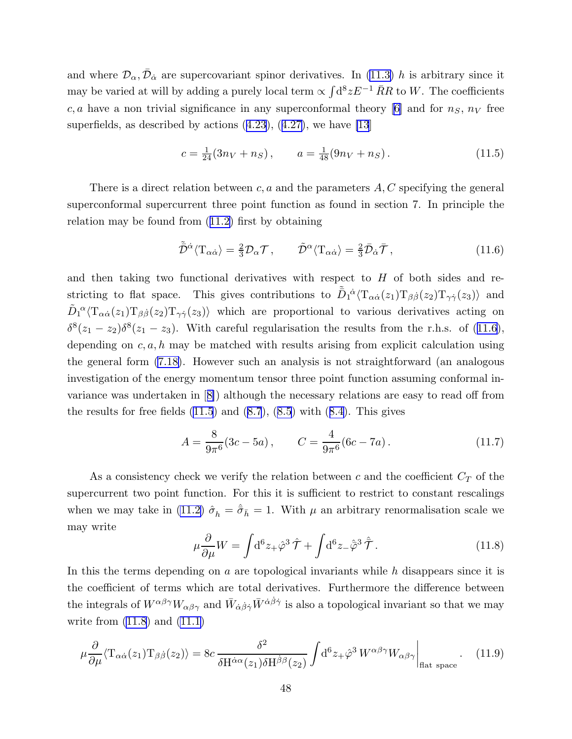<span id="page-48-0"></span>and where  $\mathcal{D}_{\alpha}, \bar{\mathcal{D}}_{\dot{\alpha}}$  are supercovariant spinor derivatives. In [\(11.3\)](#page-47-0) h is arbitrary since it may be varied at will by adding a purely local term  $\propto \int d^8 z E^{-1} \bar{R}R$  to W. The coefficients c, a have a non trivial significance in any superconformal theory [[6](#page-51-0)] and for  $n<sub>S</sub>$ ,  $n<sub>V</sub>$  free superfields,as described by actions  $(4.23)$  $(4.23)$  $(4.23)$ ,  $(4.27)$  $(4.27)$ , we have [\[13](#page-51-0)]

$$
c = \frac{1}{24}(3n_V + n_S), \qquad a = \frac{1}{48}(9n_V + n_S). \tag{11.5}
$$

There is a direct relation between c, a and the parameters  $A, C$  specifying the general superconformal supercurrent three point function as found in section 7. In principle the relation may be found from([11.2\)](#page-47-0) first by obtaining

$$
\tilde{\bar{\mathcal{D}}}^{\dot{\alpha}} \langle \mathcal{T}_{\alpha \dot{\alpha}} \rangle = \frac{2}{3} \mathcal{D}_{\alpha} \mathcal{T}, \qquad \tilde{\mathcal{D}}^{\alpha} \langle \mathcal{T}_{\alpha \dot{\alpha}} \rangle = \frac{2}{3} \bar{\mathcal{D}}_{\dot{\alpha}} \bar{\mathcal{T}}, \qquad (11.6)
$$

and then taking two functional derivatives with respect to  $H$  of both sides and restricting to flat space. This gives contributions to  $\tilde{\bar{D}}_1^{\dot{\alpha}} \langle \mathrm{T}_{\alpha \dot{\alpha}}(z_1) \mathrm{T}_{\beta \dot{\beta}}(z_2) \mathrm{T}_{\gamma \dot{\gamma}}(z_3) \rangle$  and  $\tilde{D}_1^{\alpha} \langle \mathrm{T}_{\alpha \dot{\alpha}}(z_1) \mathrm{T}_{\beta \dot{\beta}}(z_2) \mathrm{T}_{\gamma \dot{\gamma}}(z_3) \rangle$  which are proportional to various derivatives acting on  $\delta^{8}(z_1-z_2)\delta^{8}(z_1-z_3)$ . With careful regularisation the results from the r.h.s. of (11.6), depending on  $c, a, h$  may be matched with results arising from explicit calculation using the general form [\(7.18\)](#page-34-0). However such an analysis is not straightforward (an analogous investigation of the energy momentum tensor three point function assuming conformal invariance was undertaken in[[8\]](#page-51-0)) although the necessary relations are easy to read off from theresults for free fields  $(11.5)$  and  $(8.7)$  $(8.7)$  $(8.7)$ ,  $(8.5)$  $(8.5)$  $(8.5)$  with  $(8.4)$  $(8.4)$ . This gives

$$
A = \frac{8}{9\pi^{6}}(3c - 5a), \qquad C = \frac{4}{9\pi^{6}}(6c - 7a). \tag{11.7}
$$

As a consistency check we verify the relation between  $c$  and the coefficient  $C_T$  of the supercurrent two point function. For this it is sufficient to restrict to constant rescalings when we may take in [\(11.2\)](#page-47-0)  $\hat{\sigma}_h = \hat{\sigma}_{\bar{h}} = 1$ . With  $\mu$  an arbitrary renormalisation scale we may write

$$
\mu \frac{\partial}{\partial \mu} W = \int d^6 z_+ \hat{\varphi}^3 \hat{\mathcal{T}} + \int d^6 z_- \hat{\bar{\varphi}}^3 \hat{\bar{\mathcal{T}}}.
$$
 (11.8)

In this the terms depending on  $a$  are topological invariants while  $h$  disappears since it is the coefficient of terms which are total derivatives. Furthermore the difference between the integrals of  $W^{\alpha\beta\gamma}W_{\alpha\beta\gamma}$  and  $\bar{W}_{\dot{\alpha}\dot{\beta}\dot{\gamma}}\bar{W}^{\dot{\alpha}\dot{\beta}\dot{\gamma}}$  is also a topological invariant so that we may write from  $(11.8)$  and  $(11.1)$ 

$$
\mu \frac{\partial}{\partial \mu} \langle T_{\alpha \dot{\alpha}}(z_1) T_{\beta \dot{\beta}}(z_2) \rangle = 8c \frac{\delta^2}{\delta H^{\dot{\alpha}\alpha}(z_1) \delta H^{\dot{\beta}\beta}(z_2)} \int d^6 z_+ \hat{\varphi}^3 W^{\alpha \beta \gamma} W_{\alpha \beta \gamma} \Big|_{\text{flat space}} . \tag{11.9}
$$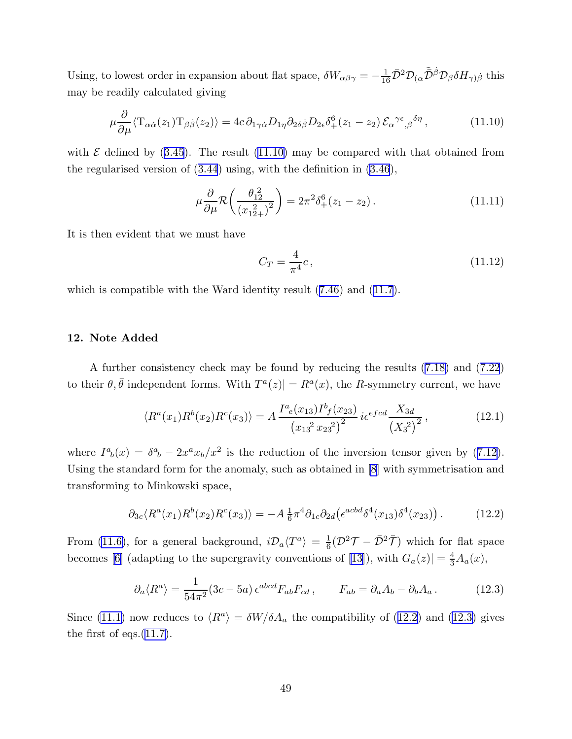Using, to lowest order in expansion about flat space,  $\delta W_{\alpha\beta\gamma} = -\frac{1}{16}\bar{\mathcal{D}}^2 \mathcal{D}_{(\alpha}\tilde{\bar{\mathcal{D}}}^{\dot{\beta}} \mathcal{D}_{\beta}\delta H_{\gamma)\dot{\beta}}$  this may be readily calculated giving

$$
\mu \frac{\partial}{\partial \mu} \langle T_{\alpha \dot{\alpha}}(z_1) T_{\beta \dot{\beta}}(z_2) \rangle = 4c \, \partial_{1 \gamma \dot{\alpha}} D_{1 \eta} \partial_{2 \delta \dot{\beta}} D_{2 \epsilon} \delta^6_+(z_1 - z_2) \, \mathcal{E}_{\alpha}^{\ \gamma \epsilon}{}_{,\beta}^{\ \delta \eta} \,, \tag{11.10}
$$

with $\mathcal E$  defined by ([3.45](#page-18-0)). The result (11.10) may be compared with that obtained from the regularised version of([3.44](#page-18-0)) using, with the definition in [\(3.46](#page-18-0)),

$$
\mu \frac{\partial}{\partial \mu} \mathcal{R} \left( \frac{\theta_{12}^2}{(x_{12+}^2)^2} \right) = 2\pi^2 \delta_+^6 (z_1 - z_2).
$$
 (11.11)

It is then evident that we must have

$$
C_T = \frac{4}{\pi^4}c,\t\t(11.12)
$$

whichis compatible with the Ward identity result  $(7.46)$  $(7.46)$  $(7.46)$  and  $(11.7)$  $(11.7)$  $(11.7)$ .

## 12. Note Added

A further consistency check may be found by reducing the results [\(7.18\)](#page-34-0) and [\(7.22](#page-34-0)) to their  $\theta, \bar{\theta}$  independent forms. With  $T^a(z) = R^a(x)$ , the R-symmetry current, we have

$$
\langle R^{a}(x_{1})R^{b}(x_{2})R^{c}(x_{3})\rangle = A \frac{I^{a}_{e}(x_{13})I^{b}_{f}(x_{23})}{(x_{13}^{2} x_{23}^{2})^{2}} i\epsilon^{efcd} \frac{X_{3d}}{(X_{3}^{2})^{2}},
$$
\n(12.1)

where $I^a{}_b(x) = \delta^a{}_b - 2x^a x_b/x^2$  is the reduction of the inversion tensor given by ([7.12](#page-33-0)). Using the standard form for the anomaly, such as obtained in [\[8](#page-51-0)] with symmetrisation and transforming to Minkowski space,

$$
\partial_{3c} \langle R^a(x_1) R^b(x_2) R^c(x_3) \rangle = -A \frac{1}{6} \pi^4 \partial_{1c} \partial_{2d} \left( \epsilon^{acbd} \delta^4(x_{13}) \delta^4(x_{23}) \right). \tag{12.2}
$$

From [\(11.6\)](#page-48-0), for a general background,  $i\mathcal{D}_a \langle T^a \rangle = \frac{1}{6}$  $\frac{1}{6}(\mathcal{D}^2 \mathcal{T} - \bar{\mathcal{D}}^2 \bar{\mathcal{T}})$  which for flat space becomes[[6\]](#page-51-0) (adapting to the supergravity conventions of [\[13](#page-51-0)]), with  $G_a(z)$  =  $\frac{4}{3}A_a(x)$ ,

$$
\partial_a \langle R^a \rangle = \frac{1}{54\pi^2} (3c - 5a) \epsilon^{abcd} F_{ab} F_{cd} , \qquad F_{ab} = \partial_a A_b - \partial_b A_a . \tag{12.3}
$$

Since [\(11.1\)](#page-47-0) now reduces to  $\langle R^a \rangle = \delta W / \delta A_a$  the compatibility of (12.2) and (12.3) gives the first of eqs. $(11.7)$ .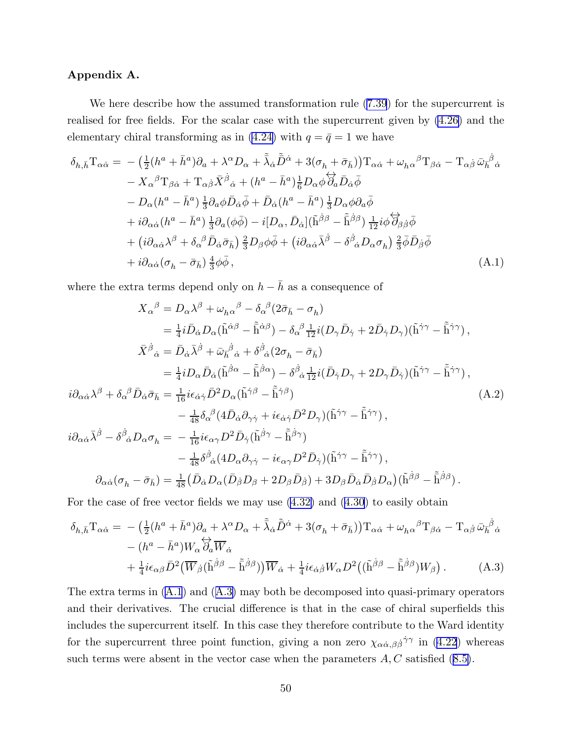## Appendix A.

We here describe how the assumed transformation rule([7.39](#page-37-0)) for the supercurrent is realised for free fields. For the scalar case with the supercurrent given by [\(4.26\)](#page-23-0) and the elementary chiral transforming as in [\(4.24\)](#page-23-0) with  $q = \bar{q} = 1$  we have

$$
\delta_{h,\bar{h}}T_{\alpha\dot{\alpha}} = -(\frac{1}{2}(h^{a} + \bar{h}^{a})\partial_{a} + \lambda^{\alpha}D_{\alpha} + \tilde{\lambda}_{\dot{\alpha}}\tilde{D}^{\dot{\alpha}} + 3(\sigma_{h} + \bar{\sigma}_{\bar{h}}))T_{\alpha\dot{\alpha}} + \omega_{h\alpha}{}^{\beta}T_{\beta\dot{\alpha}} - T_{\alpha\dot{\beta}}\bar{\omega}_{h}{}^{\dot{\beta}}{}_{\dot{\alpha}} \n- X_{\alpha}{}^{\beta}T_{\beta\dot{\alpha}} + T_{\alpha\dot{\beta}}\bar{X}^{\dot{\beta}}{}_{\dot{\alpha}} + (h^{a} - \bar{h}^{a})\frac{1}{6}D_{\alpha}\phi\overleftrightarrow{\partial}_{a}\bar{D}_{\dot{\alpha}}\bar{\phi} \n- D_{\alpha}(h^{a} - \bar{h}^{a})\frac{1}{3}\partial_{a}\phi\bar{D}_{\dot{\alpha}}\bar{\phi} + \bar{D}_{\dot{\alpha}}(h^{a} - \bar{h}^{a})\frac{1}{3}D_{\alpha}\phi\partial_{a}\bar{\phi} \n+ i\partial_{\alpha\dot{\alpha}}(h^{a} - \bar{h}^{a})\frac{1}{3}\partial_{a}(\phi\bar{\phi}) - i[D_{\alpha}, \bar{D}_{\dot{\alpha}}](\tilde{h}^{\dot{\beta}\beta} - \tilde{\bar{h}}^{\dot{\beta}\beta})\frac{1}{12}i\phi\overleftrightarrow{\partial}_{\beta\dot{\beta}}\bar{\phi} \n+ (i\partial_{\alpha\dot{\alpha}}\lambda^{\beta} + \delta_{\alpha}{}^{\beta}\bar{D}_{\dot{\alpha}}\bar{\sigma}_{\bar{h}})\frac{2}{3}D_{\beta}\phi\bar{\phi} + (i\partial_{\alpha\dot{\alpha}}\bar{\lambda}^{\dot{\beta}} - \delta^{\dot{\beta}}{}_{\dot{\alpha}}D_{\alpha}\sigma_{h})\frac{2}{3}\bar{\phi}\bar{D}_{\dot{\beta}}\bar{\phi} \n+ i\partial_{\alpha\dot{\alpha}}(\sigma_{h} - \bar{\sigma}_{\bar{h}})\frac{4}{3}\phi\bar{\phi}, \qquad (A.1)
$$

where the extra terms depend only on  $h-\bar h$  as a consequence of

$$
X_{\alpha}{}^{\beta} = D_{\alpha}\lambda^{\beta} + \omega_{h\alpha}{}^{\beta} - \delta_{\alpha}{}^{\beta}(2\bar{\sigma}_{\bar{h}} - \sigma_{h})
$$
  
\n
$$
= \frac{1}{4}i\bar{D}_{\dot{\alpha}}D_{\alpha}(\tilde{h}^{\dot{\alpha}\beta} - \tilde{h}^{\dot{\alpha}\beta}) - \delta_{\alpha}{}^{\beta}\frac{1}{12}i(D_{\gamma}\bar{D}_{\dot{\gamma}} + 2\bar{D}_{\dot{\gamma}}D_{\gamma})(\tilde{h}^{\dot{\gamma}\gamma} - \tilde{h}^{\dot{\gamma}\gamma}),
$$
  
\n
$$
\bar{X}^{\dot{\beta}}{}_{\dot{\alpha}} = \bar{D}_{\dot{\alpha}}\bar{\lambda}^{\dot{\beta}} + \bar{\omega}_{\bar{h}}^{\dot{\beta}}{}_{\dot{\alpha}} + \delta^{\dot{\beta}}{}_{\dot{\alpha}}(2\sigma_{h} - \bar{\sigma}_{\bar{h}})
$$
  
\n
$$
= \frac{1}{4}iD_{\alpha}\bar{D}_{\dot{\alpha}}(\tilde{h}^{\dot{\beta}\alpha} - \tilde{h}^{\dot{\beta}\alpha}) - \delta^{\dot{\beta}}{}_{\dot{\alpha}}\frac{1}{12}i(\bar{D}_{\dot{\gamma}}D_{\gamma} + 2D_{\gamma}\bar{D}_{\dot{\gamma}})(\tilde{h}^{\dot{\gamma}\gamma} - \tilde{h}^{\dot{\gamma}\gamma}),
$$
  
\n
$$
i\partial_{\alpha\dot{\alpha}}\lambda^{\beta} + \delta_{\alpha}{}^{\beta}\bar{D}_{\dot{\alpha}}\bar{\sigma}_{\bar{h}} = \frac{1}{16}i\epsilon_{\dot{\alpha}\dot{\gamma}}\bar{D}^{2}D_{\alpha}(\tilde{h}^{\dot{\gamma}\beta} - \tilde{h}^{\dot{\gamma}\beta})
$$
  
\n
$$
- \frac{1}{48}\delta_{\alpha}{}^{\beta}(4\bar{D}_{\dot{\alpha}}\partial_{\gamma\dot{\gamma}} + i\epsilon_{\dot{\alpha}\dot{\gamma}}\bar{D}^{2}D_{\gamma})(\tilde{h}^{\dot{\gamma}\gamma} - \tilde{h}^{\dot{\gamma}\gamma}),
$$
  
\n
$$
i\partial_{\alpha\dot{\alpha}}\bar{\lambda}^{\dot{\beta}} - \delta^{\dot{\beta}}{}_{\dot{\alpha}}D_{\alpha}\sigma_{h
$$

For the case of free vector fields we may use [\(4.32\)](#page-24-0) and([4.30](#page-23-0)) to easily obtain

$$
\delta_{h,\bar{h}} \mathcal{T}_{\alpha\dot{\alpha}} = -\left(\frac{1}{2} (h^a + \bar{h}^a) \partial_a + \lambda^\alpha D_\alpha + \tilde{\lambda}_{\dot{\alpha}} \tilde{D}^{\dot{\alpha}} + 3(\sigma_h + \bar{\sigma}_{\bar{h}})\right) \mathcal{T}_{\alpha\dot{\alpha}} + \omega_{h\alpha}{}^\beta \mathcal{T}_{\beta\dot{\alpha}} - \mathcal{T}_{\alpha\dot{\beta}} \bar{\omega}_{\bar{h}}{}^{\dot{\beta}}{}_{\dot{\alpha}} \n- (h^a - \bar{h}^a) W_\alpha \overleftrightarrow{\partial}_a \overline{W}_{\dot{\alpha}} \n+ \frac{1}{4} i \epsilon_{\alpha\beta} \bar{D}^2 \left(\overline{W}_{\dot{\beta}} (\tilde{h}^{\dot{\beta}\beta} - \tilde{\bar{h}}^{\dot{\beta}\beta})\right) \overline{W}_{\dot{\alpha}} + \frac{1}{4} i \epsilon_{\dot{\alpha}\dot{\beta}} W_\alpha D^2 \left((\tilde{h}^{\dot{\beta}\beta} - \tilde{\bar{h}}^{\dot{\beta}\beta}) W_\beta\right).
$$
\n(A.3)

The extra terms in (A.1) and (A.3) may both be decomposed into quasi-primary operators and their derivatives. The crucial difference is that in the case of chiral superfields this includes the supercurrent itself. In this case they therefore contribute to the Ward identity forthe supercurrent three point function, giving a non zero  $\chi_{\alpha\dot{\alpha},\beta\dot{\beta}}\dot{\gamma}\dot{\gamma}$  in ([4.22](#page-22-0)) whereas such terms were absent in the vector case when the parameters  $A, C$  satisfied  $(8.5)$ .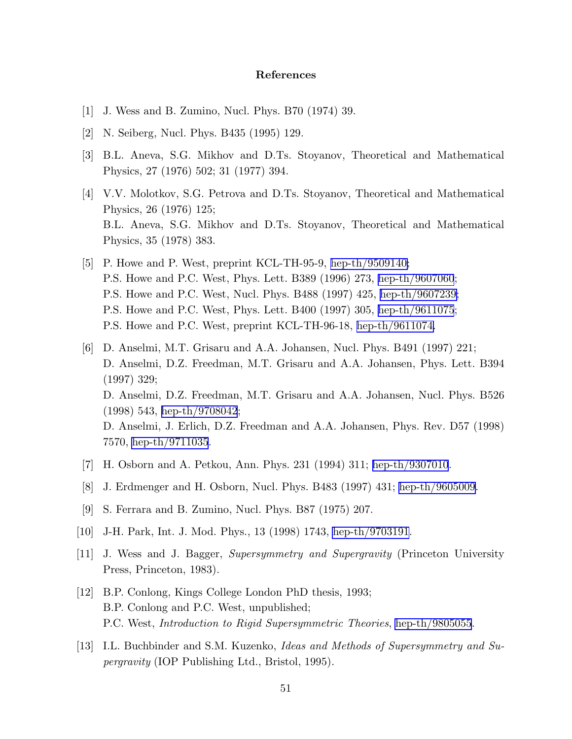## References

- <span id="page-51-0"></span>[1] J. Wess and B. Zumino, Nucl. Phys. B70 (1974) 39.
- [2] N. Seiberg, Nucl. Phys. B435 (1995) 129.
- [3] B.L. Aneva, S.G. Mikhov and D.Ts. Stoyanov, Theoretical and Mathematical Physics, 27 (1976) 502; 31 (1977) 394.
- [4] V.V. Molotkov, S.G. Petrova and D.Ts. Stoyanov, Theoretical and Mathematical Physics, 26 (1976) 125; B.L. Aneva, S.G. Mikhov and D.Ts. Stoyanov, Theoretical and Mathematical Physics, 35 (1978) 383.
- [5] P. Howe and P. West, preprint KCL-TH-95-9, [hep-th/9509140;](http://arxiv.org/abs/hep-th/9509140) P.S. Howe and P.C. West, Phys. Lett. B389 (1996) 273, [hep-th/9607060](http://arxiv.org/abs/hep-th/9607060); P.S. Howe and P.C. West, Nucl. Phys. B488 (1997) 425, [hep-th/9607239;](http://arxiv.org/abs/hep-th/9607239) P.S. Howe and P.C. West, Phys. Lett. B400 (1997) 305, [hep-th/9611075](http://arxiv.org/abs/hep-th/9611075); P.S. Howe and P.C. West, preprint KCL-TH-96-18, [hep-th/9611074.](http://arxiv.org/abs/hep-th/9611074)
- [6] D. Anselmi, M.T. Grisaru and A.A. Johansen, Nucl. Phys. B491 (1997) 221; D. Anselmi, D.Z. Freedman, M.T. Grisaru and A.A. Johansen, Phys. Lett. B394 (1997) 329; D. Anselmi, D.Z. Freedman, M.T. Grisaru and A.A. Johansen, Nucl. Phys. B526 (1998) 543, [hep-th/9708042](http://arxiv.org/abs/hep-th/9708042); D. Anselmi, J. Erlich, D.Z. Freedman and A.A. Johansen, Phys. Rev. D57 (1998) 7570, [hep-th/9711035](http://arxiv.org/abs/hep-th/9711035).
- [7] H. Osborn and A. Petkou, Ann. Phys. 231 (1994) 311; [hep-th/9307010](http://arxiv.org/abs/hep-th/9307010).
- [8] J. Erdmenger and H. Osborn, Nucl. Phys. B483 (1997) 431; [hep-th/9605009](http://arxiv.org/abs/hep-th/9605009).
- [9] S. Ferrara and B. Zumino, Nucl. Phys. B87 (1975) 207.
- [10] J-H. Park, Int. J. Mod. Phys., 13 (1998) 1743, [hep-th/9703191](http://arxiv.org/abs/hep-th/9703191).
- [11] J. Wess and J. Bagger, Supersymmetry and Supergravity (Princeton University Press, Princeton, 1983).
- [12] B.P. Conlong, Kings College London PhD thesis, 1993; B.P. Conlong and P.C. West, unpublished; P.C. West, Introduction to Rigid Supersymmetric Theories, [hep-th/9805055](http://arxiv.org/abs/hep-th/9805055).
- [13] I.L. Buchbinder and S.M. Kuzenko, Ideas and Methods of Supersymmetry and Supergravity (IOP Publishing Ltd., Bristol, 1995).